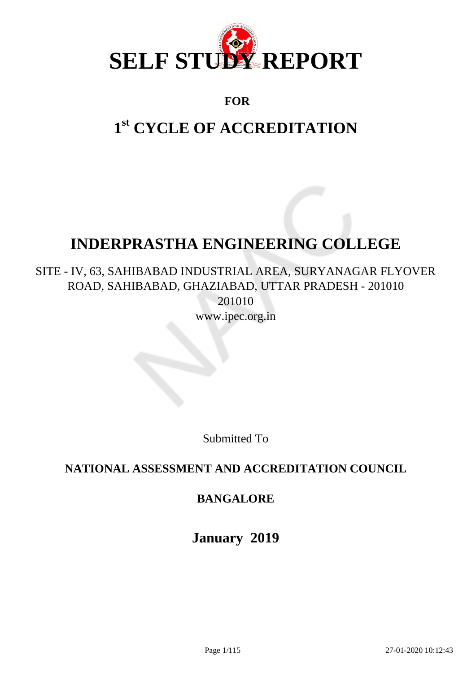

## **FOR**

# **1 st CYCLE OF ACCREDITATION**

## **INDERPRASTHA ENGINEERING COLLEGE**

SITE - IV, 63, SAHIBABAD INDUSTRIAL AREA, SURYANAGAR FLYOVER ROAD, SAHIBABAD, GHAZIABAD, UTTAR PRADESH - 201010 201010 www.ipec.org.in

Submitted To

## **NATIONAL ASSESSMENT AND ACCREDITATION COUNCIL**

## **BANGALORE**

**January 2019**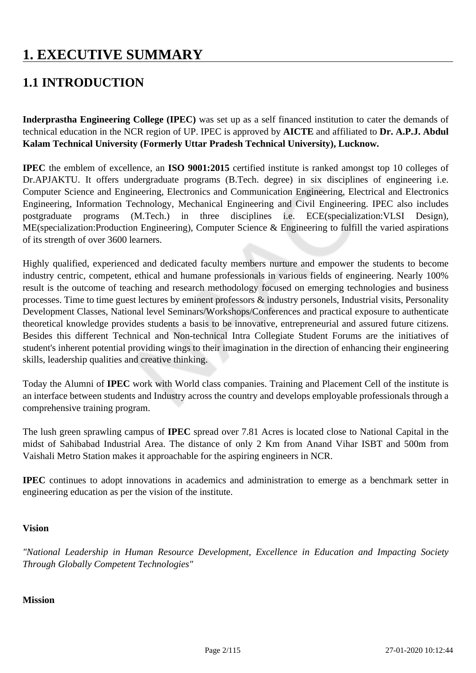## **1. EXECUTIVE SUMMARY**

## **1.1 INTRODUCTION**

**Inderprastha Engineering College (IPEC)** was set up as a self financed institution to cater the demands of technical education in the NCR region of UP. IPEC is approved by **AICTE** and affiliated to **Dr. A.P.J. Abdul Kalam Technical University (Formerly Uttar Pradesh Technical University), Lucknow.**

**IPEC** the emblem of excellence, an **ISO 9001:2015** certified institute is ranked amongst top 10 colleges of Dr.APJAKTU. It offers undergraduate programs (B.Tech. degree) in six disciplines of engineering i.e. Computer Science and Engineering, Electronics and Communication Engineering, Electrical and Electronics Engineering, Information Technology, Mechanical Engineering and Civil Engineering. IPEC also includes postgraduate programs (M.Tech.) in three disciplines i.e. ECE(specialization:VLSI Design), ME(specialization:Production Engineering), Computer Science & Engineering to fulfill the varied aspirations of its strength of over 3600 learners.

Highly qualified, experienced and dedicated faculty members nurture and empower the students to become industry centric, competent, ethical and humane professionals in various fields of engineering. Nearly 100% result is the outcome of teaching and research methodology focused on emerging technologies and business processes. Time to time guest lectures by eminent professors & industry personels, Industrial visits, Personality Development Classes, National level Seminars/Workshops/Conferences and practical exposure to authenticate theoretical knowledge provides students a basis to be innovative, entrepreneurial and assured future citizens. Besides this different Technical and Non-technical Intra Collegiate Student Forums are the initiatives of student's inherent potential providing wings to their imagination in the direction of enhancing their engineering skills, leadership qualities and creative thinking.

Today the Alumni of **IPEC** work with World class companies. Training and Placement Cell of the institute is an interface between students and Industry across the country and develops employable professionals through a comprehensive training program.

The lush green sprawling campus of **IPEC** spread over 7.81 Acres is located close to National Capital in the midst of Sahibabad Industrial Area. The distance of only 2 Km from Anand Vihar ISBT and 500m from Vaishali Metro Station makes it approachable for the aspiring engineers in NCR.

**IPEC** continues to adopt innovations in academics and administration to emerge as a benchmark setter in engineering education as per the vision of the institute.

#### **Vision**

*"National Leadership in Human Resource Development, Excellence in Education and Impacting Society Through Globally Competent Technologies"*

#### **Mission**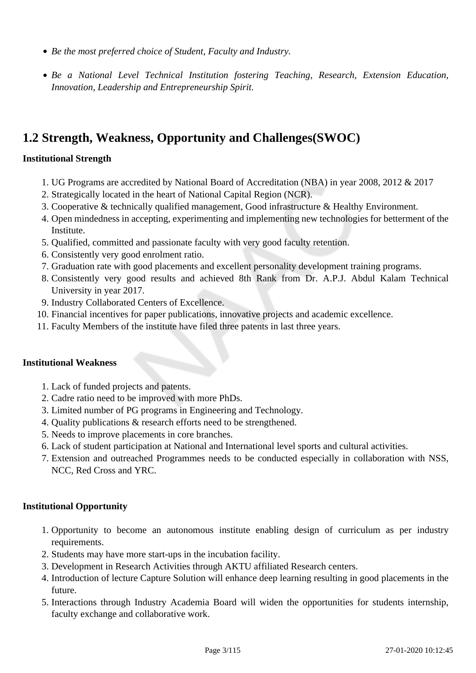- *Be the most preferred choice of Student, Faculty and Industry.*
- *Be a National Level Technical Institution fostering Teaching, Research, Extension Education, Innovation, Leadership and Entrepreneurship Spirit.*

## **1.2 Strength, Weakness, Opportunity and Challenges(SWOC)**

#### **Institutional Strength**

- 1. UG Programs are accredited by National Board of Accreditation (NBA) in year 2008, 2012 & 2017
- 2. Strategically located in the heart of National Capital Region (NCR).
- 3. Cooperative & technically qualified management, Good infrastructure & Healthy Environment.
- 4. Open mindedness in accepting, experimenting and implementing new technologies for betterment of the Institute.
- 5. Qualified, committed and passionate faculty with very good faculty retention.
- 6. Consistently very good enrolment ratio.
- 7. Graduation rate with good placements and excellent personality development training programs.
- 8. Consistently very good results and achieved 8th Rank from Dr. A.P.J. Abdul Kalam Technical University in year 2017.
- 9. Industry Collaborated Centers of Excellence.
- 10. Financial incentives for paper publications, innovative projects and academic excellence.
- 11. Faculty Members of the institute have filed three patents in last three years.

#### **Institutional Weakness**

- 1. Lack of funded projects and patents.
- 2. Cadre ratio need to be improved with more PhDs.
- 3. Limited number of PG programs in Engineering and Technology.
- 4. Quality publications & research efforts need to be strengthened.
- 5. Needs to improve placements in core branches.
- 6. Lack of student participation at National and International level sports and cultural activities.
- 7. Extension and outreached Programmes needs to be conducted especially in collaboration with NSS, NCC, Red Cross and YRC.

#### **Institutional Opportunity**

- 1. Opportunity to become an autonomous institute enabling design of curriculum as per industry requirements.
- 2. Students may have more start-ups in the incubation facility.
- 3. Development in Research Activities through AKTU affiliated Research centers.
- 4. Introduction of lecture Capture Solution will enhance deep learning resulting in good placements in the future.
- 5. Interactions through Industry Academia Board will widen the opportunities for students internship, faculty exchange and collaborative work.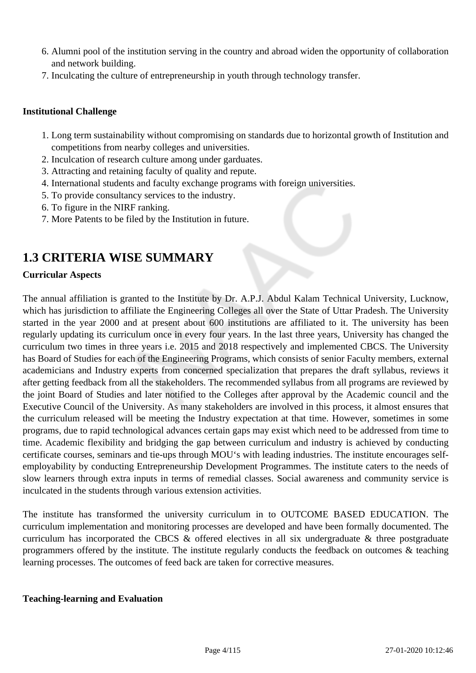- 6. Alumni pool of the institution serving in the country and abroad widen the opportunity of collaboration and network building.
- 7. Inculcating the culture of entrepreneurship in youth through technology transfer.

#### **Institutional Challenge**

- 1. Long term sustainability without compromising on standards due to horizontal growth of Institution and competitions from nearby colleges and universities.
- 2. Inculcation of research culture among under garduates.
- 3. Attracting and retaining faculty of quality and repute.
- 4. International students and faculty exchange programs with foreign universities.
- 5. To provide consultancy services to the industry.
- 6. To figure in the NIRF ranking.
- 7. More Patents to be filed by the Institution in future.

## **1.3 CRITERIA WISE SUMMARY**

#### **Curricular Aspects**

The annual affiliation is granted to the Institute by Dr. A.P.J. Abdul Kalam Technical University, Lucknow, which has jurisdiction to affiliate the Engineering Colleges all over the State of Uttar Pradesh. The University started in the year 2000 and at present about 600 institutions are affiliated to it. The university has been regularly updating its curriculum once in every four years. In the last three years, University has changed the curriculum two times in three years i.e. 2015 and 2018 respectively and implemented CBCS. The University has Board of Studies for each of the Engineering Programs, which consists of senior Faculty members, external academicians and Industry experts from concerned specialization that prepares the draft syllabus, reviews it after getting feedback from all the stakeholders. The recommended syllabus from all programs are reviewed by the joint Board of Studies and later notified to the Colleges after approval by the Academic council and the Executive Council of the University. As many stakeholders are involved in this process, it almost ensures that the curriculum released will be meeting the Industry expectation at that time. However, sometimes in some programs, due to rapid technological advances certain gaps may exist which need to be addressed from time to time. Academic flexibility and bridging the gap between curriculum and industry is achieved by conducting certificate courses, seminars and tie-ups through MOU's with leading industries. The institute encourages selfemployability by conducting Entrepreneurship Development Programmes. The institute caters to the needs of slow learners through extra inputs in terms of remedial classes. Social awareness and community service is inculcated in the students through various extension activities.

The institute has transformed the university curriculum in to OUTCOME BASED EDUCATION. The curriculum implementation and monitoring processes are developed and have been formally documented. The curriculum has incorporated the CBCS & offered electives in all six undergraduate & three postgraduate programmers offered by the institute. The institute regularly conducts the feedback on outcomes & teaching learning processes. The outcomes of feed back are taken for corrective measures.

#### **Teaching-learning and Evaluation**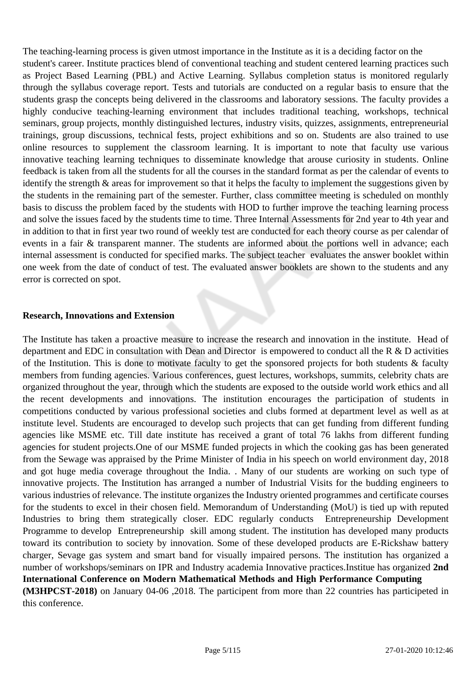The teaching-learning process is given utmost importance in the Institute as it is a deciding factor on the student's career. Institute practices blend of conventional teaching and student centered learning practices such as Project Based Learning (PBL) and Active Learning. Syllabus completion status is monitored regularly through the syllabus coverage report. Tests and tutorials are conducted on a regular basis to ensure that the students grasp the concepts being delivered in the classrooms and laboratory sessions. The faculty provides a highly conducive teaching-learning environment that includes traditional teaching, workshops, technical seminars, group projects, monthly distinguished lectures, industry visits, quizzes, assignments, entrepreneurial trainings, group discussions, technical fests, project exhibitions and so on. Students are also trained to use online resources to supplement the classroom learning. It is important to note that faculty use various innovative teaching learning techniques to disseminate knowledge that arouse curiosity in students. Online feedback is taken from all the students for all the courses in the standard format as per the calendar of events to identify the strength & areas for improvement so that it helps the faculty to implement the suggestions given by the students in the remaining part of the semester. Further, class committee meeting is scheduled on monthly basis to discuss the problem faced by the students with HOD to further improve the teaching learning process and solve the issues faced by the students time to time. Three Internal Assessments for 2nd year to 4th year and in addition to that in first year two round of weekly test are conducted for each theory course as per calendar of events in a fair & transparent manner. The students are informed about the portions well in advance; each internal assessment is conducted for specified marks. The subject teacher evaluates the answer booklet within one week from the date of conduct of test. The evaluated answer booklets are shown to the students and any error is corrected on spot.

#### **Research, Innovations and Extension**

The Institute has taken a proactive measure to increase the research and innovation in the institute. Head of department and EDC in consultation with Dean and Director is empowered to conduct all the R & D activities of the Institution. This is done to motivate faculty to get the sponsored projects for both students & faculty members from funding agencies. Various conferences, guest lectures, workshops, summits, celebrity chats are organized throughout the year, through which the students are exposed to the outside world work ethics and all the recent developments and innovations. The institution encourages the participation of students in competitions conducted by various professional societies and clubs formed at department level as well as at institute level. Students are encouraged to develop such projects that can get funding from different funding agencies like MSME etc. Till date institute has received a grant of total 76 lakhs from different funding agencies for student projects.One of our MSME funded projects in which the cooking gas has been generated from the Sewage was appraised by the Prime Minister of India in his speech on world environment day, 2018 and got huge media coverage throughout the India. . Many of our students are working on such type of innovative projects. The Institution has arranged a number of Industrial Visits for the budding engineers to various industries of relevance. The institute organizes the Industry oriented programmes and certificate courses for the students to excel in their chosen field. Memorandum of Understanding (MoU) is tied up with reputed Industries to bring them strategically closer. EDC regularly conducts Entrepreneurship Development Programme to develop Entrepreneurship skill among student. The institution has developed many products toward its contribution to society by innovation. Some of these developed products are E-Rickshaw battery charger, Sevage gas system and smart band for visually impaired persons. The institution has organized a number of workshops/seminars on IPR and Industry academia Innovative practices.Institue has organized **2nd International Conference on Modern Mathematical Methods and High Performance Computing (M3HPCST-2018)** on January 04-06 ,2018. The participent from more than 22 countries has participeted in this conference.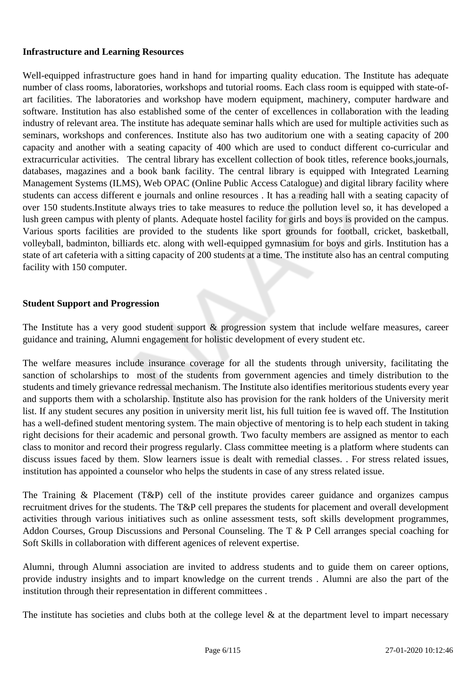#### **Infrastructure and Learning Resources**

Well-equipped infrastructure goes hand in hand for imparting quality education. The Institute has adequate number of class rooms, laboratories, workshops and tutorial rooms. Each class room is equipped with state-ofart facilities. The laboratories and workshop have modern equipment, machinery, computer hardware and software. Institution has also established some of the center of excellences in collaboration with the leading industry of relevant area. The institute has adequate seminar halls which are used for multiple activities such as seminars, workshops and conferences. Institute also has two auditorium one with a seating capacity of 200 capacity and another with a seating capacity of 400 which are used to conduct different co-curricular and extracurricular activities. The central library has excellent collection of book titles, reference books,journals, databases, magazines and a book bank facility. The central library is equipped with Integrated Learning Management Systems (ILMS), Web OPAC (Online Public Access Catalogue) and digital library facility where students can access different e journals and online resources . It has a reading hall with a seating capacity of over 150 students.Institute always tries to take measures to reduce the pollution level so, it has developed a lush green campus with plenty of plants. Adequate hostel facility for girls and boys is provided on the campus. Various sports facilities are provided to the students like sport grounds for football, cricket, basketball, volleyball, badminton, billiards etc. along with well-equipped gymnasium for boys and girls. Institution has a state of art cafeteria with a sitting capacity of 200 students at a time. The institute also has an central computing facility with 150 computer.

#### **Student Support and Progression**

The Institute has a very good student support  $\&$  progression system that include welfare measures, career guidance and training, Alumni engagement for holistic development of every student etc.

The welfare measures include insurance coverage for all the students through university, facilitating the sanction of scholarships to most of the students from government agencies and timely distribution to the students and timely grievance redressal mechanism. The Institute also identifies meritorious students every year and supports them with a scholarship. Institute also has provision for the rank holders of the University merit list. If any student secures any position in university merit list, his full tuition fee is waved off. The Institution has a well-defined student mentoring system. The main objective of mentoring is to help each student in taking right decisions for their academic and personal growth. Two faculty members are assigned as mentor to each class to monitor and record their progress regularly. Class committee meeting is a platform where students can discuss issues faced by them. Slow learners issue is dealt with remedial classes. . For stress related issues, institution has appointed a counselor who helps the students in case of any stress related issue.

The Training & Placement (T&P) cell of the institute provides career guidance and organizes campus recruitment drives for the students. The T&P cell prepares the students for placement and overall development activities through various initiatives such as online assessment tests, soft skills development programmes, Addon Courses, Group Discussions and Personal Counseling. The T & P Cell arranges special coaching for Soft Skills in collaboration with different agenices of relevent expertise.

Alumni, through Alumni association are invited to address students and to guide them on career options, provide industry insights and to impart knowledge on the current trends . Alumni are also the part of the institution through their representation in different committees .

The institute has societies and clubs both at the college level  $\&$  at the department level to impart necessary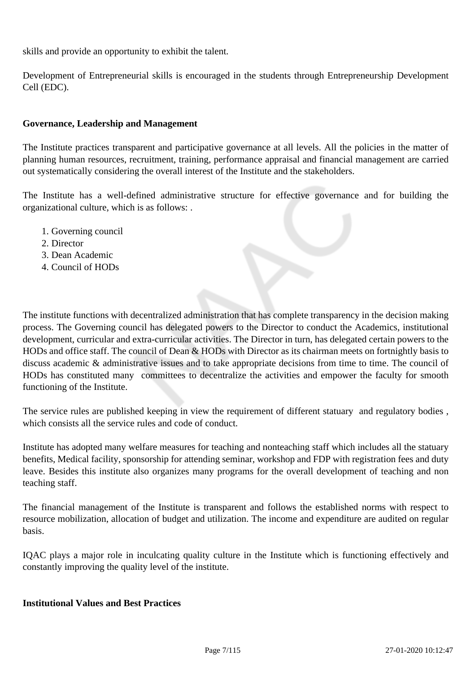skills and provide an opportunity to exhibit the talent.

Development of Entrepreneurial skills is encouraged in the students through Entrepreneurship Development Cell (EDC).

#### **Governance, Leadership and Management**

The Institute practices transparent and participative governance at all levels. All the policies in the matter of planning human resources, recruitment, training, performance appraisal and financial management are carried out systematically considering the overall interest of the Institute and the stakeholders.

The Institute has a well-defined administrative structure for effective governance and for building the organizational culture, which is as follows: .

- 1. Governing council
- 2. Director
- 3. Dean Academic
- 4. Council of HODs

The institute functions with decentralized administration that has complete transparency in the decision making process. The Governing council has delegated powers to the Director to conduct the Academics, institutional development, curricular and extra-curricular activities. The Director in turn, has delegated certain powers to the HODs and office staff. The council of Dean & HODs with Director as its chairman meets on fortnightly basis to discuss academic & administrative issues and to take appropriate decisions from time to time. The council of HODs has constituted many committees to decentralize the activities and empower the faculty for smooth functioning of the Institute.

The service rules are published keeping in view the requirement of different statuary and regulatory bodies , which consists all the service rules and code of conduct.

Institute has adopted many welfare measures for teaching and nonteaching staff which includes all the statuary benefits, Medical facility, sponsorship for attending seminar, workshop and FDP with registration fees and duty leave. Besides this institute also organizes many programs for the overall development of teaching and non teaching staff.

The financial management of the Institute is transparent and follows the established norms with respect to resource mobilization, allocation of budget and utilization. The income and expenditure are audited on regular basis.

IQAC plays a major role in inculcating quality culture in the Institute which is functioning effectively and constantly improving the quality level of the institute.

#### **Institutional Values and Best Practices**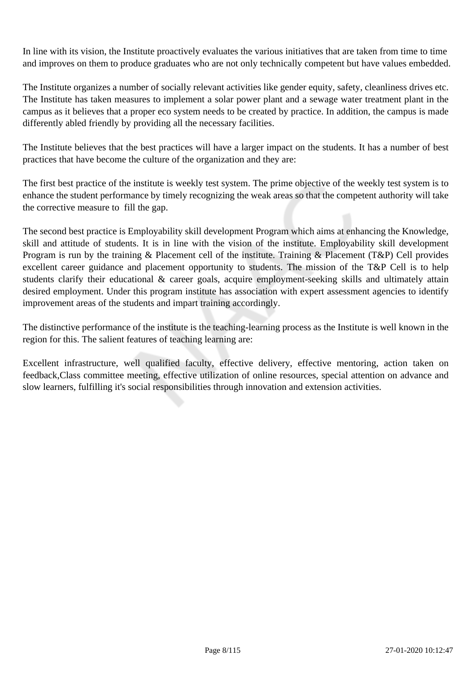In line with its vision, the Institute proactively evaluates the various initiatives that are taken from time to time and improves on them to produce graduates who are not only technically competent but have values embedded.

The Institute organizes a number of socially relevant activities like gender equity, safety, cleanliness drives etc. The Institute has taken measures to implement a solar power plant and a sewage water treatment plant in the campus as it believes that a proper eco system needs to be created by practice. In addition, the campus is made differently abled friendly by providing all the necessary facilities.

The Institute believes that the best practices will have a larger impact on the students. It has a number of best practices that have become the culture of the organization and they are:

The first best practice of the institute is weekly test system. The prime objective of the weekly test system is to enhance the student performance by timely recognizing the weak areas so that the competent authority will take the corrective measure to fill the gap.

The second best practice is Employability skill development Program which aims at enhancing the Knowledge, skill and attitude of students. It is in line with the vision of the institute. Employability skill development Program is run by the training & Placement cell of the institute. Training & Placement (T&P) Cell provides excellent career guidance and placement opportunity to students. The mission of the T&P Cell is to help students clarify their educational & career goals, acquire employment-seeking skills and ultimately attain desired employment. Under this program institute has association with expert assessment agencies to identify improvement areas of the students and impart training accordingly.

The distinctive performance of the institute is the teaching-learning process as the Institute is well known in the region for this. The salient features of teaching learning are:

Excellent infrastructure, well qualified faculty, effective delivery, effective mentoring, action taken on feedback,Class committee meeting, effective utilization of online resources, special attention on advance and slow learners, fulfilling it's social responsibilities through innovation and extension activities.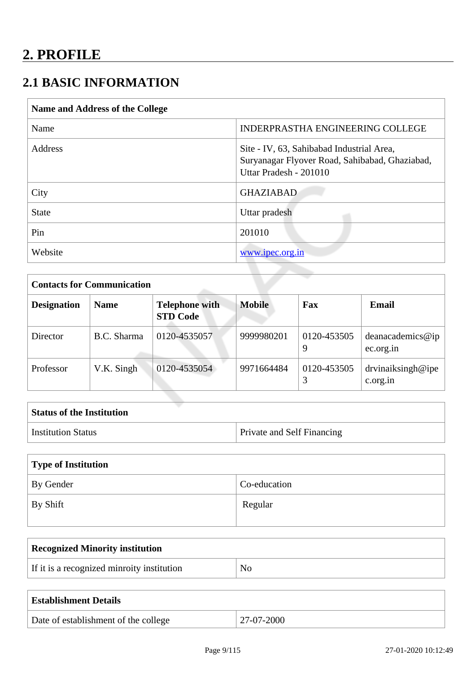## **2.1 BASIC INFORMATION**

| <b>Name and Address of the College</b> |                                                                                                                       |
|----------------------------------------|-----------------------------------------------------------------------------------------------------------------------|
| Name                                   | INDERPRASTHA ENGINEERING COLLEGE                                                                                      |
| Address                                | Site - IV, 63, Sahibabad Industrial Area,<br>Suryanagar Flyover Road, Sahibabad, Ghaziabad,<br>Uttar Pradesh - 201010 |
| City                                   | <b>GHAZIABAD</b>                                                                                                      |
| <b>State</b>                           | Uttar pradesh                                                                                                         |
| Pin                                    | 201010                                                                                                                |
| Website                                | www.ipec.org.in                                                                                                       |
|                                        |                                                                                                                       |

| <b>Contacts for Communication</b> |             |                                          |               |                  |                               |
|-----------------------------------|-------------|------------------------------------------|---------------|------------------|-------------------------------|
| <b>Designation</b>                | <b>Name</b> | <b>Telephone with</b><br><b>STD Code</b> | <b>Mobile</b> | Fax              | <b>Email</b>                  |
| Director                          | B.C. Sharma | 0120-4535057                             | 9999980201    | 0120-453505<br>9 | deanacademics@ip<br>ec.org.in |
| Professor                         | V.K. Singh  | 0120-4535054                             | 9971664484    | 0120-453505      | drvinaiksingh@ipe<br>c.org.in |

| <b>Status of the Institution</b> |                                   |
|----------------------------------|-----------------------------------|
| <sup>1</sup> Institution Status  | <b>Private and Self Financing</b> |

| Type of Institution |              |  |
|---------------------|--------------|--|
| By Gender           | Co-education |  |
| $\perp$ By Shift    | Regular      |  |

| <b>Recognized Minority institution</b>     |    |
|--------------------------------------------|----|
| If it is a recognized minroity institution | No |
|                                            |    |

| <b>Establishment Details</b>         |            |
|--------------------------------------|------------|
| Date of establishment of the college | 27-07-2000 |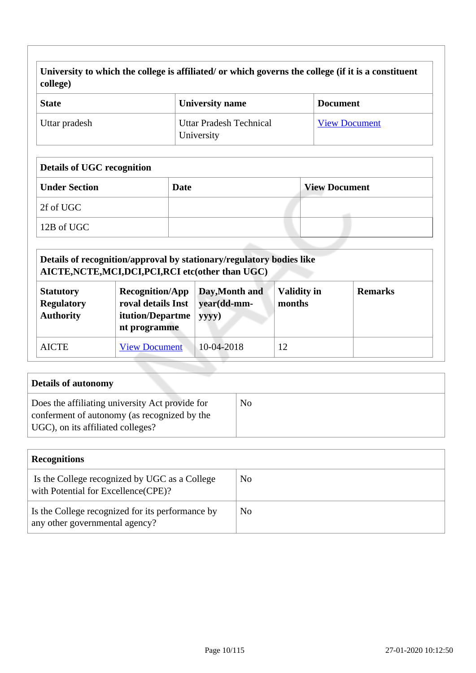**University to which the college is affiliated/ or which governs the college (if it is a constituent college)**

| <b>State</b>  | University name                              | <b>Document</b>      |
|---------------|----------------------------------------------|----------------------|
| Uttar pradesh | <b>Uttar Pradesh Technical</b><br>University | <b>View Document</b> |

#### **Details of UGC recognition**

| <b>Under Section</b> | <b>Date</b> | <b>View Document</b> |
|----------------------|-------------|----------------------|
| 2f of UGC            |             |                      |
| 12B of UGC           |             |                      |

| Details of recognition/approval by stationary/regulatory bodies like<br>AICTE, NCTE, MCI, DCI, PCI, RCI etc(other than UGC)                                                                                             |                      |            |    |                |
|-------------------------------------------------------------------------------------------------------------------------------------------------------------------------------------------------------------------------|----------------------|------------|----|----------------|
| <b>Validity in</b><br><b>Recognition/App</b><br>Day, Month and<br><b>Statutory</b><br>roval details Inst<br>months<br><b>Regulatory</b><br>year(dd-mm-<br><b>Authority</b><br>itution/Departme<br>yyyy)<br>nt programme |                      |            |    | <b>Remarks</b> |
| <b>AICTE</b>                                                                                                                                                                                                            | <b>View Document</b> | 10-04-2018 | 12 |                |

| <b>Details of autonomy</b>                                                                                                           |    |
|--------------------------------------------------------------------------------------------------------------------------------------|----|
| Does the affiliating university Act provide for<br>conferment of autonomy (as recognized by the<br>UGC), on its affiliated colleges? | No |

| <b>Recognitions</b>                                                                   |     |  |
|---------------------------------------------------------------------------------------|-----|--|
| Is the College recognized by UGC as a College<br>with Potential for Excellence (CPE)? | No  |  |
| Is the College recognized for its performance by<br>any other governmental agency?    | No. |  |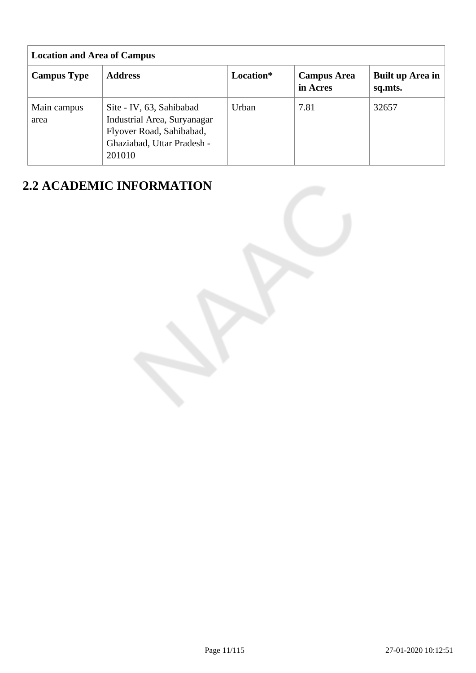| <b>Location and Area of Campus</b> |                                                                                                                             |           |                                |                             |
|------------------------------------|-----------------------------------------------------------------------------------------------------------------------------|-----------|--------------------------------|-----------------------------|
| <b>Campus Type</b>                 | <b>Address</b>                                                                                                              | Location* | <b>Campus Area</b><br>in Acres | Built up Area in<br>sq.mts. |
| Main campus<br>area                | Site - IV, 63, Sahibabad<br>Industrial Area, Suryanagar<br>Flyover Road, Sahibabad,<br>Ghaziabad, Uttar Pradesh -<br>201010 | Urban     | 7.81                           | 32657                       |

## **2.2 ACADEMIC INFORMATION**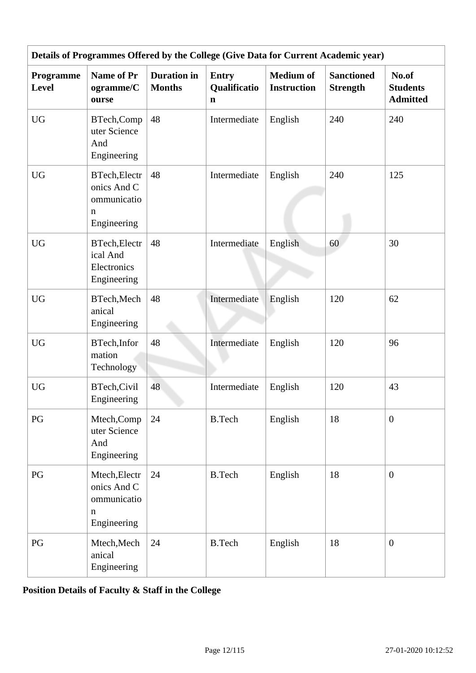|                           |                                                                        |                                     |                                             |                                        | Details of Programmes Offered by the College (Give Data for Current Academic year) |                                             |
|---------------------------|------------------------------------------------------------------------|-------------------------------------|---------------------------------------------|----------------------------------------|------------------------------------------------------------------------------------|---------------------------------------------|
| Programme<br><b>Level</b> | <b>Name of Pr</b><br>ogramme/C<br>ourse                                | <b>Duration</b> in<br><b>Months</b> | <b>Entry</b><br>Qualificatio<br>$\mathbf n$ | <b>Medium of</b><br><b>Instruction</b> | <b>Sanctioned</b><br><b>Strength</b>                                               | No.of<br><b>Students</b><br><b>Admitted</b> |
| ${\rm U}{\rm G}$          | BTech, Comp<br>uter Science<br>And<br>Engineering                      | 48                                  | Intermediate                                | English                                | 240                                                                                | 240                                         |
| <b>UG</b>                 | <b>BTech, Electr</b><br>onics And C<br>ommunicatio<br>n<br>Engineering | 48                                  | Intermediate                                | English                                | 240                                                                                | 125                                         |
| <b>UG</b>                 | <b>BTech, Electr</b><br>ical And<br>Electronics<br>Engineering         | 48                                  | Intermediate                                | English                                | 60                                                                                 | 30                                          |
| <b>UG</b>                 | BTech, Mech<br>anical<br>Engineering                                   | 48                                  | Intermediate                                | English                                | 120                                                                                | 62                                          |
| <b>UG</b>                 | BTech, Infor<br>mation<br>Technology                                   | 48                                  | Intermediate                                | English                                | 120                                                                                | 96                                          |
| ${\rm U}{\rm G}$          | BTech, Civil<br>Engineering                                            | 48                                  | Intermediate                                | English                                | 120                                                                                | 43                                          |
| PG                        | Mtech, Comp<br>uter Science<br>And<br>Engineering                      | 24                                  | <b>B.Tech</b>                               | English                                | 18                                                                                 | $\mathbf{0}$                                |
| PG                        | Mtech, Electr<br>onics And C<br>ommunicatio<br>n<br>Engineering        | 24                                  | <b>B.Tech</b>                               | English                                | 18                                                                                 | $\mathbf{0}$                                |
| PG                        | Mtech, Mech<br>anical<br>Engineering                                   | 24                                  | <b>B.Tech</b>                               | English                                | 18                                                                                 | $\overline{0}$                              |

**Position Details of Faculty & Staff in the College**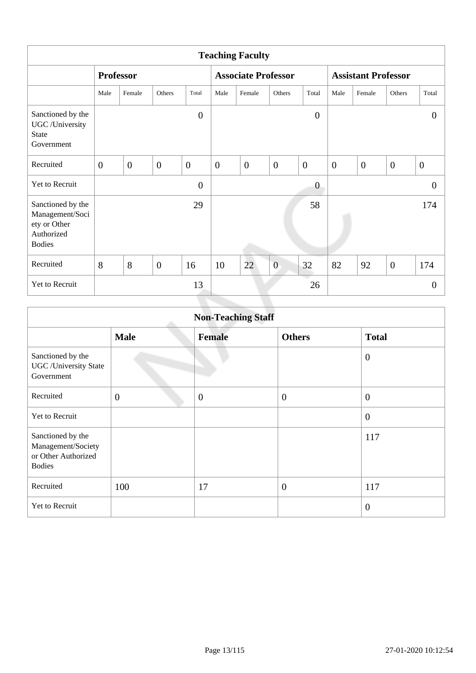| <b>Teaching Faculty</b>                                                             |                  |                  |                |                  |                            |                  |                |                            |                |                  |                |                |
|-------------------------------------------------------------------------------------|------------------|------------------|----------------|------------------|----------------------------|------------------|----------------|----------------------------|----------------|------------------|----------------|----------------|
|                                                                                     |                  | <b>Professor</b> |                |                  | <b>Associate Professor</b> |                  |                | <b>Assistant Professor</b> |                |                  |                |                |
|                                                                                     | Male             | Female           | Others         | Total            | Male                       | Female           | Others         | Total                      | Male           | Female           | Others         | Total          |
| Sanctioned by the<br>UGC /University<br><b>State</b><br>Government                  |                  |                  |                | $\boldsymbol{0}$ |                            |                  |                | $\overline{0}$             |                |                  |                | $\overline{0}$ |
| Recruited                                                                           | $\boldsymbol{0}$ | $\overline{0}$   | $\overline{0}$ | $\overline{0}$   | $\mathbf{0}$               | $\boldsymbol{0}$ | $\overline{0}$ | $\theta$                   | $\overline{0}$ | $\boldsymbol{0}$ | $\overline{0}$ | $\overline{0}$ |
| Yet to Recruit                                                                      |                  |                  |                | $\overline{0}$   |                            |                  |                | $\theta$                   |                |                  |                | $\theta$       |
| Sanctioned by the<br>Management/Soci<br>ety or Other<br>Authorized<br><b>Bodies</b> |                  |                  |                | 29               |                            |                  |                | 58                         |                |                  |                | 174            |
| Recruited                                                                           | 8                | 8                | $\overline{0}$ | 16               | 10                         | 22               | $\overline{0}$ | 32                         | 82             | 92               | $\mathbf{0}$   | 174            |
| Yet to Recruit                                                                      |                  |                  |                | 13               |                            |                  |                | 26                         |                |                  |                | $\theta$       |

|                                                                                 | <b>Non-Teaching Staff</b> |               |                  |                  |  |  |  |  |  |  |
|---------------------------------------------------------------------------------|---------------------------|---------------|------------------|------------------|--|--|--|--|--|--|
|                                                                                 | <b>Male</b>               | <b>Female</b> | <b>Others</b>    | <b>Total</b>     |  |  |  |  |  |  |
| Sanctioned by the<br><b>UGC</b> /University State<br>Government                 |                           |               |                  | $\theta$         |  |  |  |  |  |  |
| Recruited                                                                       | $\overline{0}$            | $\mathbf{0}$  | $\boldsymbol{0}$ | $\overline{0}$   |  |  |  |  |  |  |
| Yet to Recruit                                                                  |                           |               |                  | $\overline{0}$   |  |  |  |  |  |  |
| Sanctioned by the<br>Management/Society<br>or Other Authorized<br><b>Bodies</b> |                           |               |                  | 117              |  |  |  |  |  |  |
| Recruited                                                                       | 100                       | 17            | $\overline{0}$   | 117              |  |  |  |  |  |  |
| Yet to Recruit                                                                  |                           |               |                  | $\boldsymbol{0}$ |  |  |  |  |  |  |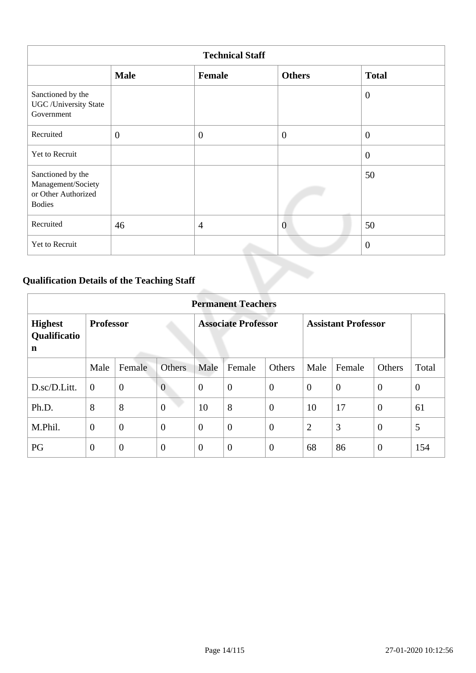| <b>Technical Staff</b>                                                          |                |                |                  |                |  |  |  |  |  |
|---------------------------------------------------------------------------------|----------------|----------------|------------------|----------------|--|--|--|--|--|
|                                                                                 | <b>Male</b>    | Female         | <b>Others</b>    | <b>Total</b>   |  |  |  |  |  |
| Sanctioned by the<br><b>UGC</b> / University State<br>Government                |                |                |                  | $\theta$       |  |  |  |  |  |
| Recruited                                                                       | $\overline{0}$ | $\overline{0}$ | $\boldsymbol{0}$ | $\overline{0}$ |  |  |  |  |  |
| Yet to Recruit                                                                  |                |                |                  | $\overline{0}$ |  |  |  |  |  |
| Sanctioned by the<br>Management/Society<br>or Other Authorized<br><b>Bodies</b> |                |                |                  | 50             |  |  |  |  |  |
| Recruited                                                                       | 46             | $\overline{4}$ | $\overline{0}$   | 50             |  |  |  |  |  |
| Yet to Recruit                                                                  |                |                |                  | $\overline{0}$ |  |  |  |  |  |

## **Qualification Details of the Teaching Staff**

|                                     | <b>Permanent Teachers</b> |                |                            |                |                |                            |                |                |                |                |  |
|-------------------------------------|---------------------------|----------------|----------------------------|----------------|----------------|----------------------------|----------------|----------------|----------------|----------------|--|
| <b>Highest</b><br>Qualificatio<br>n | <b>Professor</b>          |                | <b>Associate Professor</b> |                |                | <b>Assistant Professor</b> |                |                |                |                |  |
|                                     | Male                      | Female         | <b>Others</b>              | Male           | Female         | Others                     | Male           | Female         | <b>Others</b>  | Total          |  |
| D.sc/D.Litt.                        | $\overline{0}$            | $\overline{0}$ | $\overline{0}$             | $\overline{0}$ | $\overline{0}$ | $\overline{0}$             | $\theta$       | $\overline{0}$ | $\overline{0}$ | $\overline{0}$ |  |
| Ph.D.                               | 8                         | 8              | $\overline{0}$             | 10             | 8              | $\overline{0}$             | 10             | 17             | $\overline{0}$ | 61             |  |
| M.Phil.                             | $\boldsymbol{0}$          | $\overline{0}$ | $\overline{0}$             | $\overline{0}$ | $\overline{0}$ | $\overline{0}$             | $\overline{2}$ | 3              | $\overline{0}$ | 5              |  |
| PG                                  | $\overline{0}$            | $\overline{0}$ | $\overline{0}$             | $\theta$       | $\overline{0}$ | $\overline{0}$             | 68             | 86             | $\theta$       | 154            |  |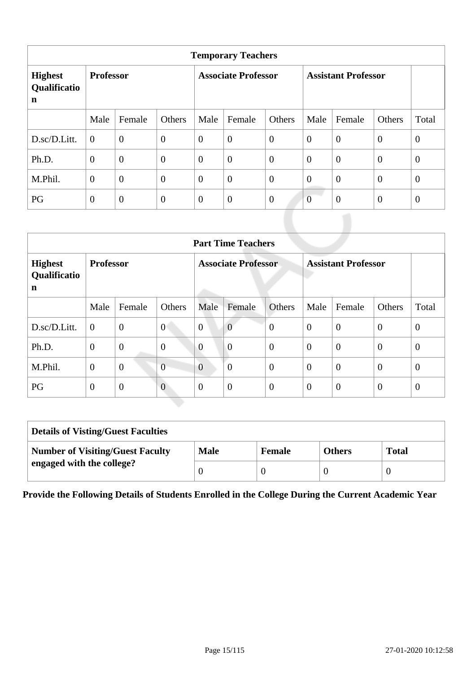| <b>Temporary Teachers</b>           |                  |                |                            |                |                  |                            |                  |                  |                  |                |  |
|-------------------------------------|------------------|----------------|----------------------------|----------------|------------------|----------------------------|------------------|------------------|------------------|----------------|--|
| <b>Highest</b><br>Qualificatio<br>n | <b>Professor</b> |                | <b>Associate Professor</b> |                |                  | <b>Assistant Professor</b> |                  |                  |                  |                |  |
|                                     | Male             | Female         | Others                     | Male           | Female           | Others                     | Male             | Female           | Others           | Total          |  |
| D.sc/D.Litt.                        | $\Omega$         | $\overline{0}$ | $\boldsymbol{0}$           | $\theta$       | $\boldsymbol{0}$ | $\mathbf{0}$               | $\boldsymbol{0}$ | $\overline{0}$   | $\mathbf{0}$     | $\overline{0}$ |  |
| Ph.D.                               | $\overline{0}$   | $\overline{0}$ | $\mathbf{0}$               | $\overline{0}$ | $\overline{0}$   | $\overline{0}$             | $\mathbf{0}$     | $\boldsymbol{0}$ | $\boldsymbol{0}$ | $\theta$       |  |
| M.Phil.                             | $\overline{0}$   | $\overline{0}$ | $\boldsymbol{0}$           | $\overline{0}$ | $\overline{0}$   | $\overline{0}$             | $\overline{0}$   | $\overline{0}$   | $\mathbf{0}$     | $\overline{0}$ |  |
| PG                                  | $\overline{0}$   | $\overline{0}$ | $\mathbf{0}$               | $\overline{0}$ | $\overline{0}$   | $\overline{0}$             | $\overline{0}$   | $\theta$         | $\theta$         | $\overline{0}$ |  |

|                                     | <b>Part Time Teachers</b> |                |                  |                            |                |                  |                            |                |                |              |  |
|-------------------------------------|---------------------------|----------------|------------------|----------------------------|----------------|------------------|----------------------------|----------------|----------------|--------------|--|
| <b>Highest</b><br>Qualificatio<br>n | <b>Professor</b>          |                |                  | <b>Associate Professor</b> |                |                  | <b>Assistant Professor</b> |                |                |              |  |
|                                     | Male                      | Female         | Others           | Male                       | Female         | Others           | Male                       | Female         | Others         | Total        |  |
| D.sc/D.Litt.                        | $\overline{0}$            | $\overline{0}$ | $\overline{0}$   | $\boldsymbol{0}$           | $\overline{0}$ | $\overline{0}$   | $\overline{0}$             | $\overline{0}$ | $\overline{0}$ | $\mathbf{0}$ |  |
| Ph.D.                               | $\boldsymbol{0}$          | $\overline{0}$ | $\boldsymbol{0}$ | $\overline{0}$             | $\overline{0}$ | $\theta$         | $\theta$                   | $\overline{0}$ | $\overline{0}$ | $\theta$     |  |
| M.Phil.                             | $\overline{0}$            | $\overline{0}$ | $\overline{0}$   | $\overline{0}$             | $\overline{0}$ | $\overline{0}$   | $\theta$                   | $\overline{0}$ | $\overline{0}$ | $\mathbf{0}$ |  |
| PG                                  | $\boldsymbol{0}$          | $\mathbf{0}$   | $\overline{0}$   | $\overline{0}$             | $\overline{0}$ | $\boldsymbol{0}$ | $\overline{0}$             | $\overline{0}$ | $\overline{0}$ | $\theta$     |  |

| <b>Details of Visting/Guest Faculties</b> |             |               |               |              |  |  |  |  |
|-------------------------------------------|-------------|---------------|---------------|--------------|--|--|--|--|
| <b>Number of Visiting/Guest Faculty</b>   | <b>Male</b> | <b>Female</b> | <b>Others</b> | <b>Total</b> |  |  |  |  |
| engaged with the college?                 |             |               |               |              |  |  |  |  |

**Provide the Following Details of Students Enrolled in the College During the Current Academic Year**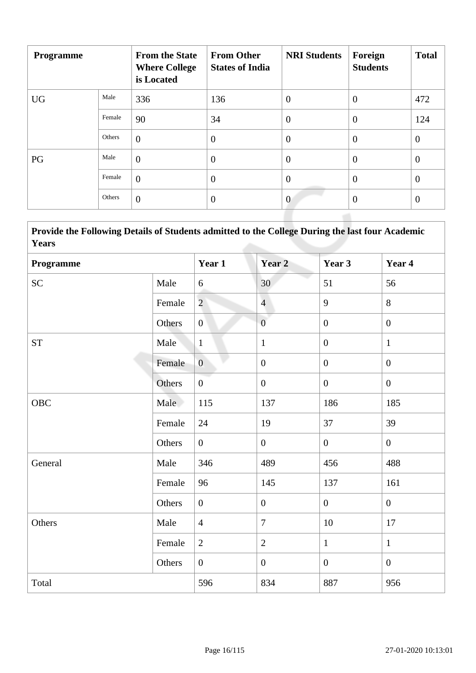| Programme |        | <b>From the State</b><br><b>Where College</b><br>is Located | <b>From Other</b><br><b>States of India</b> | <b>NRI Students</b> | Foreign<br><b>Students</b> | <b>Total</b>   |
|-----------|--------|-------------------------------------------------------------|---------------------------------------------|---------------------|----------------------------|----------------|
| <b>UG</b> | Male   | 336                                                         | 136                                         | $\overline{0}$      | $\theta$                   | 472            |
|           | Female | 90                                                          | 34                                          | $\overline{0}$      | $\overline{0}$             | 124            |
|           | Others | $\overline{0}$                                              | $\overline{0}$                              | $\overline{0}$      | $\theta$                   | $\overline{0}$ |
| PG        | Male   | $\overline{0}$                                              | $\overline{0}$                              | $\overline{0}$      | $\theta$                   | $\mathbf{0}$   |
|           | Female | $\overline{0}$                                              | $\boldsymbol{0}$                            | $\overline{0}$      | $\overline{0}$             | $\mathbf{0}$   |
|           | Others | $\overline{0}$                                              | $\boldsymbol{0}$                            | $\theta$            | $\theta$                   | $\overline{0}$ |
|           |        |                                                             |                                             |                     |                            |                |

 **Provide the Following Details of Students admitted to the College During the last four Academic Years**

| Programme          |        | Year 1         | Year <sub>2</sub> | Year 3           | Year 4           |
|--------------------|--------|----------------|-------------------|------------------|------------------|
| <b>SC</b>          | Male   | 6              | 30                | 51               | 56               |
|                    | Female | $\overline{2}$ | $\overline{4}$    | 9                | 8                |
|                    | Others | $\overline{0}$ | $\overline{0}$    | $\boldsymbol{0}$ | $\boldsymbol{0}$ |
| ${\cal S}{\cal T}$ | Male   | $\mathbf{1}$   | $\mathbf{1}$      | $\boldsymbol{0}$ | $\mathbf{1}$     |
|                    | Female | $\overline{0}$ | $\boldsymbol{0}$  | $\mathbf{0}$     | $\mathbf{0}$     |
|                    | Others | $\overline{0}$ | $\boldsymbol{0}$  | $\mathbf{0}$     | $\overline{0}$   |
| <b>OBC</b>         | Male   | 115            | 137               | 186              | 185              |
|                    | Female | 24             | 19                | 37               | 39               |
|                    | Others | $\overline{0}$ | $\boldsymbol{0}$  | $\mathbf{0}$     | $\overline{0}$   |
| General            | Male   | 346            | 489               | 456              | 488              |
|                    | Female | 96             | 145               | 137              | 161              |
|                    | Others | $\overline{0}$ | $\overline{0}$    | $\mathbf{0}$     | $\overline{0}$   |
| Others             | Male   | $\overline{4}$ | $\boldsymbol{7}$  | $10\,$           | 17               |
|                    | Female | $\overline{2}$ | $\mathbf{2}$      | $\mathbf{1}$     | $\mathbf{1}$     |
|                    | Others | $\overline{0}$ | $\boldsymbol{0}$  | $\mathbf{0}$     | $\boldsymbol{0}$ |
| Total              |        | 596            | 834               | 887              | 956              |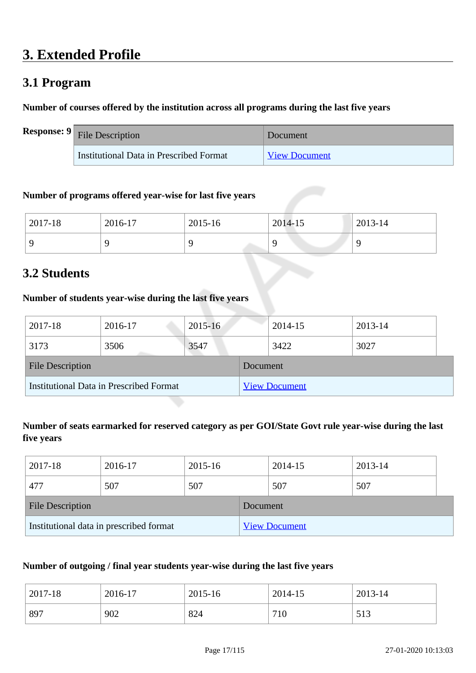## **3. Extended Profile**

## **3.1 Program**

#### **Number of courses offered by the institution across all programs during the last five years**

| <b>Response:</b> $9$ File Description   | Document      |
|-----------------------------------------|---------------|
| Institutional Data in Prescribed Format | View Document |

#### **Number of programs offered year-wise for last five years**

| 2017-18 | 2016-17 | 2015-16 | 2014-15 | 2013-14 |
|---------|---------|---------|---------|---------|
|         |         |         |         |         |

## **3.2 Students**

#### **Number of students year-wise during the last five years**

| 2017-18                                 | 2016-17 | $2015 - 16$ |                      | 2014-15 | 2013-14 |  |
|-----------------------------------------|---------|-------------|----------------------|---------|---------|--|
| 3173                                    | 3506    | 3547        |                      | 3422    | 3027    |  |
| <b>File Description</b>                 |         |             | Document             |         |         |  |
| Institutional Data in Prescribed Format |         |             | <b>View Document</b> |         |         |  |

#### **Number of seats earmarked for reserved category as per GOI/State Govt rule year-wise during the last five years**

| 2017-18                                 | 2016-17 | 2015-16  |                      | 2014-15 | 2013-14 |  |
|-----------------------------------------|---------|----------|----------------------|---------|---------|--|
| 477                                     | 507     | 507      |                      | 507     | 507     |  |
| <b>File Description</b>                 |         | Document |                      |         |         |  |
| Institutional data in prescribed format |         |          | <b>View Document</b> |         |         |  |

#### **Number of outgoing / final year students year-wise during the last five years**

| 2017-18 | 2016-17 | 2015-16 | 2014-15 | 2013-14     |
|---------|---------|---------|---------|-------------|
| 897     | 902     | 824     | 710     | 513<br>91 J |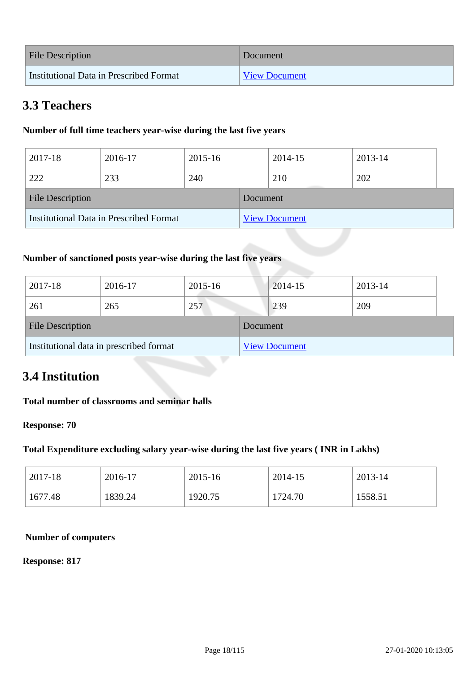| <b>File Description</b>                 | Document             |
|-----------------------------------------|----------------------|
| Institutional Data in Prescribed Format | <b>View Document</b> |

## **3.3 Teachers**

#### **Number of full time teachers year-wise during the last five years**

| 2017-18                                 | 2016-17 | 2015-16 |                      | 2014-15 | 2013-14 |  |
|-----------------------------------------|---------|---------|----------------------|---------|---------|--|
| 222                                     | 233     | 240     |                      | 210     | 202     |  |
| <b>File Description</b>                 |         |         | Document             |         |         |  |
| Institutional Data in Prescribed Format |         |         | <b>View Document</b> |         |         |  |

#### **Number of sanctioned posts year-wise during the last five years**

| 2017-18                                 | 2016-17 | 2015-16 |                      | $2014 - 15$ | 2013-14 |
|-----------------------------------------|---------|---------|----------------------|-------------|---------|
| 261                                     | 265     | 257     |                      | 239         | 209     |
| <b>File Description</b>                 |         |         | Document             |             |         |
| Institutional data in prescribed format |         |         | <b>View Document</b> |             |         |

## **3.4 Institution**

#### **Total number of classrooms and seminar halls**

#### **Response: 70**

#### **Total Expenditure excluding salary year-wise during the last five years ( INR in Lakhs)**

| 2017-18 | 2016-17 | 2015-16 | 2014-15 | 2013-14 |
|---------|---------|---------|---------|---------|
| 1677.48 | 1839.24 | 1920.75 | 1724.70 | 1558.51 |

#### **Number of computers**

#### **Response: 817**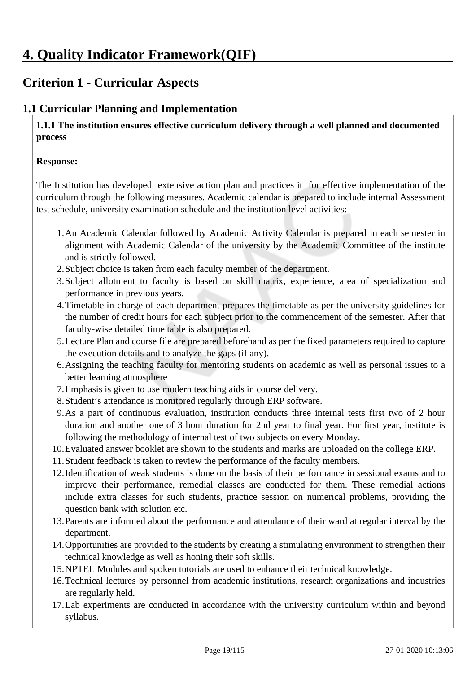## **Criterion 1 - Curricular Aspects**

### **1.1 Curricular Planning and Implementation**

 **1.1.1 The institution ensures effective curriculum delivery through a well planned and documented process** 

#### **Response:**

The Institution has developed extensive action plan and practices it for effective implementation of the curriculum through the following measures. Academic calendar is prepared to include internal Assessment test schedule, university examination schedule and the institution level activities:

- 1.An Academic Calendar followed by Academic Activity Calendar is prepared in each semester in alignment with Academic Calendar of the university by the Academic Committee of the institute and is strictly followed.
- 2.Subject choice is taken from each faculty member of the department.
- 3.Subject allotment to faculty is based on skill matrix, experience, area of specialization and performance in previous years.
- 4.Timetable in-charge of each department prepares the timetable as per the university guidelines for the number of credit hours for each subject prior to the commencement of the semester. After that faculty-wise detailed time table is also prepared.
- 5.Lecture Plan and course file are prepared beforehand as per the fixed parameters required to capture the execution details and to analyze the gaps (if any).
- 6.Assigning the teaching faculty for mentoring students on academic as well as personal issues to a better learning atmosphere
- 7.Emphasis is given to use modern teaching aids in course delivery.
- 8.Student's attendance is monitored regularly through ERP software.
- 9.As a part of continuous evaluation, institution conducts three internal tests first two of 2 hour duration and another one of 3 hour duration for 2nd year to final year. For first year, institute is following the methodology of internal test of two subjects on every Monday.
- 10.Evaluated answer booklet are shown to the students and marks are uploaded on the college ERP.
- 11.Student feedback is taken to review the performance of the faculty members.
- 12.Identification of weak students is done on the basis of their performance in sessional exams and to improve their performance, remedial classes are conducted for them. These remedial actions include extra classes for such students, practice session on numerical problems, providing the question bank with solution etc.
- 13.Parents are informed about the performance and attendance of their ward at regular interval by the department.
- 14.Opportunities are provided to the students by creating a stimulating environment to strengthen their technical knowledge as well as honing their soft skills.
- 15.NPTEL Modules and spoken tutorials are used to enhance their technical knowledge.
- 16.Technical lectures by personnel from academic institutions, research organizations and industries are regularly held.
- 17.Lab experiments are conducted in accordance with the university curriculum within and beyond syllabus.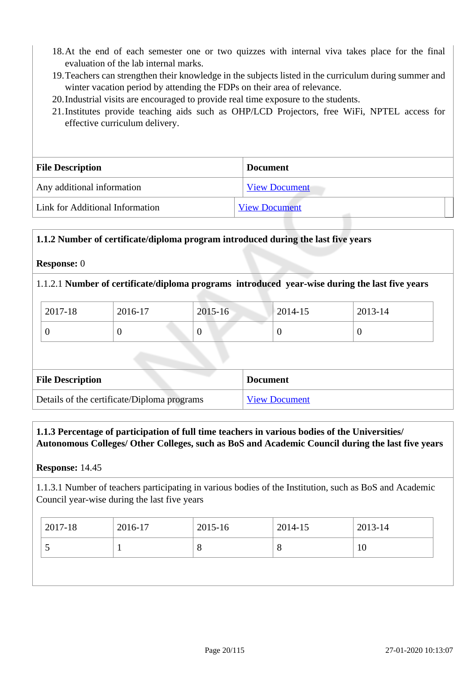- 18.At the end of each semester one or two quizzes with internal viva takes place for the final evaluation of the lab internal marks.
- 19.Teachers can strengthen their knowledge in the subjects listed in the curriculum during summer and winter vacation period by attending the FDPs on their area of relevance.
- 20.Industrial visits are encouraged to provide real time exposure to the students.
- 21.Institutes provide teaching aids such as OHP/LCD Projectors, free WiFi, NPTEL access for effective curriculum delivery.

| <b>File Description</b>         | <b>Document</b>      |
|---------------------------------|----------------------|
| Any additional information      | <b>View Document</b> |
| Link for Additional Information | <b>View Document</b> |

#### **1.1.2 Number of certificate/diploma program introduced during the last five years**

#### **Response:** 0

#### 1.1.2.1 **Number of certificate/diploma programs introduced year-wise during the last five years**

| 2017-18 | 2016-17 | 2015-16 | $ 2014-15$ | 2013-14 |
|---------|---------|---------|------------|---------|
|         |         |         | $\theta$   |         |

| <b>File Description</b>                     | <b>Document</b>      |
|---------------------------------------------|----------------------|
| Details of the certificate/Diploma programs | <b>View Document</b> |

#### **1.1.3 Percentage of participation of full time teachers in various bodies of the Universities/ Autonomous Colleges/ Other Colleges, such as BoS and Academic Council during the last five years**

#### **Response:** 14.45

1.1.3.1 Number of teachers participating in various bodies of the Institution, such as BoS and Academic Council year-wise during the last five years

| 2017-18 | 2016-17 | 2015-16      | 2014-15 | 2013-14 |
|---------|---------|--------------|---------|---------|
|         |         | O<br>$\circ$ | $\circ$ | 10      |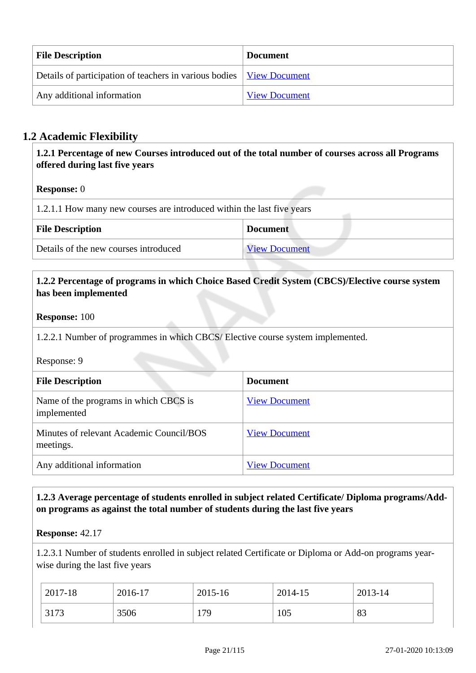| <b>File Description</b>                                                       | <b>Document</b>      |
|-------------------------------------------------------------------------------|----------------------|
| Details of participation of teachers in various bodies   <u>View Document</u> |                      |
| Any additional information                                                    | <b>View Document</b> |

### **1.2 Academic Flexibility**

 **1.2.1 Percentage of new Courses introduced out of the total number of courses across all Programs offered during last five years**

#### **Response:** 0

| 1.2.1.1 How many new courses are introduced within the last five years |                      |  |  |
|------------------------------------------------------------------------|----------------------|--|--|
| <b>File Description</b><br><b>Document</b>                             |                      |  |  |
| Details of the new courses introduced                                  | <b>View Document</b> |  |  |

#### **1.2.2 Percentage of programs in which Choice Based Credit System (CBCS)/Elective course system has been implemented**

#### **Response:** 100

1.2.2.1 Number of programmes in which CBCS/ Elective course system implemented.

Response: 9

| <b>File Description</b>                               | <b>Document</b>      |
|-------------------------------------------------------|----------------------|
| Name of the programs in which CBCS is<br>implemented  | <b>View Document</b> |
| Minutes of relevant Academic Council/BOS<br>meetings. | <b>View Document</b> |
| Any additional information                            | <b>View Document</b> |

#### **1.2.3 Average percentage of students enrolled in subject related Certificate/ Diploma programs/Addon programs as against the total number of students during the last five years**

#### **Response:** 42.17

1.2.3.1 Number of students enrolled in subject related Certificate or Diploma or Add-on programs yearwise during the last five years

| 2017-18 | 2016-17 | 2015-16 | 2014-15 | 2013-14 |
|---------|---------|---------|---------|---------|
| 3173    | 3506    | 179     | 105     | 83      |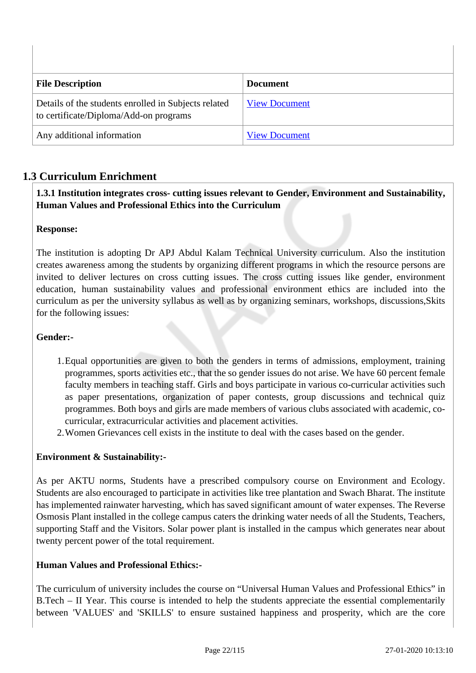| <b>File Description</b>                                                                        | <b>Document</b>      |
|------------------------------------------------------------------------------------------------|----------------------|
| Details of the students enrolled in Subjects related<br>to certificate/Diploma/Add-on programs | <b>View Document</b> |
| Any additional information                                                                     | <b>View Document</b> |

### **1.3 Curriculum Enrichment**

 **1.3.1 Institution integrates cross- cutting issues relevant to Gender, Environment and Sustainability, Human Values and Professional Ethics into the Curriculum**

#### **Response:**

The institution is adopting Dr APJ Abdul Kalam Technical University curriculum. Also the institution creates awareness among the students by organizing different programs in which the resource persons are invited to deliver lectures on cross cutting issues. The cross cutting issues like gender, environment education, human sustainability values and professional environment ethics are included into the curriculum as per the university syllabus as well as by organizing seminars, workshops, discussions,Skits for the following issues:

#### **Gender:-**

- 1.Equal opportunities are given to both the genders in terms of admissions, employment, training programmes, sports activities etc., that the so gender issues do not arise. We have 60 percent female faculty members in teaching staff. Girls and boys participate in various co-curricular activities such as paper presentations, organization of paper contests, group discussions and technical quiz programmes. Both boys and girls are made members of various clubs associated with academic, cocurricular, extracurricular activities and placement activities.
- 2.Women Grievances cell exists in the institute to deal with the cases based on the gender.

#### **Environment & Sustainability:-**

As per AKTU norms, Students have a prescribed compulsory course on Environment and Ecology. Students are also encouraged to participate in activities like tree plantation and Swach Bharat. The institute has implemented rainwater harvesting, which has saved significant amount of water expenses. The Reverse Osmosis Plant installed in the college campus caters the drinking water needs of all the Students, Teachers, supporting Staff and the Visitors. Solar power plant is installed in the campus which generates near about twenty percent power of the total requirement.

#### **Human Values and Professional Ethics:-**

The curriculum of university includes the course on "Universal Human Values and Professional Ethics" in B.Tech – II Year. This course is intended to help the students appreciate the essential complementarily between 'VALUES' and 'SKILLS' to ensure sustained happiness and prosperity, which are the core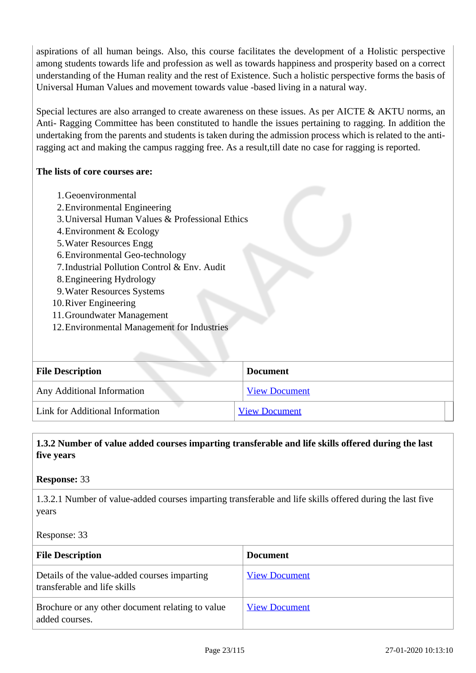aspirations of all human beings. Also, this course facilitates the development of a Holistic perspective among students towards life and profession as well as towards happiness and prosperity based on a correct understanding of the Human reality and the rest of Existence. Such a holistic perspective forms the basis of Universal Human Values and movement towards value -based living in a natural way.

Special lectures are also arranged to create awareness on these issues. As per AICTE & AKTU norms, an Anti- Ragging Committee has been constituted to handle the issues pertaining to ragging. In addition the undertaking from the parents and students is taken during the admission process which is related to the antiragging act and making the campus ragging free. As a result,till date no case for ragging is reported.

#### **The lists of core courses are:**

- 1.Geoenvironmental
- 2.Environmental Engineering
- 3.Universal Human Values & Professional Ethics
- 4.Environment & Ecology
- 5.Water Resources Engg
- 6.Environmental Geo-technology
- 7.Industrial Pollution Control & Env. Audit
- 8.Engineering Hydrology
- 9.Water Resources Systems
- 10.River Engineering
- 11.Groundwater Management
- 12.Environmental Management for Industries

| <b>File Description</b>           | <b>Document</b>      |
|-----------------------------------|----------------------|
| <b>Any Additional Information</b> | <b>View Document</b> |
| Link for Additional Information   | <b>View Document</b> |

#### **1.3.2 Number of value added courses imparting transferable and life skills offered during the last five years**

#### **Response:** 33

1.3.2.1 Number of value-added courses imparting transferable and life skills offered during the last five years

#### Response: 33

| <b>File Description</b>                                                      | <b>Document</b>      |
|------------------------------------------------------------------------------|----------------------|
| Details of the value-added courses imparting<br>transferable and life skills | <b>View Document</b> |
| Brochure or any other document relating to value<br>added courses.           | <b>View Document</b> |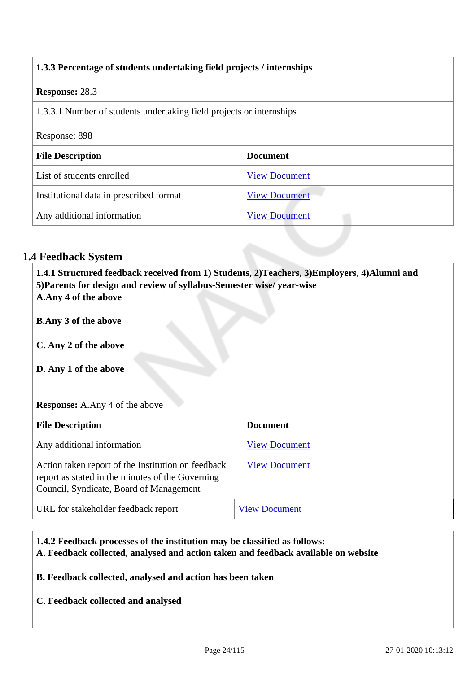| 1.3.3 Percentage of students undertaking field projects / internships |                      |  |
|-----------------------------------------------------------------------|----------------------|--|
| <b>Response: 28.3</b>                                                 |                      |  |
| 1.3.3.1 Number of students undertaking field projects or internships  |                      |  |
| Response: 898                                                         |                      |  |
| <b>Document</b><br><b>File Description</b>                            |                      |  |
| List of students enrolled                                             | <b>View Document</b> |  |
| Institutional data in prescribed format                               | <b>View Document</b> |  |
| Any additional information                                            | <b>View Document</b> |  |

#### **1.4 Feedback System**

 **1.4.1 Structured feedback received from 1) Students, 2)Teachers, 3)Employers, 4)Alumni and 5)Parents for design and review of syllabus-Semester wise/ year-wise A.Any 4 of the above**

**B.Any 3 of the above**

**C. Any 2 of the above**

**D. Any 1 of the above**

#### **Response:** A.Any 4 of the above

| <b>File Description</b>                                                                                                                           | <b>Document</b>      |
|---------------------------------------------------------------------------------------------------------------------------------------------------|----------------------|
| Any additional information                                                                                                                        | <b>View Document</b> |
| Action taken report of the Institution on feedback<br>report as stated in the minutes of the Governing<br>Council, Syndicate, Board of Management | <b>View Document</b> |
| URL for stakeholder feedback report                                                                                                               | <b>View Document</b> |

### **1.4.2 Feedback processes of the institution may be classified as follows: A. Feedback collected, analysed and action taken and feedback available on website**

**B. Feedback collected, analysed and action has been taken**

**C. Feedback collected and analysed**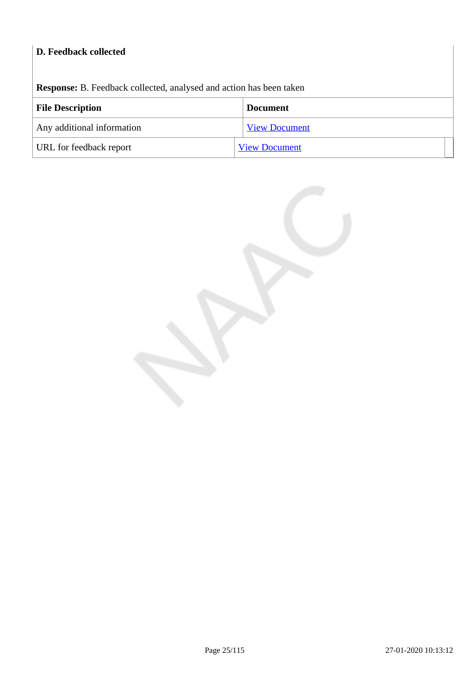### **D. Feedback collected**

**Response:** B. Feedback collected, analysed and action has been taken

| <b>File Description</b>    | <b>Document</b>      |  |
|----------------------------|----------------------|--|
| Any additional information | <b>View Document</b> |  |
| URL for feedback report    | <b>View Document</b> |  |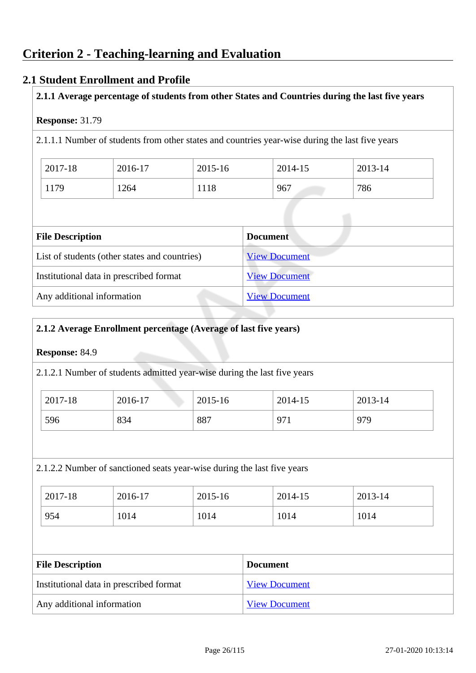#### **2.1 Student Enrollment and Profile**

#### **2.1.1 Average percentage of students from other States and Countries during the last five years**

#### **Response:** 31.79

2.1.1.1 Number of students from other states and countries year-wise during the last five years

| 2017-18 | 2016-17 | 2015-16 | 2014-15 | 2013-14 |
|---------|---------|---------|---------|---------|
| 1179    | 1264    | 1118    | 967     | 786     |

| <b>File Description</b>                       | <b>Document</b>      |
|-----------------------------------------------|----------------------|
| List of students (other states and countries) | <b>View Document</b> |
| Institutional data in prescribed format       | <b>View Document</b> |
| Any additional information                    | <b>View Document</b> |

#### **2.1.2 Average Enrollment percentage (Average of last five years)**

#### **Response:** 84.9

2.1.2.1 Number of students admitted year-wise during the last five years

| 2017-18 | 2016-17 | 2015-16 | 2014-15            | 2013-14 |
|---------|---------|---------|--------------------|---------|
| 596     | 834     | 887     | Q7<br><i>,</i> , , | 979     |

#### 2.1.2.2 Number of sanctioned seats year-wise during the last five years

| 2017-18 | 2016-17 | 2015-16 | 2014-15 | 2013-14 |
|---------|---------|---------|---------|---------|
| 954     | 1014    | 1014    | 1014    | 1014    |

| <b>File Description</b>                 | <b>Document</b>      |  |
|-----------------------------------------|----------------------|--|
| Institutional data in prescribed format | <b>View Document</b> |  |
| Any additional information              | <b>View Document</b> |  |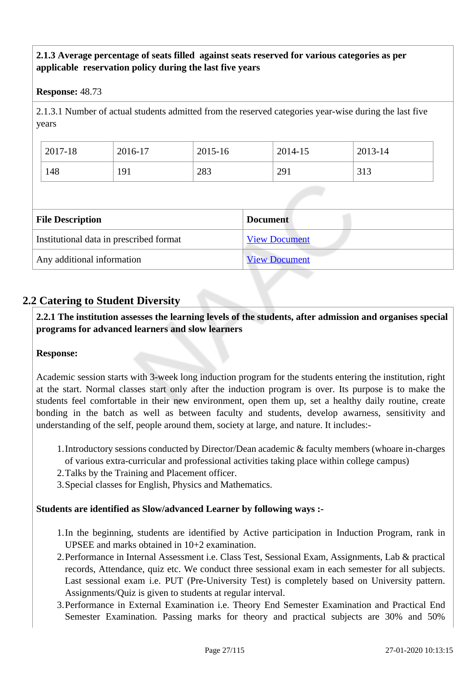#### **2.1.3 Average percentage of seats filled against seats reserved for various categories as per applicable reservation policy during the last five years**

#### **Response:** 48.73

2.1.3.1 Number of actual students admitted from the reserved categories year-wise during the last five years

| 2017-18 | 2016-17 | 2015-16 | 2014-15 | 2013-14 |
|---------|---------|---------|---------|---------|
| 148     | 191     | 283     | 291     | 313     |

| <b>File Description</b>                 | <b>Document</b>      |
|-----------------------------------------|----------------------|
| Institutional data in prescribed format | <b>View Document</b> |
| Any additional information              | <b>View Document</b> |

#### **2.2 Catering to Student Diversity**

 **2.2.1 The institution assesses the learning levels of the students, after admission and organises special programs for advanced learners and slow learners**

#### **Response:**

Academic session starts with 3-week long induction program for the students entering the institution, right at the start. Normal classes start only after the induction program is over. Its purpose is to make the students feel comfortable in their new environment, open them up, set a healthy daily routine, create bonding in the batch as well as between faculty and students, develop awarness, sensitivity and understanding of the self, people around them, society at large, and nature. It includes:-

- 1.Introductory sessions conducted by Director/Dean academic & faculty members (whoare in-charges of various extra-curricular and professional activities taking place within college campus)
- 2.Talks by the Training and Placement officer.
- 3.Special classes for English, Physics and Mathematics.

#### **Students are identified as Slow/advanced Learner by following ways :-**

- 1.In the beginning, students are identified by Active participation in Induction Program, rank in UPSEE and marks obtained in 10+2 examination.
- 2.Performance in Internal Assessment i.e. Class Test, Sessional Exam, Assignments, Lab & practical records, Attendance, quiz etc. We conduct three sessional exam in each semester for all subjects. Last sessional exam i.e. PUT (Pre-University Test) is completely based on University pattern. Assignments/Quiz is given to students at regular interval.
- 3.Performance in External Examination i.e. Theory End Semester Examination and Practical End Semester Examination. Passing marks for theory and practical subjects are 30% and 50%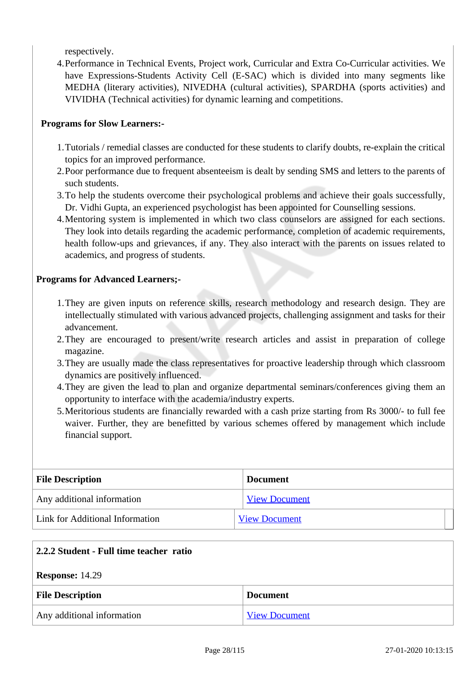respectively.

4.Performance in Technical Events, Project work, Curricular and Extra Co-Curricular activities. We have Expressions-Students Activity Cell (E-SAC) which is divided into many segments like MEDHA (literary activities), NIVEDHA (cultural activities), SPARDHA (sports activities) and VIVIDHA (Technical activities) for dynamic learning and competitions.

#### **Programs for Slow Learners:-**

- 1.Tutorials / remedial classes are conducted for these students to clarify doubts, re-explain the critical topics for an improved performance.
- 2.Poor performance due to frequent absenteeism is dealt by sending SMS and letters to the parents of such students.
- 3.To help the students overcome their psychological problems and achieve their goals successfully, Dr. Vidhi Gupta, an experienced psychologist has been appointed for Counselling sessions.
- 4.Mentoring system is implemented in which two class counselors are assigned for each sections. They look into details regarding the academic performance, completion of academic requirements, health follow-ups and grievances, if any. They also interact with the parents on issues related to academics, and progress of students.

#### **Programs for Advanced Learners;-**

- 1.They are given inputs on reference skills, research methodology and research design. They are intellectually stimulated with various advanced projects, challenging assignment and tasks for their advancement.
- 2.They are encouraged to present/write research articles and assist in preparation of college magazine.
- 3.They are usually made the class representatives for proactive leadership through which classroom dynamics are positively influenced.
- 4.They are given the lead to plan and organize departmental seminars/conferences giving them an opportunity to interface with the academia/industry experts.
- 5.Meritorious students are financially rewarded with a cash prize starting from Rs 3000/- to full fee waiver. Further, they are benefitted by various schemes offered by management which include financial support.

| <b>File Description</b>         | <b>Document</b>      |
|---------------------------------|----------------------|
| Any additional information      | <b>View Document</b> |
| Link for Additional Information | <b>View Document</b> |

| 2.2.2 Student - Full time teacher ratio |                      |  |
|-----------------------------------------|----------------------|--|
| <b>Response: 14.29</b>                  |                      |  |
| <b>File Description</b>                 | <b>Document</b>      |  |
| Any additional information              | <b>View Document</b> |  |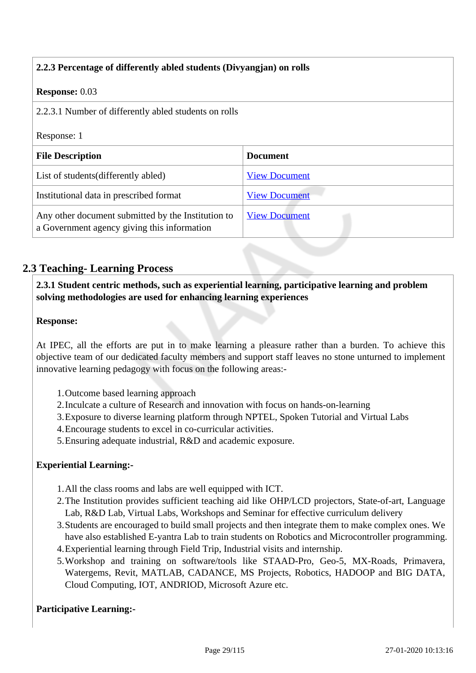| 2.2.3 Percentage of differently abled students (Divyangian) on rolls                              |                      |  |
|---------------------------------------------------------------------------------------------------|----------------------|--|
| <b>Response: 0.03</b>                                                                             |                      |  |
| 2.2.3.1 Number of differently abled students on rolls                                             |                      |  |
| Response: 1                                                                                       |                      |  |
| <b>File Description</b>                                                                           | <b>Document</b>      |  |
| List of students (differently abled)                                                              | <b>View Document</b> |  |
| Institutional data in prescribed format                                                           | <b>View Document</b> |  |
| Any other document submitted by the Institution to<br>a Government agency giving this information | <b>View Document</b> |  |

### **2.3 Teaching- Learning Process**

 **2.3.1 Student centric methods, such as experiential learning, participative learning and problem solving methodologies are used for enhancing learning experiences**

#### **Response:**

At IPEC, all the efforts are put in to make learning a pleasure rather than a burden. To achieve this objective team of our dedicated faculty members and support staff leaves no stone unturned to implement innovative learning pedagogy with focus on the following areas:-

- 1.Outcome based learning approach
- 2.Inculcate a culture of Research and innovation with focus on hands-on-learning
- 3.Exposure to diverse learning platform through NPTEL, Spoken Tutorial and Virtual Labs
- 4.Encourage students to excel in co-curricular activities.
- 5.Ensuring adequate industrial, R&D and academic exposure.

#### **Experiential Learning:-**

- 1.All the class rooms and labs are well equipped with ICT.
- 2.The Institution provides sufficient teaching aid like OHP/LCD projectors, State-of-art, Language Lab, R&D Lab, Virtual Labs, Workshops and Seminar for effective curriculum delivery
- 3.Students are encouraged to build small projects and then integrate them to make complex ones. We have also established E-yantra Lab to train students on Robotics and Microcontroller programming.
- 4.Experiential learning through Field Trip, Industrial visits and internship.
- 5.Workshop and training on software/tools like STAAD-Pro, Geo-5, MX-Roads, Primavera, Watergems, Revit, MATLAB, CADANCE, MS Projects, Robotics, HADOOP and BIG DATA, Cloud Computing, IOT, ANDRIOD, Microsoft Azure etc.

#### **Participative Learning:-**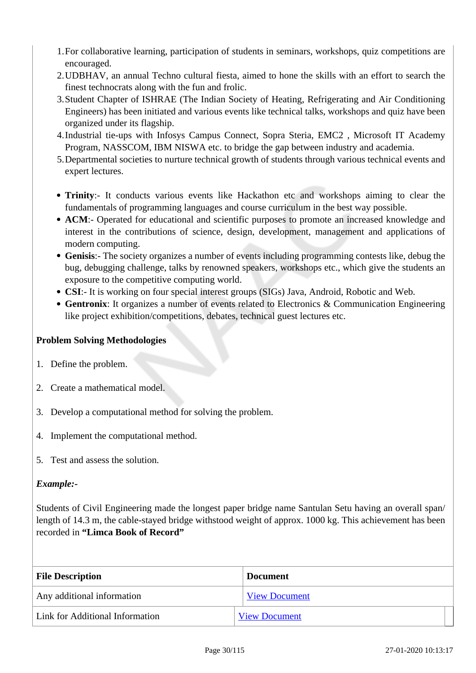- 1.For collaborative learning, participation of students in seminars, workshops, quiz competitions are encouraged.
- 2.UDBHAV, an annual Techno cultural fiesta, aimed to hone the skills with an effort to search the finest technocrats along with the fun and frolic.
- 3.Student Chapter of ISHRAE (The Indian Society of Heating, Refrigerating and Air Conditioning Engineers) has been initiated and various events like technical talks, workshops and quiz have been organized under its flagship.
- 4.Industrial tie-ups with Infosys Campus Connect, Sopra Steria, EMC2 , Microsoft IT Academy Program, NASSCOM, IBM NISWA etc. to bridge the gap between industry and academia.
- 5.Departmental societies to nurture technical growth of students through various technical events and expert lectures.
- **Trinity**:- It conducts various events like Hackathon etc and workshops aiming to clear the fundamentals of programming languages and course curriculum in the best way possible.
- **ACM**:- Operated for educational and scientific purposes to promote an increased knowledge and interest in the contributions of science, design, development, management and applications of modern computing.
- **Genisis**:- The society organizes a number of events including programming contests like, debug the bug, debugging challenge, talks by renowned speakers, workshops etc., which give the students an exposure to the competitive computing world.
- **CSI**:- It is working on four special interest groups (SIGs) Java, Android, Robotic and Web.
- **Gentronix**: It organizes a number of events related to Electronics & Communication Engineering like project exhibition/competitions, debates, technical guest lectures etc.

#### **Problem Solving Methodologies**

- 1. Define the problem.
- 2. Create a mathematical model.
- 3. Develop a computational method for solving the problem.
- 4. Implement the computational method.
- 5. Test and assess the solution.

#### *Example:-*

Students of Civil Engineering made the longest paper bridge name Santulan Setu having an overall span/ length of 14.3 m, the cable-stayed bridge withstood weight of approx. 1000 kg. This achievement has been recorded in **"Limca Book of Record"**

| <b>File Description</b>         | <b>Document</b>      |  |
|---------------------------------|----------------------|--|
| Any additional information      | <b>View Document</b> |  |
| Link for Additional Information | <b>View Document</b> |  |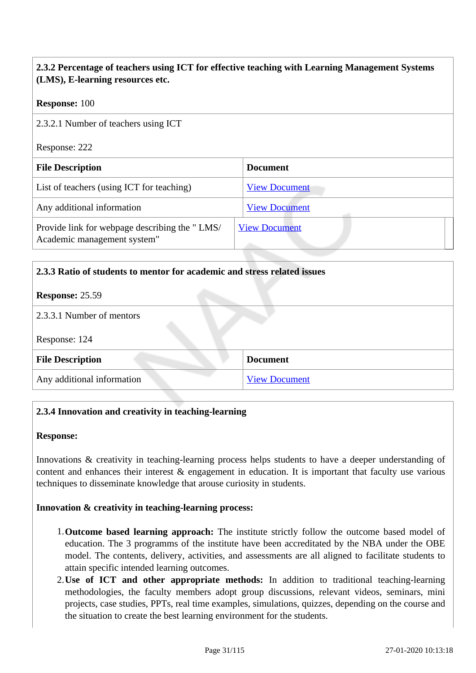#### **2.3.2 Percentage of teachers using ICT for effective teaching with Learning Management Systems (LMS), E-learning resources etc.**

#### **Response:** 100

2.3.2.1 Number of teachers using ICT

Response: 222

| <b>File Description</b>                                                      | <b>Document</b>      |
|------------------------------------------------------------------------------|----------------------|
| List of teachers (using ICT for teaching)                                    | <b>View Document</b> |
| Any additional information                                                   | <b>View Document</b> |
| Provide link for webpage describing the "LMS/<br>Academic management system" | <b>View Document</b> |

# **2.3.3 Ratio of students to mentor for academic and stress related issues**

#### **Response:** 25.59

#### 2.3.3.1 Number of mentors

Response: 124

| <b>File Description</b>    | <b>Document</b>      |  |
|----------------------------|----------------------|--|
| Any additional information | <b>View Document</b> |  |

#### **2.3.4 Innovation and creativity in teaching-learning**

#### **Response:**

Innovations & creativity in teaching-learning process helps students to have a deeper understanding of content and enhances their interest & engagement in education. It is important that faculty use various techniques to disseminate knowledge that arouse curiosity in students.

#### **Innovation & creativity in teaching-learning process:**

- 1.**Outcome based learning approach:** The institute strictly follow the outcome based model of education. The 3 programms of the institute have been accreditated by the NBA under the OBE model. The contents, delivery, activities, and assessments are all aligned to facilitate students to attain specific intended learning outcomes.
- 2.**Use of ICT and other appropriate methods:** In addition to traditional teaching-learning methodologies, the faculty members adopt group discussions, relevant videos, seminars, mini projects, case studies, PPTs, real time examples, simulations, quizzes, depending on the course and the situation to create the best learning environment for the students.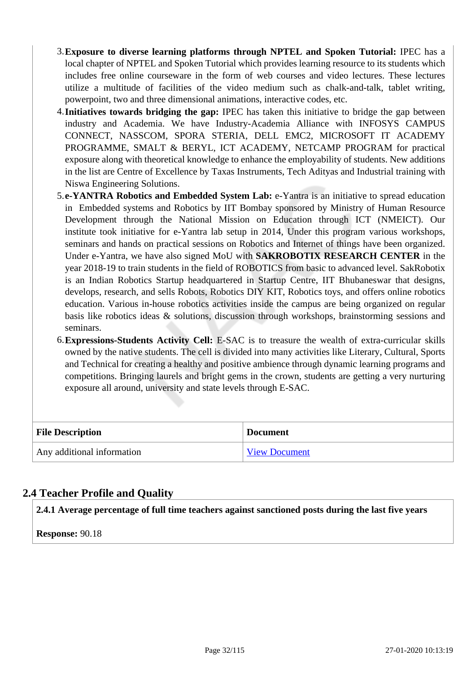- 3.**Exposure to diverse learning platforms through NPTEL and Spoken Tutorial:** IPEC has a local chapter of NPTEL and Spoken Tutorial which provides learning resource to its students which includes free online courseware in the form of web courses and video lectures. These lectures utilize a multitude of facilities of the video medium such as chalk-and-talk, tablet writing, powerpoint, two and three dimensional animations, interactive codes, etc.
- 4.**Initiatives towards bridging the gap:** IPEC has taken this initiative to bridge the gap between industry and Academia. We have Industry-Academia Alliance with INFOSYS CAMPUS CONNECT, NASSCOM, SPORA STERIA, DELL EMC2, MICROSOFT IT ACADEMY PROGRAMME, SMALT & BERYL, ICT ACADEMY, NETCAMP PROGRAM for practical exposure along with theoretical knowledge to enhance the employability of students. New additions in the list are Centre of Excellence by Taxas Instruments, Tech Adityas and Industrial training with Niswa Engineering Solutions.
- 5.**e-YANTRA Robotics and Embedded System Lab:** e-Yantra is an initiative to spread education in Embedded systems and Robotics by IIT Bombay sponsored by Ministry of Human Resource Development through the National Mission on Education through ICT (NMEICT). Our institute took initiative for e-Yantra lab setup in 2014, Under this program various workshops, seminars and hands on practical sessions on Robotics and Internet of things have been organized. Under e-Yantra, we have also signed MoU with **SAKROBOTIX RESEARCH CENTER** in the year 2018-19 to train students in the field of ROBOTICS from basic to advanced level. SakRobotix is an Indian Robotics Startup headquartered in Startup Centre, IIT Bhubaneswar that designs, develops, research, and sells Robots, Robotics DIY KIT, Robotics toys, and offers online robotics education. Various in-house robotics activities inside the campus are being organized on regular basis like robotics ideas & solutions, discussion through workshops, brainstorming sessions and seminars.
- 6.**Expressions-Students Activity Cell:** E-SAC is to treasure the wealth of extra-curricular skills owned by the native students. The cell is divided into many activities like Literary, Cultural, Sports and Technical for creating a healthy and positive ambience through dynamic learning programs and competitions. Bringing laurels and bright gems in the crown, students are getting a very nurturing exposure all around, university and state levels through E-SAC.

| <b>File Description</b>    | <b>Document</b>      |
|----------------------------|----------------------|
| Any additional information | <b>View Document</b> |

#### **2.4 Teacher Profile and Quality**

**2.4.1 Average percentage of full time teachers against sanctioned posts during the last five years**

**Response:** 90.18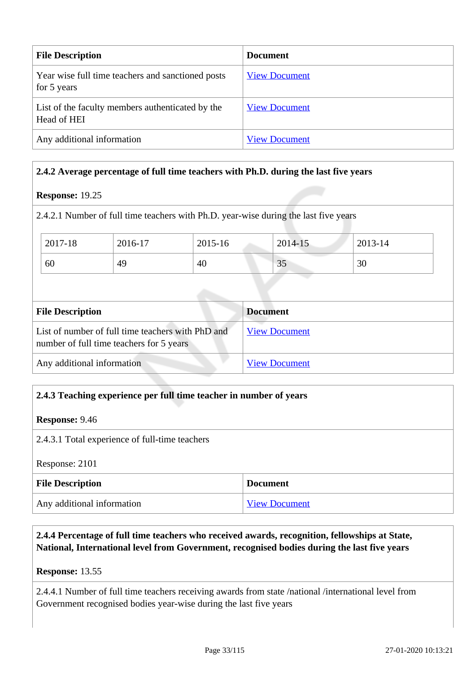| <b>File Description</b>                                          | <b>Document</b>      |
|------------------------------------------------------------------|----------------------|
| Year wise full time teachers and sanctioned posts<br>for 5 years | <b>View Document</b> |
| List of the faculty members authenticated by the<br>Head of HEI  | <b>View Document</b> |
| Any additional information                                       | <b>View Document</b> |

#### **2.4.2 Average percentage of full time teachers with Ph.D. during the last five years**

#### **Response:** 19.25

2.4.2.1 Number of full time teachers with Ph.D. year-wise during the last five years

| 2017-18 | 2016-17 | 2015-16 | 2014-15        | 2013-14 |
|---------|---------|---------|----------------|---------|
| 60      | 49      | 40      | $\Omega$<br>ЮJ | 30      |

| <b>File Description</b>                                                                       | <b>Document</b>      |  |
|-----------------------------------------------------------------------------------------------|----------------------|--|
| List of number of full time teachers with PhD and<br>number of full time teachers for 5 years | <b>View Document</b> |  |
| Any additional information                                                                    | <b>View Document</b> |  |

#### **2.4.3 Teaching experience per full time teacher in number of years**

#### **Response:** 9.46

2.4.3.1 Total experience of full-time teachers

Response: 2101

| <b>File Description</b>    | <b>Document</b>      |
|----------------------------|----------------------|
| Any additional information | <b>View Document</b> |

#### **2.4.4 Percentage of full time teachers who received awards, recognition, fellowships at State, National, International level from Government, recognised bodies during the last five years**

**Response:** 13.55

2.4.4.1 Number of full time teachers receiving awards from state /national /international level from Government recognised bodies year-wise during the last five years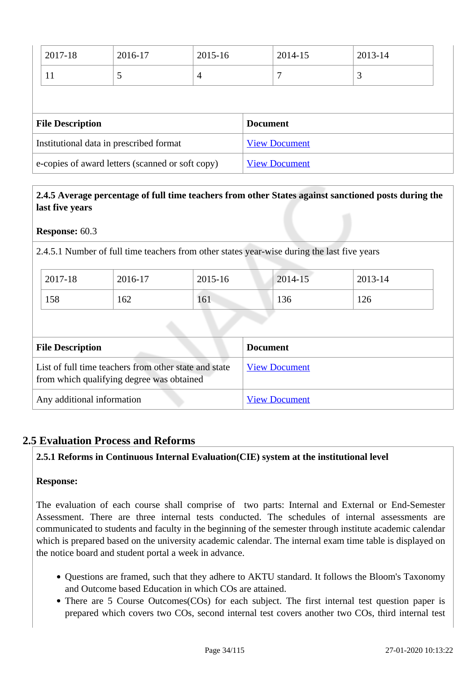| 2017-18                                          | 2016-17 | 2015-16              |  | 2014-15 | 2013-14 |
|--------------------------------------------------|---------|----------------------|--|---------|---------|
| 11                                               |         | 4                    |  |         | 3       |
|                                                  |         |                      |  |         |         |
| <b>File Description</b>                          |         | <b>Document</b>      |  |         |         |
| Institutional data in prescribed format          |         | <b>View Document</b> |  |         |         |
| e-copies of award letters (scanned or soft copy) |         |                      |  |         |         |

#### **2.4.5 Average percentage of full time teachers from other States against sanctioned posts during the last five years**

#### **Response:** 60.3

2.4.5.1 Number of full time teachers from other states year-wise during the last five years

| 2017-18 | 2016-17 | 2015-16 | 2014-15 | 2013-14 |
|---------|---------|---------|---------|---------|
| 158     | 162     | 161     | 136     | 126     |

| <b>File Description</b>                                                                            | <b>Document</b>      |
|----------------------------------------------------------------------------------------------------|----------------------|
| List of full time teachers from other state and state<br>from which qualifying degree was obtained | <b>View Document</b> |
| Any additional information                                                                         | <b>View Document</b> |

#### **2.5 Evaluation Process and Reforms**

#### **2.5.1 Reforms in Continuous Internal Evaluation(CIE) system at the institutional level**

#### **Response:**

The evaluation of each course shall comprise of two parts: Internal and External or End-Semester Assessment. There are three internal tests conducted. The schedules of internal assessments are communicated to students and faculty in the beginning of the semester through institute academic calendar which is prepared based on the university academic calendar. The internal exam time table is displayed on the notice board and student portal a week in advance.

- Questions are framed, such that they adhere to AKTU standard. It follows the Bloom's Taxonomy and Outcome based Education in which COs are attained.
- There are 5 Course Outcomes(COs) for each subject. The first internal test question paper is prepared which covers two COs, second internal test covers another two COs, third internal test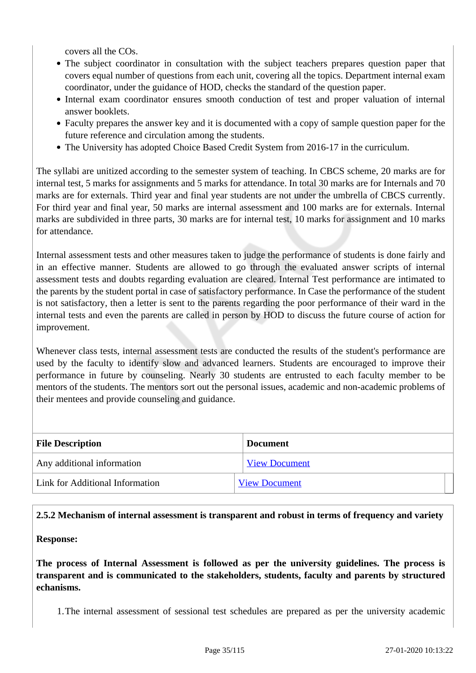covers all the COs.

- The subject coordinator in consultation with the subject teachers prepares question paper that covers equal number of questions from each unit, covering all the topics. Department internal exam coordinator, under the guidance of HOD, checks the standard of the question paper.
- Internal exam coordinator ensures smooth conduction of test and proper valuation of internal answer booklets.
- Faculty prepares the answer key and it is documented with a copy of sample question paper for the future reference and circulation among the students.
- The University has adopted Choice Based Credit System from 2016-17 in the curriculum.

The syllabi are unitized according to the semester system of teaching. In CBCS scheme, 20 marks are for internal test, 5 marks for assignments and 5 marks for attendance. In total 30 marks are for Internals and 70 marks are for externals. Third year and final year students are not under the umbrella of CBCS currently. For third year and final year, 50 marks are internal assessment and 100 marks are for externals. Internal marks are subdivided in three parts, 30 marks are for internal test, 10 marks for assignment and 10 marks for attendance.

Internal assessment tests and other measures taken to judge the performance of students is done fairly and in an effective manner. Students are allowed to go through the evaluated answer scripts of internal assessment tests and doubts regarding evaluation are cleared. Internal Test performance are intimated to the parents by the student portal in case of satisfactory performance. In Case the performance of the student is not satisfactory, then a letter is sent to the parents regarding the poor performance of their ward in the internal tests and even the parents are called in person by HOD to discuss the future course of action for improvement.

Whenever class tests, internal assessment tests are conducted the results of the student's performance are used by the faculty to identify slow and advanced learners. Students are encouraged to improve their performance in future by counseling. Nearly 30 students are entrusted to each faculty member to be mentors of the students. The mentors sort out the personal issues, academic and non-academic problems of their mentees and provide counseling and guidance.

| <b>File Description</b>         | <b>Document</b>      |
|---------------------------------|----------------------|
| Any additional information      | <b>View Document</b> |
| Link for Additional Information | <b>View Document</b> |

#### **2.5.2 Mechanism of internal assessment is transparent and robust in terms of frequency and variety**

**Response:** 

**The process of Internal Assessment is followed as per the university guidelines. The process is transparent and is communicated to the stakeholders, students, faculty and parents by structured echanisms.**

1.The internal assessment of sessional test schedules are prepared as per the university academic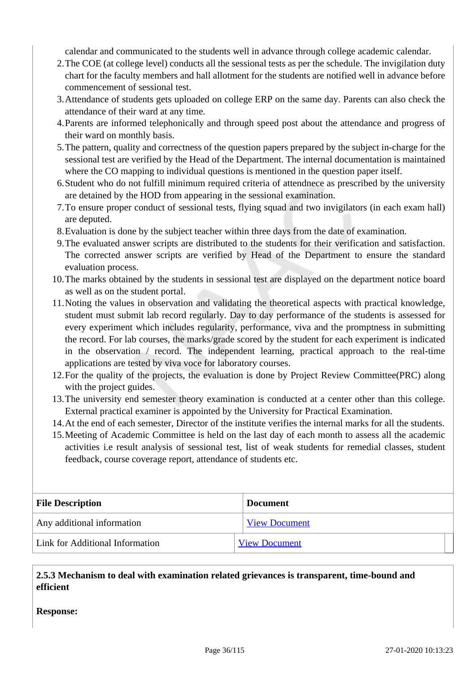calendar and communicated to the students well in advance through college academic calendar.

- 2.The COE (at college level) conducts all the sessional tests as per the schedule. The invigilation duty chart for the faculty members and hall allotment for the students are notified well in advance before commencement of sessional test.
- 3.Attendance of students gets uploaded on college ERP on the same day. Parents can also check the attendance of their ward at any time.
- 4.Parents are informed telephonically and through speed post about the attendance and progress of their ward on monthly basis.
- 5.The pattern, quality and correctness of the question papers prepared by the subject in-charge for the sessional test are verified by the Head of the Department. The internal documentation is maintained where the CO mapping to individual questions is mentioned in the question paper itself.
- 6.Student who do not fulfill minimum required criteria of attendnece as prescribed by the university are detained by the HOD from appearing in the sessional examination.
- 7.To ensure proper conduct of sessional tests, flying squad and two invigilators (in each exam hall) are deputed.
- 8.Evaluation is done by the subject teacher within three days from the date of examination.
- 9.The evaluated answer scripts are distributed to the students for their verification and satisfaction. The corrected answer scripts are verified by Head of the Department to ensure the standard evaluation process.
- 10.The marks obtained by the students in sessional test are displayed on the department notice board as well as on the student portal.
- 11.Noting the values in observation and validating the theoretical aspects with practical knowledge, student must submit lab record regularly. Day to day performance of the students is assessed for every experiment which includes regularity, performance, viva and the promptness in submitting the record. For lab courses, the marks/grade scored by the student for each experiment is indicated in the observation / record. The independent learning, practical approach to the real-time applications are tested by viva voce for laboratory courses.
- 12.For the quality of the projects, the evaluation is done by Project Review Committee(PRC) along with the project guides.
- 13.The university end semester theory examination is conducted at a center other than this college. External practical examiner is appointed by the University for Practical Examination.
- 14.At the end of each semester, Director of the institute verifies the internal marks for all the students.
- 15.Meeting of Academic Committee is held on the last day of each month to assess all the academic activities i.e result analysis of sessional test, list of weak students for remedial classes, student feedback, course coverage report, attendance of students etc.

| <b>File Description</b>         | <b>Document</b>      |
|---------------------------------|----------------------|
| Any additional information      | <b>View Document</b> |
| Link for Additional Information | <b>View Document</b> |

#### **2.5.3 Mechanism to deal with examination related grievances is transparent, time-bound and efficient**

**Response:**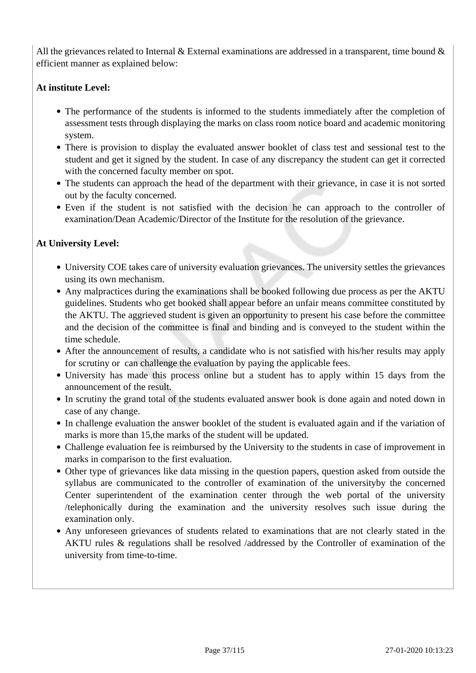All the grievances related to Internal & External examinations are addressed in a transparent, time bound  $\&$ efficient manner as explained below:

#### **At institute Level:**

- The performance of the students is informed to the students immediately after the completion of assessment tests through displaying the marks on class room notice board and academic monitoring system.
- There is provision to display the evaluated answer booklet of class test and sessional test to the student and get it signed by the student. In case of any discrepancy the student can get it corrected with the concerned faculty member on spot.
- The students can approach the head of the department with their grievance, in case it is not sorted out by the faculty concerned.
- Even if the student is not satisfied with the decision he can approach to the controller of examination/Dean Academic/Director of the Institute for the resolution of the grievance.

## **At University Level:**

- University COE takes care of university evaluation grievances. The university settles the grievances using its own mechanism.
- Any malpractices during the examinations shall be booked following due process as per the AKTU guidelines. Students who get booked shall appear before an unfair means committee constituted by the AKTU. The aggrieved student is given an opportunity to present his case before the committee and the decision of the committee is final and binding and is conveyed to the student within the time schedule.
- After the announcement of results, a candidate who is not satisfied with his/her results may apply for scrutiny or can challenge the evaluation by paying the applicable fees.
- University has made this process online but a student has to apply within 15 days from the announcement of the result.
- In scrutiny the grand total of the students evaluated answer book is done again and noted down in case of any change.
- In challenge evaluation the answer booklet of the student is evaluated again and if the variation of marks is more than 15,the marks of the student will be updated.
- Challenge evaluation fee is reimbursed by the University to the students in case of improvement in marks in comparison to the first evaluation.
- Other type of grievances like data missing in the question papers, question asked from outside the syllabus are communicated to the controller of examination of the universityby the concerned Center superintendent of the examination center through the web portal of the university /telephonically during the examination and the university resolves such issue during the examination only.
- Any unforeseen grievances of students related to examinations that are not clearly stated in the AKTU rules & regulations shall be resolved /addressed by the Controller of examination of the university from time-to-time.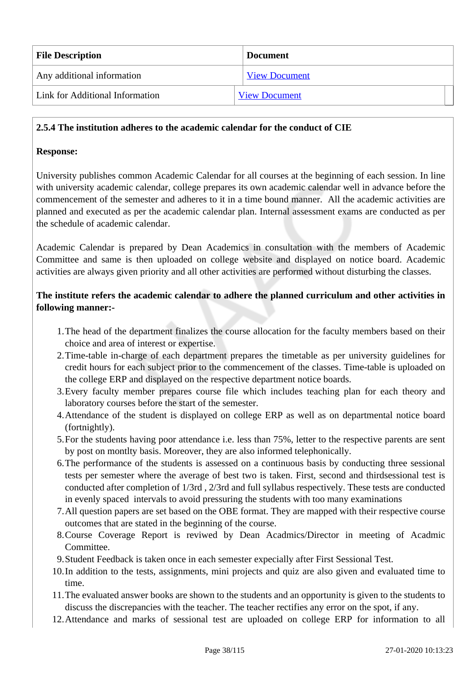| <b>File Description</b>         | <b>Document</b>      |
|---------------------------------|----------------------|
| Any additional information      | <b>View Document</b> |
| Link for Additional Information | <b>View Document</b> |

#### **2.5.4 The institution adheres to the academic calendar for the conduct of CIE**

#### **Response:**

University publishes common Academic Calendar for all courses at the beginning of each session. In line with university academic calendar, college prepares its own academic calendar well in advance before the commencement of the semester and adheres to it in a time bound manner. All the academic activities are planned and executed as per the academic calendar plan. Internal assessment exams are conducted as per the schedule of academic calendar.

Academic Calendar is prepared by Dean Academics in consultation with the members of Academic Committee and same is then uploaded on college website and displayed on notice board. Academic activities are always given priority and all other activities are performed without disturbing the classes.

#### **The institute refers the academic calendar to adhere the planned curriculum and other activities in following manner:-**

- 1.The head of the department finalizes the course allocation for the faculty members based on their choice and area of interest or expertise.
- 2.Time-table in-charge of each department prepares the timetable as per university guidelines for credit hours for each subject prior to the commencement of the classes. Time-table is uploaded on the college ERP and displayed on the respective department notice boards.
- 3.Every faculty member prepares course file which includes teaching plan for each theory and laboratory courses before the start of the semester.
- 4.Attendance of the student is displayed on college ERP as well as on departmental notice board (fortnightly).
- 5.For the students having poor attendance i.e. less than 75%, letter to the respective parents are sent by post on montlty basis. Moreover, they are also informed telephonically.
- 6.The performance of the students is assessed on a continuous basis by conducting three sessional tests per semester where the average of best two is taken. First, second and thirdsessional test is conducted after completion of 1/3rd , 2/3rd and full syllabus respectively. These tests are conducted in evenly spaced intervals to avoid pressuring the students with too many examinations
- 7.All question papers are set based on the OBE format. They are mapped with their respective course outcomes that are stated in the beginning of the course.
- 8.Course Coverage Report is reviwed by Dean Acadmics/Director in meeting of Acadmic Committee.
- 9.Student Feedback is taken once in each semester expecially after First Sessional Test.
- 10.In addition to the tests, assignments, mini projects and quiz are also given and evaluated time to time.
- 11.The evaluated answer books are shown to the students and an opportunity is given to the students to discuss the discrepancies with the teacher. The teacher rectifies any error on the spot, if any.
- 12.Attendance and marks of sessional test are uploaded on college ERP for information to all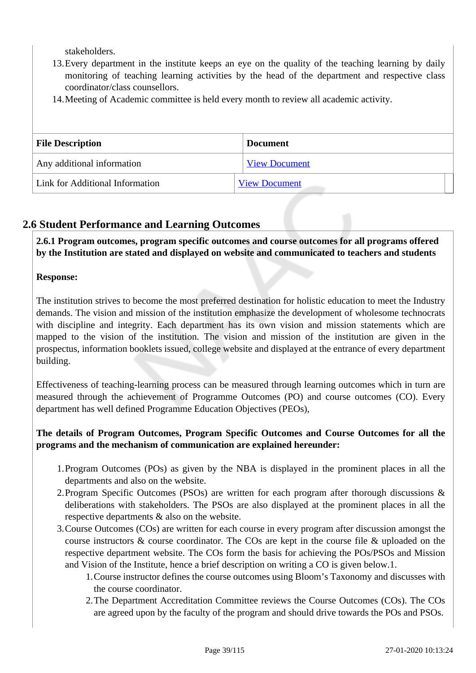stakeholders.

- 13.Every department in the institute keeps an eye on the quality of the teaching learning by daily monitoring of teaching learning activities by the head of the department and respective class coordinator/class counsellors.
- 14.Meeting of Academic committee is held every month to review all academic activity.

| <b>File Description</b>         | <b>Document</b>      |  |
|---------------------------------|----------------------|--|
| Any additional information      | <b>View Document</b> |  |
| Link for Additional Information | <b>View Document</b> |  |

## **2.6 Student Performance and Learning Outcomes**

 **2.6.1 Program outcomes, program specific outcomes and course outcomes for all programs offered by the Institution are stated and displayed on website and communicated to teachers and students**

## **Response:**

The institution strives to become the most preferred destination for holistic education to meet the Industry demands. The vision and mission of the institution emphasize the development of wholesome technocrats with discipline and integrity. Each department has its own vision and mission statements which are mapped to the vision of the institution. The vision and mission of the institution are given in the prospectus, information booklets issued, college website and displayed at the entrance of every department building.

Effectiveness of teaching-learning process can be measured through learning outcomes which in turn are measured through the achievement of Programme Outcomes (PO) and course outcomes (CO). Every department has well defined Programme Education Objectives (PEOs),

## **The details of Program Outcomes, Program Specific Outcomes and Course Outcomes for all the programs and the mechanism of communication are explained hereunder:**

- 1.Program Outcomes (POs) as given by the NBA is displayed in the prominent places in all the departments and also on the website.
- 2.Program Specific Outcomes (PSOs) are written for each program after thorough discussions & deliberations with stakeholders. The PSOs are also displayed at the prominent places in all the respective departments & also on the website.
- 3.Course Outcomes (COs) are written for each course in every program after discussion amongst the course instructors & course coordinator. The COs are kept in the course file & uploaded on the respective department website. The COs form the basis for achieving the POs/PSOs and Mission and Vision of the Institute, hence a brief description on writing a CO is given below.1.
	- 1.Course instructor defines the course outcomes using Bloom's Taxonomy and discusses with the course coordinator.
	- 2.The Department Accreditation Committee reviews the Course Outcomes (COs). The COs are agreed upon by the faculty of the program and should drive towards the POs and PSOs.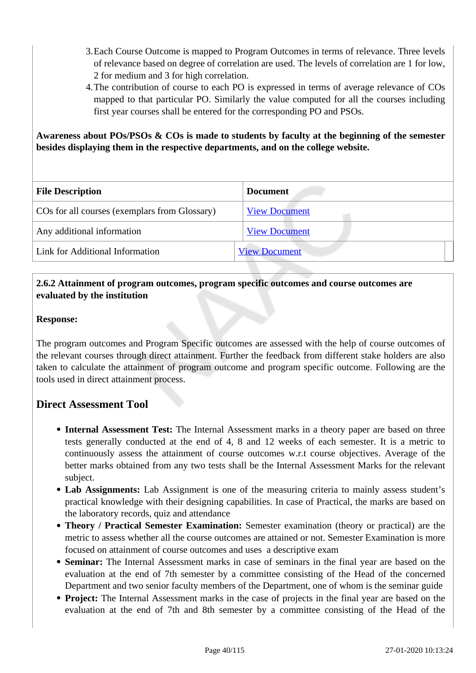- 3.Each Course Outcome is mapped to Program Outcomes in terms of relevance. Three levels of relevance based on degree of correlation are used. The levels of correlation are 1 for low, 2 for medium and 3 for high correlation.
- 4.The contribution of course to each PO is expressed in terms of average relevance of COs mapped to that particular PO. Similarly the value computed for all the courses including first year courses shall be entered for the corresponding PO and PSOs.

#### **Awareness about POs/PSOs & COs is made to students by faculty at the beginning of the semester besides displaying them in the respective departments, and on the college website.**

| <b>File Description</b>                       | <b>Document</b>      |
|-----------------------------------------------|----------------------|
| COs for all courses (exemplars from Glossary) | <b>View Document</b> |
| Any additional information                    | <b>View Document</b> |
| Link for Additional Information               | <b>View Document</b> |

#### **2.6.2 Attainment of program outcomes, program specific outcomes and course outcomes are evaluated by the institution**

#### **Response:**

The program outcomes and Program Specific outcomes are assessed with the help of course outcomes of the relevant courses through direct attainment. Further the feedback from different stake holders are also taken to calculate the attainment of program outcome and program specific outcome. Following are the tools used in direct attainment process.

## **Direct Assessment Tool**

- **Internal Assessment Test:** The Internal Assessment marks in a theory paper are based on three tests generally conducted at the end of 4, 8 and 12 weeks of each semester. It is a metric to continuously assess the attainment of course outcomes w.r.t course objectives. Average of the better marks obtained from any two tests shall be the Internal Assessment Marks for the relevant subject.
- **Lab Assignments:** Lab Assignment is one of the measuring criteria to mainly assess student's practical knowledge with their designing capabilities. In case of Practical, the marks are based on the laboratory records, quiz and attendance
- **Theory / Practical Semester Examination:** Semester examination (theory or practical) are the metric to assess whether all the course outcomes are attained or not. Semester Examination is more focused on attainment of course outcomes and uses a descriptive exam
- **Seminar:** The Internal Assessment marks in case of seminars in the final year are based on the evaluation at the end of 7th semester by a committee consisting of the Head of the concerned Department and two senior faculty members of the Department, one of whom is the seminar guide
- **Project:** The Internal Assessment marks in the case of projects in the final year are based on the evaluation at the end of 7th and 8th semester by a committee consisting of the Head of the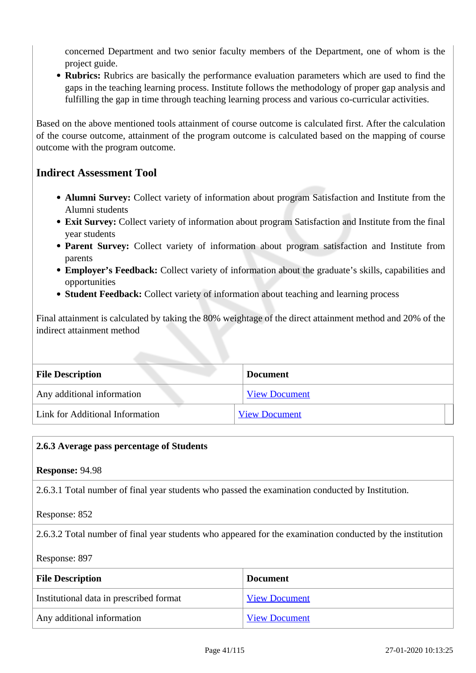concerned Department and two senior faculty members of the Department, one of whom is the project guide.

• **Rubrics:** Rubrics are basically the performance evaluation parameters which are used to find the gaps in the teaching learning process. Institute follows the methodology of proper gap analysis and fulfilling the gap in time through teaching learning process and various co-curricular activities.

Based on the above mentioned tools attainment of course outcome is calculated first. After the calculation of the course outcome, attainment of the program outcome is calculated based on the mapping of course outcome with the program outcome.

## **Indirect Assessment Tool**

- **Alumni Survey:** Collect variety of information about program Satisfaction and Institute from the Alumni students
- **Exit Survey:** Collect variety of information about program Satisfaction and Institute from the final year students
- **Parent Survey:** Collect variety of information about program satisfaction and Institute from parents
- **Employer's Feedback:** Collect variety of information about the graduate's skills, capabilities and opportunities
- **Student Feedback:** Collect variety of information about teaching and learning process

Final attainment is calculated by taking the 80% weightage of the direct attainment method and 20% of the indirect attainment method

| <b>File Description</b>         | <b>Document</b>      |  |  |
|---------------------------------|----------------------|--|--|
| Any additional information      | <b>View Document</b> |  |  |
| Link for Additional Information | <b>View Document</b> |  |  |

#### **2.6.3 Average pass percentage of Students**

**Response:** 94.98

2.6.3.1 Total number of final year students who passed the examination conducted by Institution.

Response: 852

2.6.3.2 Total number of final year students who appeared for the examination conducted by the institution

Response: 897

| <b>File Description</b>                 | <b>Document</b>      |
|-----------------------------------------|----------------------|
| Institutional data in prescribed format | <b>View Document</b> |
| Any additional information              | <b>View Document</b> |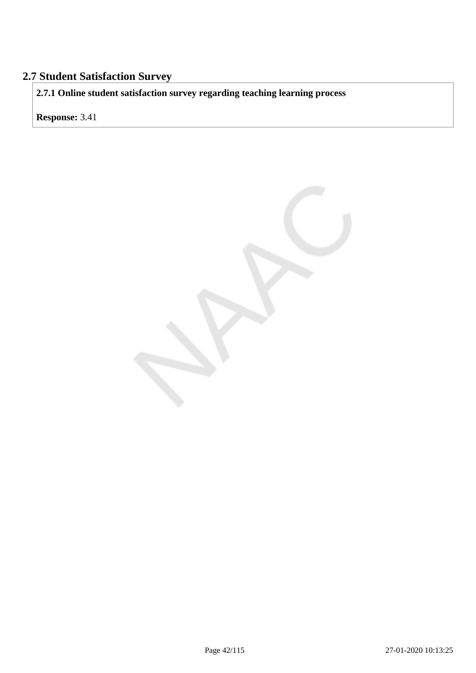## **2.7 Student Satisfaction Survey**

**2.7.1 Online student satisfaction survey regarding teaching learning process**

**Response:** 3.41

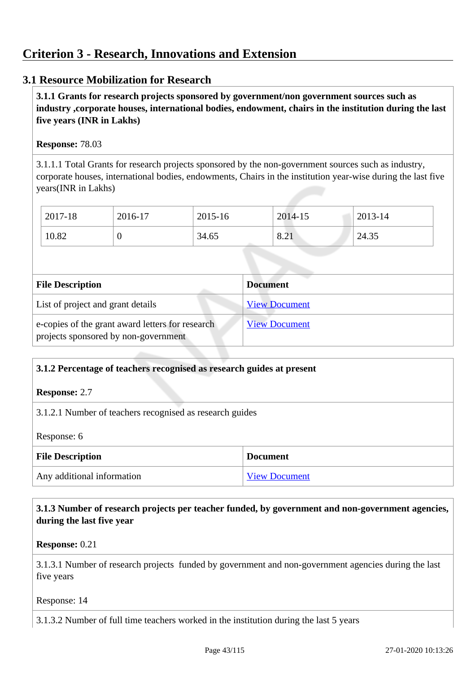## **3.1 Resource Mobilization for Research**

 **3.1.1 Grants for research projects sponsored by government/non government sources such as industry ,corporate houses, international bodies, endowment, chairs in the institution during the last five years (INR in Lakhs)** 

#### **Response:** 78.03

3.1.1.1 Total Grants for research projects sponsored by the non-government sources such as industry, corporate houses, international bodies, endowments, Chairs in the institution year-wise during the last five years(INR in Lakhs)

| 2017-18 | 2016-17 | 2015-16 | 2014-15                         | 2013-14 |
|---------|---------|---------|---------------------------------|---------|
| 10.82   |         | 34.65   | $\Omega$<br>$\bigcap$ 1<br>0.21 | 24.35   |

| <b>File Description</b>                                                                  | <b>Document</b>      |
|------------------------------------------------------------------------------------------|----------------------|
| List of project and grant details                                                        | <b>View Document</b> |
| e-copies of the grant award letters for research<br>projects sponsored by non-government | <b>View Document</b> |

## **3.1.2 Percentage of teachers recognised as research guides at present**

**Response:** 2.7

3.1.2.1 Number of teachers recognised as research guides

Response: 6

| <b>File Description</b>    | <b>Document</b>      |
|----------------------------|----------------------|
| Any additional information | <b>View Document</b> |

 **3.1.3 Number of research projects per teacher funded, by government and non-government agencies, during the last five year**

**Response:** 0.21

3.1.3.1 Number of research projects funded by government and non-government agencies during the last five years

Response: 14

3.1.3.2 Number of full time teachers worked in the institution during the last 5 years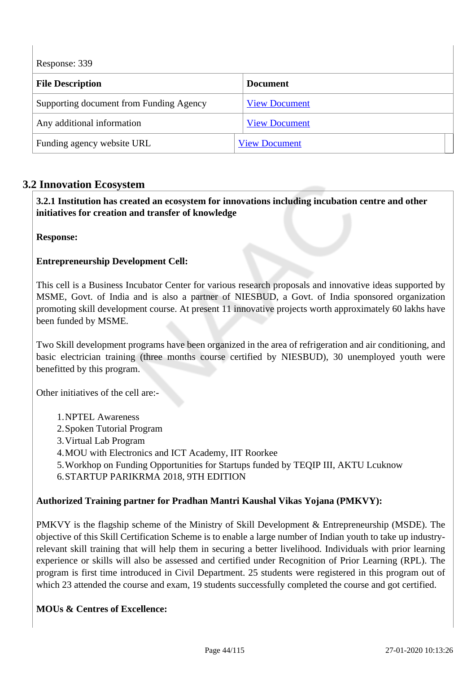Response: 339

| <b>File Description</b>                 | <b>Document</b>      |  |
|-----------------------------------------|----------------------|--|
| Supporting document from Funding Agency | <b>View Document</b> |  |
| Any additional information              | <b>View Document</b> |  |
| Funding agency website URL              | <b>View Document</b> |  |

## **3.2 Innovation Ecosystem**

 **3.2.1 Institution has created an ecosystem for innovations including incubation centre and other initiatives for creation and transfer of knowledge**

**Response:** 

#### **Entrepreneurship Development Cell:**

This cell is a Business Incubator Center for various research proposals and innovative ideas supported by MSME, Govt. of India and is also a partner of NIESBUD, a Govt. of India sponsored organization promoting skill development course. At present 11 innovative projects worth approximately 60 lakhs have been funded by MSME.

Two Skill development programs have been organized in the area of refrigeration and air conditioning, and basic electrician training (three months course certified by NIESBUD), 30 unemployed youth were benefitted by this program.

Other initiatives of the cell are:-

- 1.NPTEL Awareness
- 2.Spoken Tutorial Program
- 3.Virtual Lab Program
- 4.MOU with Electronics and ICT Academy, IIT Roorkee
- 5.Workhop on Funding Opportunities for Startups funded by TEQIP III, AKTU Lcuknow

6.STARTUP PARIKRMA 2018, 9TH EDITION

#### **Authorized Training partner for Pradhan Mantri Kaushal Vikas Yojana (PMKVY):**

PMKVY is the flagship scheme of the Ministry of Skill Development & Entrepreneurship (MSDE). The objective of this Skill Certification Scheme is to enable a large number of Indian youth to take up industryrelevant skill training that will help them in securing a better livelihood. Individuals with prior learning experience or skills will also be assessed and certified under Recognition of Prior Learning (RPL). The program is first time introduced in Civil Department. 25 students were registered in this program out of which 23 attended the course and exam, 19 students successfully completed the course and got certified.

#### **MOUs & Centres of Excellence:**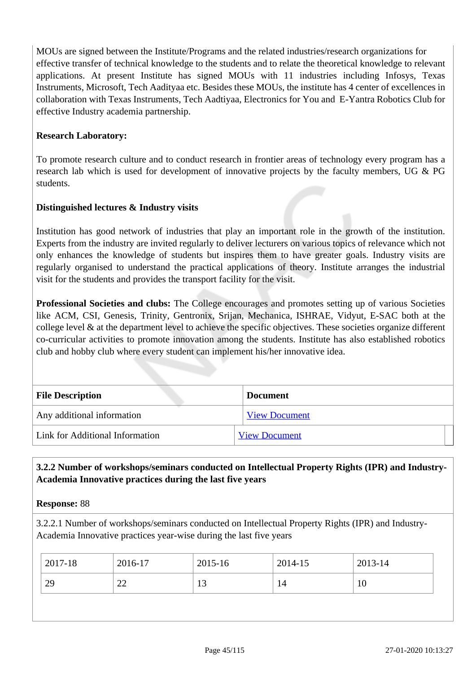MOUs are signed between the Institute/Programs and the related industries/research organizations for effective transfer of technical knowledge to the students and to relate the theoretical knowledge to relevant applications. At present Institute has signed MOUs with 11 industries including Infosys, Texas Instruments, Microsoft, Tech Aadityaa etc. Besides these MOUs, the institute has 4 center of excellences in collaboration with Texas Instruments, Tech Aadtiyaa, Electronics for You and E-Yantra Robotics Club for effective Industry academia partnership.

#### **Research Laboratory:**

To promote research culture and to conduct research in frontier areas of technology every program has a research lab which is used for development of innovative projects by the faculty members, UG & PG students.

#### **Distinguished lectures & Industry visits**

Institution has good network of industries that play an important role in the growth of the institution. Experts from the industry are invited regularly to deliver lecturers on various topics of relevance which not only enhances the knowledge of students but inspires them to have greater goals. Industry visits are regularly organised to understand the practical applications of theory. Institute arranges the industrial visit for the students and provides the transport facility for the visit.

**Professional Societies and clubs:** The College encourages and promotes setting up of various Societies like ACM, CSI, Genesis, Trinity, Gentronix, Srijan, Mechanica, ISHRAE, Vidyut, E-SAC both at the college level & at the department level to achieve the specific objectives. These societies organize different co-curricular activities to promote innovation among the students. Institute has also established robotics club and hobby club where every student can implement his/her innovative idea.

| <b>File Description</b>         | <b>Document</b>      |  |
|---------------------------------|----------------------|--|
| Any additional information      | <b>View Document</b> |  |
| Link for Additional Information | <b>View Document</b> |  |

## **3.2.2 Number of workshops/seminars conducted on Intellectual Property Rights (IPR) and Industry-Academia Innovative practices during the last five years**

**Response:** 88

3.2.2.1 Number of workshops/seminars conducted on Intellectual Property Rights (IPR) and Industry-Academia Innovative practices year-wise during the last five years

| 2017-18 | 2016-17      | 2015-16 | 2014-15 | 2013-14 |
|---------|--------------|---------|---------|---------|
| 29      | $\sim$<br>∠∠ | 13      | 14      | 10      |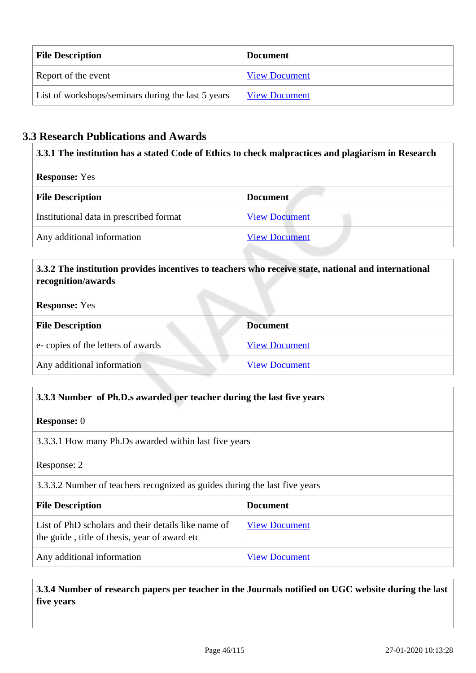| <b>File Description</b>                            | <b>Document</b>      |
|----------------------------------------------------|----------------------|
| Report of the event                                | <b>View Document</b> |
| List of workshops/seminars during the last 5 years | <b>View Document</b> |

## **3.3 Research Publications and Awards**

**3.3.1 The institution has a stated Code of Ethics to check malpractices and plagiarism in Research**

**Response:** Yes

| <b>File Description</b>                 | <b>Document</b>      |
|-----------------------------------------|----------------------|
| Institutional data in prescribed format | <b>View Document</b> |
| Any additional information              | <b>View Document</b> |

#### **3.3.2 The institution provides incentives to teachers who receive state, national and international recognition/awards**

#### **Response:** Yes

| <b>File Description</b>           | <b>Document</b>      |
|-----------------------------------|----------------------|
| e-copies of the letters of awards | <b>View Document</b> |
| Any additional information        | <b>View Document</b> |

## **3.3.3 Number of Ph.D.s awarded per teacher during the last five years**

#### **Response:** 0

3.3.3.1 How many Ph.Ds awarded within last five years

Response: 2

3.3.3.2 Number of teachers recognized as guides during the last five years

| <b>File Description</b>                                                                              | <b>Document</b>      |
|------------------------------------------------------------------------------------------------------|----------------------|
| List of PhD scholars and their details like name of<br>the guide, title of thesis, year of award etc | <b>View Document</b> |
| Any additional information                                                                           | <b>View Document</b> |

 **3.3.4 Number of research papers per teacher in the Journals notified on UGC website during the last five years**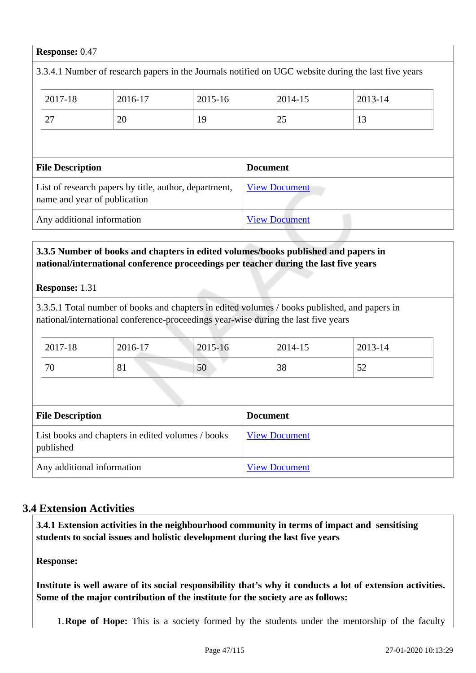#### **Response:** 0.47

| 3.3.4.1 Number of research papers in the Journals notified on UGC website during the last five years |         |         |                      |  |         |         |  |
|------------------------------------------------------------------------------------------------------|---------|---------|----------------------|--|---------|---------|--|
|                                                                                                      | 2017-18 | 2016-17 | 2015-16              |  | 2014-15 | 2013-14 |  |
|                                                                                                      | 27      | 20      | 19                   |  | 25      | 13      |  |
|                                                                                                      |         |         |                      |  |         |         |  |
| <b>File Description</b>                                                                              |         |         | <b>Document</b>      |  |         |         |  |
| List of research papers by title, author, department,<br>name and year of publication                |         |         | <b>View Document</b> |  |         |         |  |
| Any additional information                                                                           |         |         | <b>View Document</b> |  |         |         |  |
|                                                                                                      |         |         |                      |  |         |         |  |

#### **3.3.5 Number of books and chapters in edited volumes/books published and papers in national/international conference proceedings per teacher during the last five years**

**Response:** 1.31

3.3.5.1 Total number of books and chapters in edited volumes / books published, and papers in national/international conference-proceedings year-wise during the last five years

| 2017-18 | 2016-17               | 2015-16 | 2014-15 | 2013-14                         |
|---------|-----------------------|---------|---------|---------------------------------|
| 70      | O <sub>1</sub><br>0 I | 50      | 38      | $\overline{\phantom{a}}$<br>ے ب |

| <b>File Description</b>                                        | <b>Document</b>      |
|----------------------------------------------------------------|----------------------|
| List books and chapters in edited volumes / books<br>published | <b>View Document</b> |
| Any additional information                                     | <b>View Document</b> |

## **3.4 Extension Activities**

 **3.4.1 Extension activities in the neighbourhood community in terms of impact and sensitising students to social issues and holistic development during the last five years**

**Response:** 

**Institute is well aware of its social responsibility that's why it conducts a lot of extension activities. Some of the major contribution of the institute for the society are as follows:**

1.**Rope of Hope:** This is a society formed by the students under the mentorship of the faculty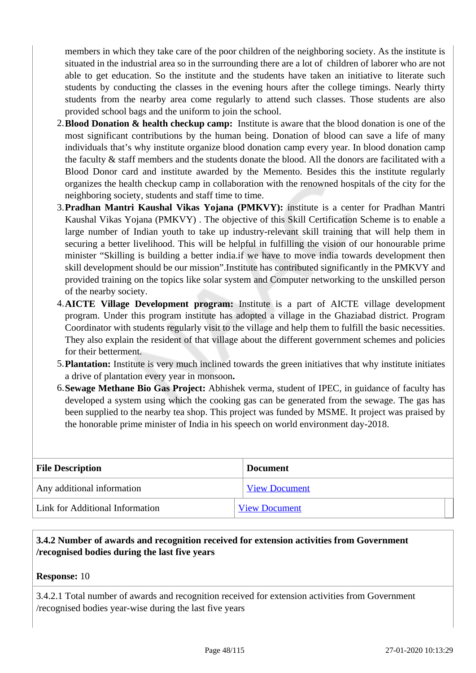members in which they take care of the poor children of the neighboring society. As the institute is situated in the industrial area so in the surrounding there are a lot of children of laborer who are not able to get education. So the institute and the students have taken an initiative to literate such students by conducting the classes in the evening hours after the college timings. Nearly thirty students from the nearby area come regularly to attend such classes. Those students are also provided school bags and the uniform to join the school.

- 2.**Blood Donation & health checkup camp:** Institute is aware that the blood donation is one of the most significant contributions by the human being. Donation of blood can save a life of many individuals that's why institute organize blood donation camp every year. In blood donation camp the faculty & staff members and the students donate the blood. All the donors are facilitated with a Blood Donor card and institute awarded by the Memento. Besides this the institute regularly organizes the health checkup camp in collaboration with the renowned hospitals of the city for the neighboring society, students and staff time to time.
- 3.**Pradhan Mantri Kaushal Vikas Yojana (PMKVY):** institute is a center for Pradhan Mantri Kaushal Vikas Yojana (PMKVY) . The objective of this Skill Certification Scheme is to enable a large number of Indian youth to take up industry-relevant skill training that will help them in securing a better livelihood. This will be helpful in fulfilling the vision of our honourable prime minister "Skilling is building a better india.if we have to move india towards development then skill development should be our mission".Institute has contributed significantly in the PMKVY and provided training on the topics like solar system and Computer networking to the unskilled person of the nearby society.
- 4.**AICTE Village Development program:** Institute is a part of AICTE village development program. Under this program institute has adopted a village in the Ghaziabad district. Program Coordinator with students regularly visit to the village and help them to fulfill the basic necessities. They also explain the resident of that village about the different government schemes and policies for their betterment.
- 5.**Plantation:** Institute is very much inclined towards the green initiatives that why institute initiates a drive of plantation every year in monsoon**.**
- 6.**Sewage Methane Bio Gas Project:** Abhishek verma, student of IPEC, in guidance of faculty has developed a system using which the cooking gas can be generated from the sewage. The gas has been supplied to the nearby tea shop. This project was funded by MSME. It project was praised by the honorable prime minister of India in his speech on world environment day-2018.

| <b>File Description</b>                | <b>Document</b>      |
|----------------------------------------|----------------------|
| Any additional information             | <b>View Document</b> |
| <b>Link for Additional Information</b> | <b>View Document</b> |

#### **3.4.2 Number of awards and recognition received for extension activities from Government /recognised bodies during the last five years**

**Response:** 10

3.4.2.1 Total number of awards and recognition received for extension activities from Government /recognised bodies year-wise during the last five years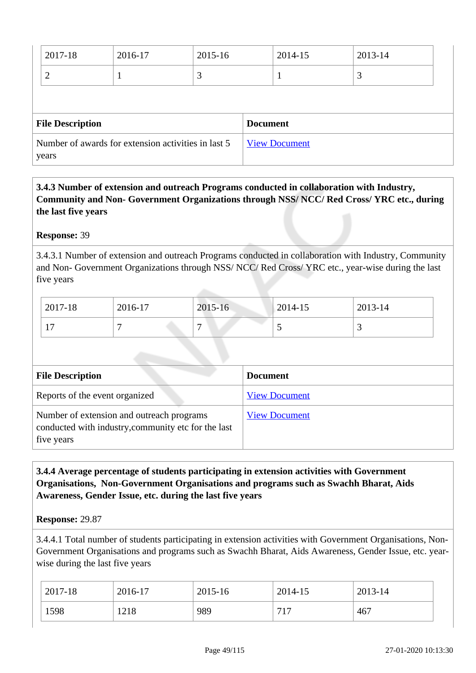| 2017-18                                                      | 2016-17 | 2015-16         |                      | 2014-15 | 2013-14 |
|--------------------------------------------------------------|---------|-----------------|----------------------|---------|---------|
|                                                              |         | 3               |                      |         | 3       |
|                                                              |         |                 |                      |         |         |
| <b>File Description</b>                                      |         | <b>Document</b> |                      |         |         |
| Number of awards for extension activities in last 5<br>years |         |                 | <b>View Document</b> |         |         |

 **3.4.3 Number of extension and outreach Programs conducted in collaboration with Industry, Community and Non- Government Organizations through NSS/ NCC/ Red Cross/ YRC etc., during the last five years** 

#### **Response:** 39

3.4.3.1 Number of extension and outreach Programs conducted in collaboration with Industry, Community and Non- Government Organizations through NSS/ NCC/ Red Cross/ YRC etc., year-wise during the last five years

| 2017-18                   | 2016-17 | 2015-16        | 2014-15 | 2013-14 |
|---------------------------|---------|----------------|---------|---------|
| $\overline{ }$<br>$\perp$ |         | $\overline{ }$ | ັ       | ັ       |

| <b>File Description</b>                                                                                        | <b>Document</b>      |
|----------------------------------------------------------------------------------------------------------------|----------------------|
| Reports of the event organized                                                                                 | <b>View Document</b> |
| Number of extension and outreach programs<br>conducted with industry, community etc for the last<br>five years | <b>View Document</b> |

#### **3.4.4 Average percentage of students participating in extension activities with Government Organisations, Non-Government Organisations and programs such as Swachh Bharat, Aids Awareness, Gender Issue, etc. during the last five years**

#### **Response:** 29.87

3.4.4.1 Total number of students participating in extension activities with Government Organisations, Non-Government Organisations and programs such as Swachh Bharat, Aids Awareness, Gender Issue, etc. yearwise during the last five years

| 2017-18 | 2016-17 | 2015-16 | 2014-15 | 2013-14 |
|---------|---------|---------|---------|---------|
| 1598    | 1218    | 989     | 717     | 467     |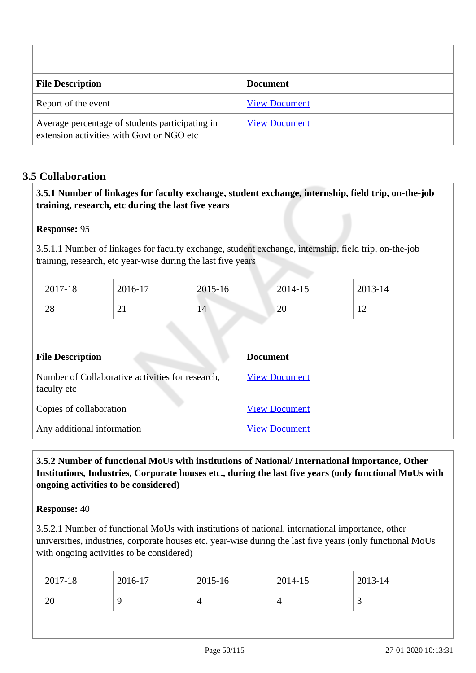| <b>File Description</b>                                                                      | <b>Document</b>      |
|----------------------------------------------------------------------------------------------|----------------------|
| Report of the event                                                                          | <b>View Document</b> |
| Average percentage of students participating in<br>extension activities with Govt or NGO etc | <b>View Document</b> |

## **3.5 Collaboration**

 **3.5.1 Number of linkages for faculty exchange, student exchange, internship, field trip, on-the-job training, research, etc during the last five years**

#### **Response:** 95

3.5.1.1 Number of linkages for faculty exchange, student exchange, internship, field trip, on-the-job training, research, etc year-wise during the last five years

| 2017-18 | 2016-17         | 2015-16 | 2014-15  | 2013-14           |
|---------|-----------------|---------|----------|-------------------|
| 28      | $\rightarrow$ 1 | 14      | ററ<br>∠∪ | $1^{\prime}$<br>∸ |

| <b>File Description</b>                                         | <b>Document</b>      |
|-----------------------------------------------------------------|----------------------|
| Number of Collaborative activities for research,<br>faculty etc | <b>View Document</b> |
| Copies of collaboration                                         | <b>View Document</b> |
| Any additional information                                      | <b>View Document</b> |

## **3.5.2 Number of functional MoUs with institutions of National/ International importance, Other Institutions, Industries, Corporate houses etc., during the last five years (only functional MoUs with ongoing activities to be considered)**

#### **Response:** 40

3.5.2.1 Number of functional MoUs with institutions of national, international importance, other universities, industries, corporate houses etc. year-wise during the last five years (only functional MoUs with ongoing activities to be considered)

| 2017-18 | 2016-17 | 2015-16 | 2014-15 | 2013-14 |
|---------|---------|---------|---------|---------|
| 20      |         | 4       |         | ້       |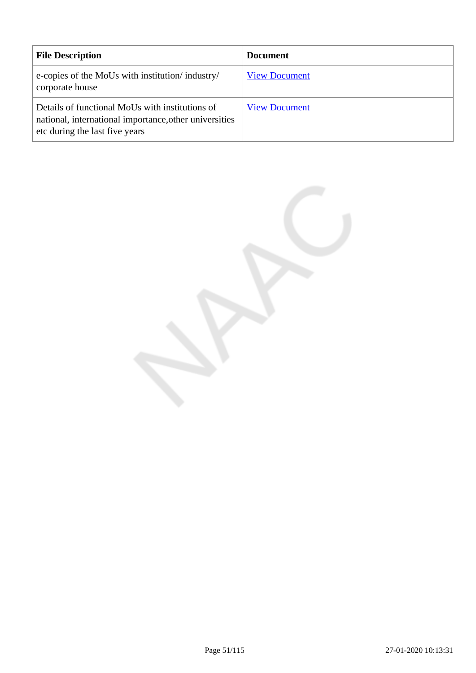| <b>File Description</b>                                                                                                                     | <b>Document</b>      |
|---------------------------------------------------------------------------------------------------------------------------------------------|----------------------|
| e-copies of the MoUs with institution/industry/<br>corporate house                                                                          | <b>View Document</b> |
| Details of functional MoUs with institutions of<br>national, international importance, other universities<br>etc during the last five years | <b>View Document</b> |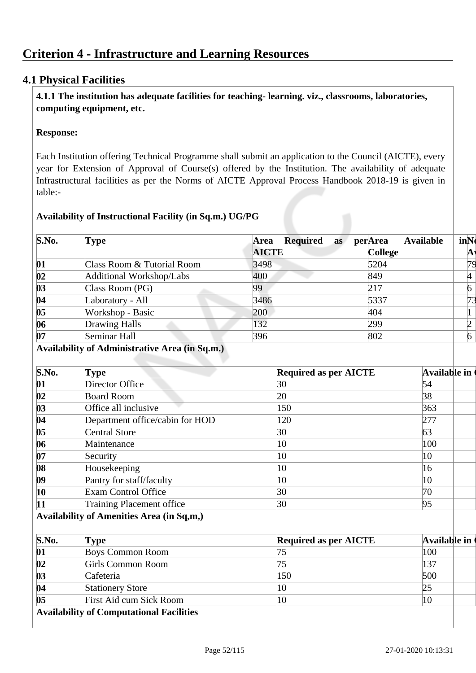## **Criterion 4 - Infrastructure and Learning Resources**

## **4.1 Physical Facilities**

 **4.1.1 The institution has adequate facilities for teaching- learning. viz., classrooms, laboratories, computing equipment, etc.**

#### **Response:**

Each Institution offering Technical Programme shall submit an application to the Council (AICTE), every year for Extension of Approval of Course(s) offered by the Institution. The availability of adequate Infrastructural facilities as per the Norms of AICTE Approval Process Handbook 2018-19 is given in table:-

#### **Availability of Instructional Facility (in Sq.m.) UG/PG**

| S.No.             | Type                       | <b>Available</b><br>Required<br>perArea<br>Area<br>as | inNo |
|-------------------|----------------------------|-------------------------------------------------------|------|
|                   |                            | <b>AICTE</b><br><b>College</b>                        | A    |
| 01                | Class Room & Tutorial Room | 3498<br>5204                                          |      |
| $\bf{02}$         | Additional Workshop/Labs   | 400<br>849                                            | 14   |
| $\boldsymbol{03}$ | Class Room (PG)            | 217<br>99                                             | 6    |
| 04                | Laboratory - All           | 3486<br>5337                                          |      |
| 05                | Workshop - Basic           | 200<br>404                                            |      |
| 06                | Drawing Halls              | 132<br>299                                            |      |
| 07                | Seminar Hall               | 802<br>396                                            |      |

#### **Availability of Administrative Area (in Sq.m.)**

| S.No.             | Type                             | <b>Required as per AICTE</b> | <b>Available in</b> |
|-------------------|----------------------------------|------------------------------|---------------------|
| 01                | Director Office                  | 30                           | 54                  |
| 02                | <b>Board Room</b>                | 20                           | 38                  |
| $\boldsymbol{03}$ | Office all inclusive             | 150                          | 363                 |
| 04                | Department office/cabin for HOD  | 120                          | 277                 |
| 05                | <b>Central Store</b>             | 30                           | 63                  |
| 06                | Maintenance                      | 10                           | 100                 |
| 07                | Security                         | 10                           | 10                  |
| 08                | Housekeeping                     | 10                           | 16                  |
| $\bf{0}9$         | Pantry for staff/faculty         | 10                           | 10                  |
| 10                | Exam Control Office              | 30                           | 70                  |
| 11                | <b>Training Placement office</b> | 30                           | 95                  |

#### **Availability of Amenities Area (in Sq,m,)**

| S.No.                    | Type                    | <b>Required as per AICTE</b> | Available in |
|--------------------------|-------------------------|------------------------------|--------------|
| 01                       | <b>Boys Common Room</b> |                              | 100          |
| $\overline{\mathbf{02}}$ | Girls Common Room       |                              | 137          |
| $\boldsymbol{03}$        | Cafeteria               | 150                          | 500          |
| 04                       | <b>Stationery Store</b> | 10                           |              |
| 05                       | First Aid cum Sick Room | 10                           | 10           |
| .                        |                         |                              |              |

**Availability of Computational Facilities**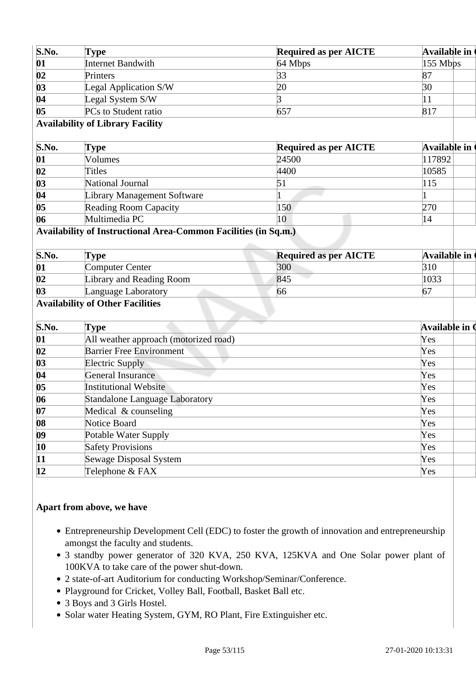| S.No.                    | <b>Type</b>                                                     | <b>Required as per AICTE</b> | <b>Available in</b>   |
|--------------------------|-----------------------------------------------------------------|------------------------------|-----------------------|
| 01                       | <b>Internet Bandwith</b>                                        | 64 Mbps                      | 155 Mbps              |
| 02                       | Printers                                                        | 33                           | 87                    |
| 03                       | Legal Application S/W                                           | 20                           | 30                    |
| 04                       | Legal System S/W                                                | 3                            | 11                    |
| 05                       | PCs to Student ratio                                            | 657                          | 817                   |
|                          | <b>Availability of Library Facility</b>                         |                              |                       |
| S.No.                    | <b>Type</b>                                                     | <b>Required as per AICTE</b> | <b>Available in</b>   |
| 01                       | Volumes                                                         | 24500                        | 117892                |
| $\overline{\mathbf{02}}$ | <b>Titles</b>                                                   | 4400                         | 10585                 |
| 03                       | National Journal                                                | 51                           | 115                   |
| 04                       | <b>Library Management Software</b>                              |                              |                       |
| 05                       | <b>Reading Room Capacity</b>                                    | 150                          | 270                   |
| 06                       | Multimedia PC                                                   | 10                           | 14                    |
|                          | Availability of Instructional Area-Common Facilities (in Sq.m.) |                              |                       |
|                          |                                                                 |                              |                       |
| S.No.                    | <b>Type</b>                                                     | <b>Required as per AICTE</b> | <b>Available in</b>   |
| 01                       | <b>Computer Center</b>                                          | 300                          | 310                   |
| $\overline{\mathbf{02}}$ | Library and Reading Room                                        | 845                          | 1033                  |
| $\boldsymbol{03}$        | Language Laboratory                                             | 66                           | 67                    |
|                          | <b>Availability of Other Facilities</b>                         |                              |                       |
| S.No.                    | <b>Type</b>                                                     |                              | Available in <b>(</b> |
| 01                       | All weather approach (motorized road)                           |                              | Yes                   |
| 02                       | <b>Barrier Free Environment</b>                                 |                              | Yes                   |
| 03                       | <b>Electric Supply</b>                                          |                              | Yes                   |
| 04                       | <b>General Insurance</b>                                        |                              | Yes                   |
| 05                       | <b>Institutional Website</b>                                    |                              | Yes                   |
| 06                       | <b>Standalone Language Laboratory</b>                           |                              | Yes                   |
| 07                       | Medical & counseling                                            |                              | Yes                   |
| 08                       | Notice Board                                                    |                              | Yes                   |
| $\boldsymbol{09}$        | Potable Water Supply                                            |                              | Yes                   |
| 10                       | <b>Safety Provisions</b>                                        |                              | Yes                   |
| 11                       | Sewage Disposal System                                          |                              | Yes                   |

## **Apart from above, we have**

- Entrepreneurship Development Cell (EDC) to foster the growth of innovation and entrepreneurship amongst the faculty and students.
- 3 standby power generator of 320 KVA, 250 KVA, 125KVA and One Solar power plant of 100KVA to take care of the power shut-down.
- 2 state-of-art Auditorium for conducting Workshop/Seminar/Conference.
- Playground for Cricket, Volley Ball, Football, Basket Ball etc.
- 3 Boys and 3 Girls Hostel.
- Solar water Heating System, GYM, RO Plant, Fire Extinguisher etc.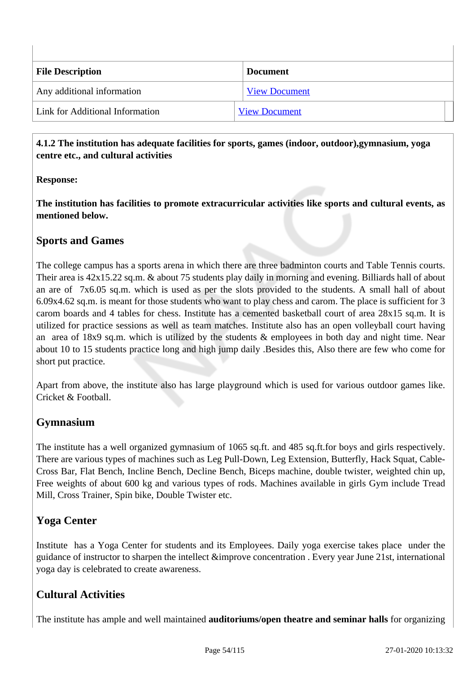| <b>File Description</b>         | <b>Document</b>      |
|---------------------------------|----------------------|
| Any additional information      | <b>View Document</b> |
| Link for Additional Information | <b>View Document</b> |

#### **4.1.2 The institution has adequate facilities for sports, games (indoor, outdoor),gymnasium, yoga centre etc., and cultural activities**

## **Response:**

**The institution has facilities to promote extracurricular activities like sports and cultural events, as mentioned below.**

## **Sports and Games**

The college campus has a sports arena in which there are three badminton courts and Table Tennis courts. Their area is 42x15.22 sq.m. & about 75 students play daily in morning and evening. Billiards hall of about an are of 7x6.05 sq.m. which is used as per the slots provided to the students. A small hall of about 6.09x4.62 sq.m. is meant for those students who want to play chess and carom. The place is sufficient for 3 carom boards and 4 tables for chess. Institute has a cemented basketball court of area 28x15 sq.m. It is utilized for practice sessions as well as team matches. Institute also has an open volleyball court having an area of 18x9 sq.m. which is utilized by the students & employees in both day and night time. Near about 10 to 15 students practice long and high jump daily .Besides this, Also there are few who come for short put practice.

Apart from above, the institute also has large playground which is used for various outdoor games like. Cricket & Football.

## **Gymnasium**

The institute has a well organized gymnasium of 1065 sq.ft. and 485 sq.ft.for boys and girls respectively. There are various types of machines such as Leg Pull-Down, Leg Extension, Butterfly, Hack Squat, Cable-Cross Bar, Flat Bench, Incline Bench, Decline Bench, Biceps machine, double twister, weighted chin up, Free weights of about 600 kg and various types of rods. Machines available in girls Gym include Tread Mill, Cross Trainer, Spin bike, Double Twister etc.

## **Yoga Center**

Institute has a Yoga Center for students and its Employees. Daily yoga exercise takes place under the guidance of instructor to sharpen the intellect &improve concentration . Every year June 21st, international yoga day is celebrated to create awareness.

## **Cultural Activities**

The institute has ample and well maintained **auditoriums/open theatre and seminar halls** for organizing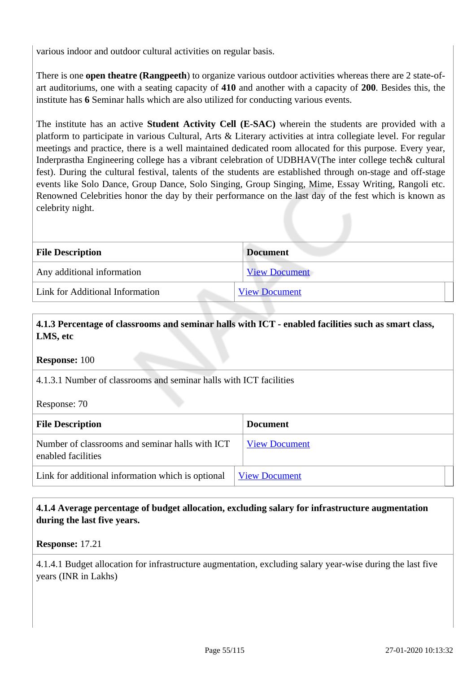various indoor and outdoor cultural activities on regular basis.

There is one **open theatre (Rangpeeth**) to organize various outdoor activities whereas there are 2 state-ofart auditoriums, one with a seating capacity of **410** and another with a capacity of **200**. Besides this, the institute has **6** Seminar halls which are also utilized for conducting various events.

The institute has an active **Student Activity Cell (E-SAC)** wherein the students are provided with a platform to participate in various Cultural, Arts & Literary activities at intra collegiate level. For regular meetings and practice, there is a well maintained dedicated room allocated for this purpose. Every year, Inderprastha Engineering college has a vibrant celebration of UDBHAV(The inter college tech& cultural fest). During the cultural festival, talents of the students are established through on-stage and off-stage events like Solo Dance, Group Dance, Solo Singing, Group Singing, Mime, Essay Writing, Rangoli etc. Renowned Celebrities honor the day by their performance on the last day of the fest which is known as celebrity night.

| <b>File Description</b>         | <b>Document</b>      |
|---------------------------------|----------------------|
| Any additional information      | <b>View Document</b> |
| Link for Additional Information | <b>View Document</b> |

#### **4.1.3 Percentage of classrooms and seminar halls with ICT - enabled facilities such as smart class, LMS, etc**

**Response:** 100

4.1.3.1 Number of classrooms and seminar halls with ICT facilities

Response: 70

| <b>File Description</b>                                               | <b>Document</b>      |
|-----------------------------------------------------------------------|----------------------|
| Number of classrooms and seminar halls with ICT<br>enabled facilities | <b>View Document</b> |
| Link for additional information which is optional                     | <b>View Document</b> |

#### **4.1.4 Average percentage of budget allocation, excluding salary for infrastructure augmentation during the last five years.**

**Response:** 17.21

4.1.4.1 Budget allocation for infrastructure augmentation, excluding salary year-wise during the last five years (INR in Lakhs)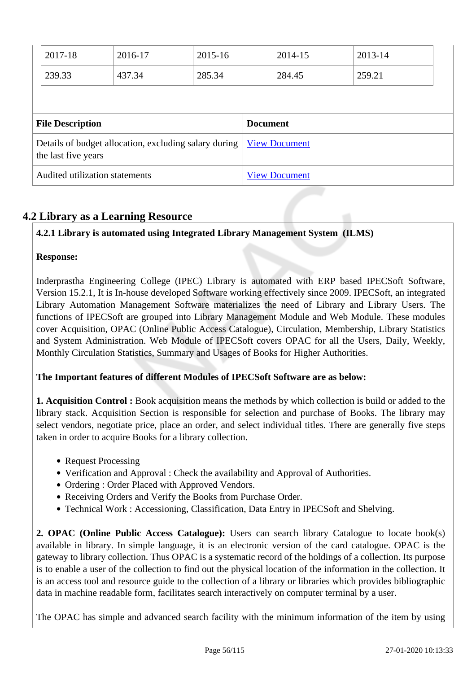| 2017-18                 | 2016-17                                               | 2015-16 |                 | 2014-15              | 2013-14 |  |
|-------------------------|-------------------------------------------------------|---------|-----------------|----------------------|---------|--|
| 239.33                  | 437.34                                                | 285.34  |                 | 284.45               | 259.21  |  |
|                         |                                                       |         |                 |                      |         |  |
|                         |                                                       |         |                 |                      |         |  |
| <b>File Description</b> |                                                       |         | <b>Document</b> |                      |         |  |
| the last five years     | Details of budget allocation, excluding salary during |         |                 | <b>View Document</b> |         |  |

## **4.2 Library as a Learning Resource**

## **4.2.1 Library is automated using Integrated Library Management System (ILMS)**

#### **Response:**

Inderprastha Engineering College (IPEC) Library is automated with ERP based IPECSoft Software, Version 15.2.1, It is In-house developed Software working effectively since 2009. IPECSoft, an integrated Library Automation Management Software materializes the need of Library and Library Users. The functions of IPECSoft are grouped into Library Management Module and Web Module. These modules cover Acquisition, OPAC (Online Public Access Catalogue), Circulation, Membership, Library Statistics and System Administration. Web Module of IPECSoft covers OPAC for all the Users, Daily, Weekly, Monthly Circulation Statistics, Summary and Usages of Books for Higher Authorities.

## **The Important features of different Modules of IPECSoft Software are as below:**

**1. Acquisition Control :** Book acquisition means the methods by which collection is build or added to the library stack. Acquisition Section is responsible for selection and purchase of Books. The library may select vendors, negotiate price, place an order, and select individual titles. There are generally five steps taken in order to acquire Books for a library collection.

- Request Processing
- Verification and Approval : Check the availability and Approval of Authorities.
- Ordering : Order Placed with Approved Vendors.
- Receiving Orders and Verify the Books from Purchase Order.
- Technical Work : Accessioning, Classification, Data Entry in IPECSoft and Shelving.

**2. OPAC (Online Public Access Catalogue):** Users can search library Catalogue to locate book(s) available in library. In simple language, it is an electronic version of the card catalogue. OPAC is the gateway to library collection. Thus OPAC is a systematic record of the holdings of a collection. Its purpose is to enable a user of the collection to find out the physical location of the information in the collection. It is an access tool and resource guide to the collection of a library or libraries which provides bibliographic data in machine readable form, facilitates search interactively on computer terminal by a user.

The OPAC has simple and advanced search facility with the minimum information of the item by using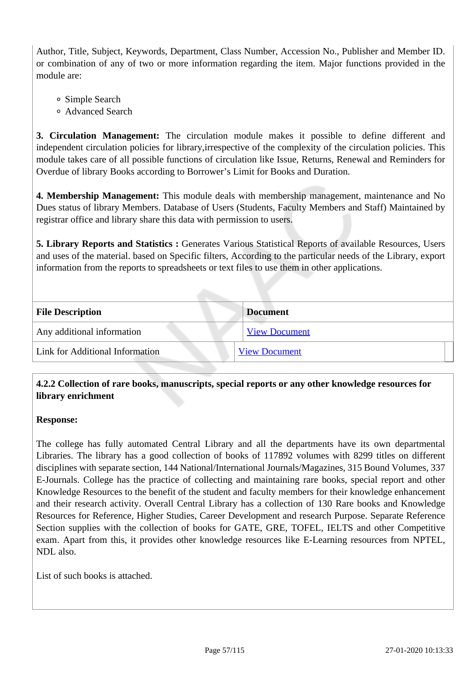Author, Title, Subject, Keywords, Department, Class Number, Accession No., Publisher and Member ID. or combination of any of two or more information regarding the item. Major functions provided in the module are:

- Simple Search
- Advanced Search

**3. Circulation Management:** The circulation module makes it possible to define different and independent circulation policies for library,irrespective of the complexity of the circulation policies. This module takes care of all possible functions of circulation like Issue, Returns, Renewal and Reminders for Overdue of library Books according to Borrower's Limit for Books and Duration.

**4. Membership Management:** This module deals with membership management, maintenance and No Dues status of library Members. Database of Users (Students, Faculty Members and Staff) Maintained by registrar office and library share this data with permission to users.

5. Library Reports and Statistics : Generates Various Statistical Reports of available Resources, Users and uses of the material. based on Specific filters, According to the particular needs of the Library, export information from the reports to spreadsheets or text files to use them in other applications.

| <b>File Description</b>         | <b>Document</b>      |
|---------------------------------|----------------------|
| Any additional information      | <b>View Document</b> |
| Link for Additional Information | <b>View Document</b> |

## **4.2.2 Collection of rare books, manuscripts, special reports or any other knowledge resources for library enrichment**

#### **Response:**

The college has fully automated Central Library and all the departments have its own departmental Libraries. The library has a good collection of books of 117892 volumes with 8299 titles on different disciplines with separate section, 144 National/International Journals/Magazines, 315 Bound Volumes, 337 E-Journals. College has the practice of collecting and maintaining rare books, special report and other Knowledge Resources to the benefit of the student and faculty members for their knowledge enhancement and their research activity. Overall Central Library has a collection of 130 Rare books and Knowledge Resources for Reference, Higher Studies, Career Development and research Purpose. Separate Reference Section supplies with the collection of books for GATE, GRE, TOFEL, IELTS and other Competitive exam. Apart from this, it provides other knowledge resources like E-Learning resources from NPTEL, NDL also.

List of such books is attached.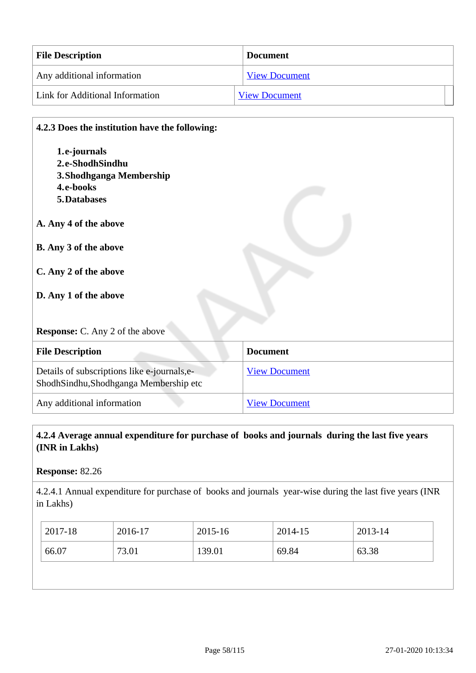| <b>File Description</b>         | <b>Document</b>      |
|---------------------------------|----------------------|
| Any additional information      | <b>View Document</b> |
| Link for Additional Information | <b>View Document</b> |

# **4.2.3 Does the institution have the following: 1.e-journals 2.e-ShodhSindhu 3.Shodhganga Membership 4.e-books 5.Databases A. Any 4 of the above B. Any 3 of the above C. Any 2 of the above D. Any 1 of the above Response:** C. Any 2 of the above **File Description Document** Details of subscriptions like e-journals,e-ShodhSindhu,Shodhganga Membership etc [View Document](https://assessmentonline.naac.gov.in/storage/app/hei/SSR/101567/4.2.3_1546511848_1667.xlsx)

Any additional information [View Document](https://assessmentonline.naac.gov.in/storage/app/hei/SSR/101567/4.2.3_1546513045_1667.pdf)

#### **4.2.4 Average annual expenditure for purchase of books and journals during the last five years (INR in Lakhs)**

**Response:** 82.26

4.2.4.1 Annual expenditure for purchase of books and journals year-wise during the last five years (INR in Lakhs)

|                                            | 2017-18 | 2016-17 | 2015-16 | 2014-15 | 2013-14 |
|--------------------------------------------|---------|---------|---------|---------|---------|
| 66.07<br>63.38<br>73.01<br>139.01<br>69.84 |         |         |         |         |         |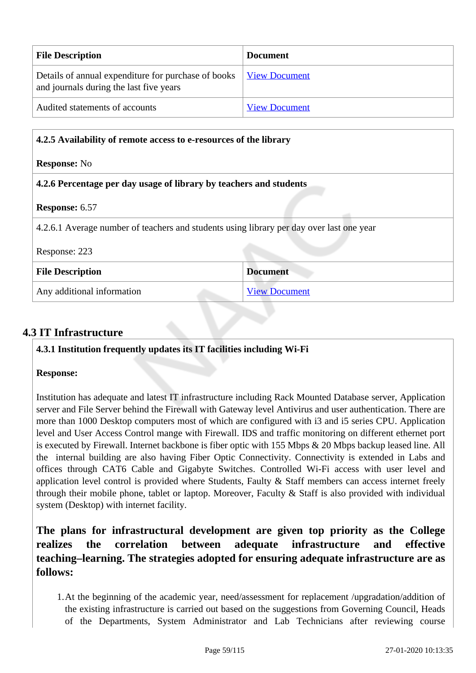| <b>File Description</b>                                                                        | Document             |
|------------------------------------------------------------------------------------------------|----------------------|
| Details of annual expenditure for purchase of books<br>and journals during the last five years | <b>View Document</b> |
| Audited statements of accounts                                                                 | <b>View Document</b> |

| 4.2.5 Availability of remote access to e-resources of the library                        |                      |  |
|------------------------------------------------------------------------------------------|----------------------|--|
| <b>Response:</b> No                                                                      |                      |  |
| 4.2.6 Percentage per day usage of library by teachers and students                       |                      |  |
| <b>Response: 6.57</b>                                                                    |                      |  |
| 4.2.6.1 Average number of teachers and students using library per day over last one year |                      |  |
| Response: 223                                                                            |                      |  |
| <b>File Description</b>                                                                  | <b>Document</b>      |  |
| Any additional information                                                               | <b>View Document</b> |  |

## **4.3 IT Infrastructure**

**4.3.1 Institution frequently updates its IT facilities including Wi-Fi**

## **Response:**

Institution has adequate and latest IT infrastructure including Rack Mounted Database server, Application server and File Server behind the Firewall with Gateway level Antivirus and user authentication. There are more than 1000 Desktop computers most of which are configured with i3 and i5 series CPU. Application level and User Access Control mange with Firewall. IDS and traffic monitoring on different ethernet port is executed by Firewall. Internet backbone is fiber optic with 155 Mbps & 20 Mbps backup leased line. All the internal building are also having Fiber Optic Connectivity. Connectivity is extended in Labs and offices through CAT6 Cable and Gigabyte Switches. Controlled Wi-Fi access with user level and application level control is provided where Students, Faulty & Staff members can access internet freely through their mobile phone, tablet or laptop. Moreover, Faculty & Staff is also provided with individual system (Desktop) with internet facility.

## **The plans for infrastructural development are given top priority as the College realizes the correlation between adequate infrastructure and effective teaching–learning. The strategies adopted for ensuring adequate infrastructure are as follows:**

1.At the beginning of the academic year, need/assessment for replacement /upgradation/addition of the existing infrastructure is carried out based on the suggestions from Governing Council, Heads of the Departments, System Administrator and Lab Technicians after reviewing course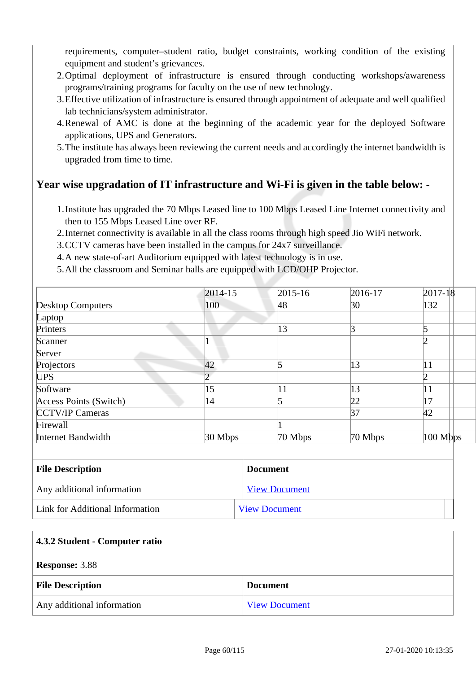requirements, computer–student ratio, budget constraints, working condition of the existing equipment and student's grievances.

- 2.Optimal deployment of infrastructure is ensured through conducting workshops/awareness programs/training programs for faculty on the use of new technology.
- 3.Effective utilization of infrastructure is ensured through appointment of adequate and well qualified lab technicians/system administrator.
- 4.Renewal of AMC is done at the beginning of the academic year for the deployed Software applications, UPS and Generators.
- 5.The institute has always been reviewing the current needs and accordingly the internet bandwidth is upgraded from time to time.

## **Year wise upgradation of IT infrastructure and Wi-Fi is given in the table below: -**

- 1.Institute has upgraded the 70 Mbps Leased line to 100 Mbps Leased Line Internet connectivity and then to 155 Mbps Leased Line over RF.
- 2.Internet connectivity is available in all the class rooms through high speed Jio WiFi network.
- 3.CCTV cameras have been installed in the campus for 24x7 surveillance.
- 4.A new state-of-art Auditorium equipped with latest technology is in use.
- 5.All the classroom and Seminar halls are equipped with LCD/OHP Projector.

|                          | $2014 - 15$ | $2015 - 16$ | 2016-17   | $2017 - 18$ |
|--------------------------|-------------|-------------|-----------|-------------|
| <b>Desktop Computers</b> | 100         | 48          | 30        | 132         |
| Laptop                   |             |             |           |             |
| Printers                 |             | 13          | ∣ว        |             |
| Scanner                  |             |             |           |             |
| Server                   |             |             |           |             |
| Projectors               | 42          |             | 13        | 11          |
| UPS <sup>1</sup>         |             |             |           |             |
| Software                 | 15          | 11          | 13        | 11          |
| Access Points (Switch)   | 14          |             | 22        | 17          |
| <b>CCTV/IP Cameras</b>   |             |             | 37        | 42          |
| Firewall                 |             |             |           |             |
| Internet Bandwidth       | $30$ Mbps   | 70 Mbps     | $70$ Mbps | $100$ Mbps  |

| <b>File Description</b>         | <b>Document</b>      |  |
|---------------------------------|----------------------|--|
| Any additional information      | <b>View Document</b> |  |
| Link for Additional Information | <b>View Document</b> |  |

| 4.3.2 Student - Computer ratio |                      |  |
|--------------------------------|----------------------|--|
| <b>Response: 3.88</b>          |                      |  |
| <b>File Description</b>        | <b>Document</b>      |  |
| Any additional information     | <b>View Document</b> |  |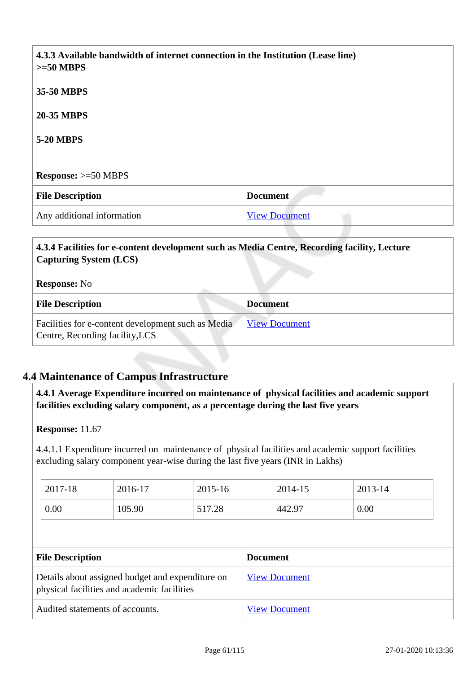| 4.3.3 Available bandwidth of internet connection in the Institution (Lease line)<br>$>=50$ MBPS |                      |  |
|-------------------------------------------------------------------------------------------------|----------------------|--|
| 35-50 MBPS                                                                                      |                      |  |
| <b>20-35 MBPS</b>                                                                               |                      |  |
| <b>5-20 MBPS</b>                                                                                |                      |  |
|                                                                                                 |                      |  |
| <b>Response:</b> $>=50$ MBPS                                                                    |                      |  |
| <b>File Description</b>                                                                         | <b>Document</b>      |  |
| Any additional information                                                                      | <b>View Document</b> |  |

## **4.3.4 Facilities for e-content development such as Media Centre, Recording facility, Lecture Capturing System (LCS)**

#### **Response:** No

| <b>File Description</b>                                                               | <b>Document</b>      |
|---------------------------------------------------------------------------------------|----------------------|
| Facilities for e-content development such as Media<br>Centre, Recording facility, LCS | <b>View Document</b> |

## **4.4 Maintenance of Campus Infrastructure**

 **4.4.1 Average Expenditure incurred on maintenance of physical facilities and academic support facilities excluding salary component, as a percentage during the last five years**

#### **Response:** 11.67

4.4.1.1 Expenditure incurred on maintenance of physical facilities and academic support facilities excluding salary component year-wise during the last five years (INR in Lakhs)

| 2017-18 | 2016-17 | 2015-16 | 2014-15 | 2013-14 |
|---------|---------|---------|---------|---------|
| 0.00    | 105.90  | 517.28  | 442.97  | 0.00    |

| <b>File Description</b>                                                                         | <b>Document</b>      |
|-------------------------------------------------------------------------------------------------|----------------------|
| Details about assigned budget and expenditure on<br>physical facilities and academic facilities | <b>View Document</b> |
| Audited statements of accounts.                                                                 | <b>View Document</b> |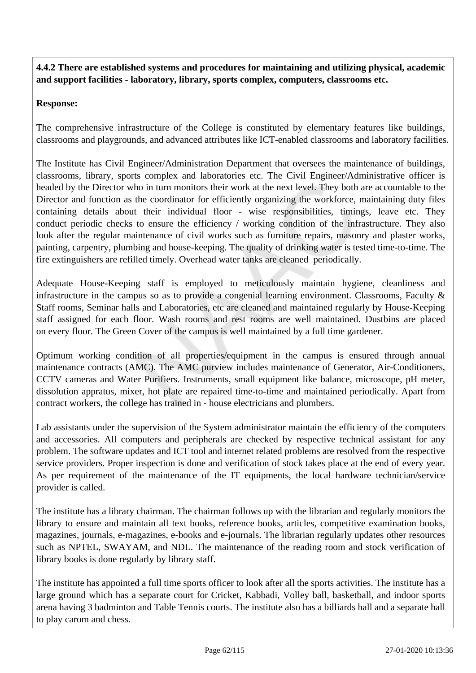**4.4.2 There are established systems and procedures for maintaining and utilizing physical, academic and support facilities - laboratory, library, sports complex, computers, classrooms etc.**

#### **Response:**

The comprehensive infrastructure of the College is constituted by elementary features like buildings, classrooms and playgrounds, and advanced attributes like ICT-enabled classrooms and laboratory facilities.

The Institute has Civil Engineer/Administration Department that oversees the maintenance of buildings, classrooms, library, sports complex and laboratories etc. The Civil Engineer/Administrative officer is headed by the Director who in turn monitors their work at the next level. They both are accountable to the Director and function as the coordinator for efficiently organizing the workforce, maintaining duty files containing details about their individual floor - wise responsibilities, timings, leave etc. They conduct periodic checks to ensure the efficiency / working condition of the infrastructure. They also look after the regular maintenance of civil works such as furniture repairs, masonry and plaster works, painting, carpentry, plumbing and house-keeping. The quality of drinking water is tested time-to-time. The fire extinguishers are refilled timely. Overhead water tanks are cleaned periodically.

Adequate House-Keeping staff is employed to meticulously maintain hygiene, cleanliness and infrastructure in the campus so as to provide a congenial learning environment. Classrooms, Faculty  $\&$ Staff rooms, Seminar halls and Laboratories, etc are cleaned and maintained regularly by House-Keeping staff assigned for each floor. Wash rooms and rest rooms are well maintained. Dustbins are placed on every floor. The Green Cover of the campus is well maintained by a full time gardener.

Optimum working condition of all properties/equipment in the campus is ensured through annual maintenance contracts (AMC). The AMC purview includes maintenance of Generator, Air-Conditioners, CCTV cameras and Water Purifiers. Instruments, small equipment like balance, microscope, pH meter, dissolution appratus, mixer, hot plate are repaired time-to-time and maintained periodically. Apart from contract workers, the college has trained in - house electricians and plumbers.

Lab assistants under the supervision of the System administrator maintain the efficiency of the computers and accessories. All computers and peripherals are checked by respective technical assistant for any problem. The software updates and ICT tool and internet related problems are resolved from the respective service providers. Proper inspection is done and verification of stock takes place at the end of every year. As per requirement of the maintenance of the IT equipments, the local hardware technician/service provider is called.

The institute has a library chairman. The chairman follows up with the librarian and regularly monitors the library to ensure and maintain all text books, reference books, articles, competitive examination books, magazines, journals, e-magazines, e-books and e-journals. The librarian regularly updates other resources such as NPTEL, SWAYAM, and NDL. The maintenance of the reading room and stock verification of library books is done regularly by library staff.

The institute has appointed a full time sports officer to look after all the sports activities. The institute has a large ground which has a separate court for Cricket, Kabbadi, Volley ball, basketball, and indoor sports arena having 3 badminton and Table Tennis courts. The institute also has a billiards hall and a separate hall to play carom and chess.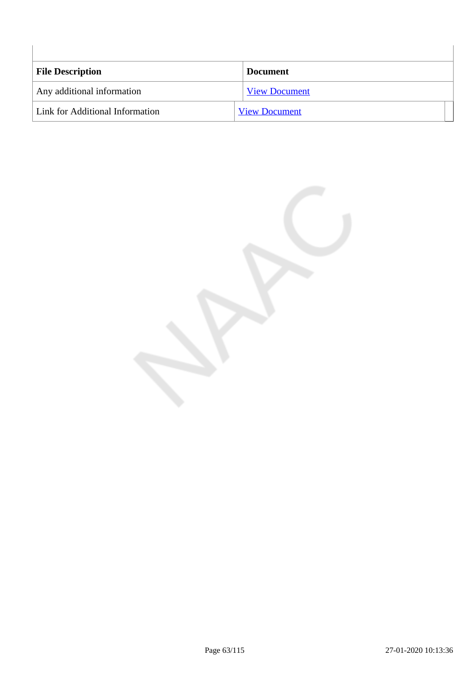| <b>File Description</b>         | <b>Document</b>      |
|---------------------------------|----------------------|
| Any additional information      | <b>View Document</b> |
| Link for Additional Information | <b>View Document</b> |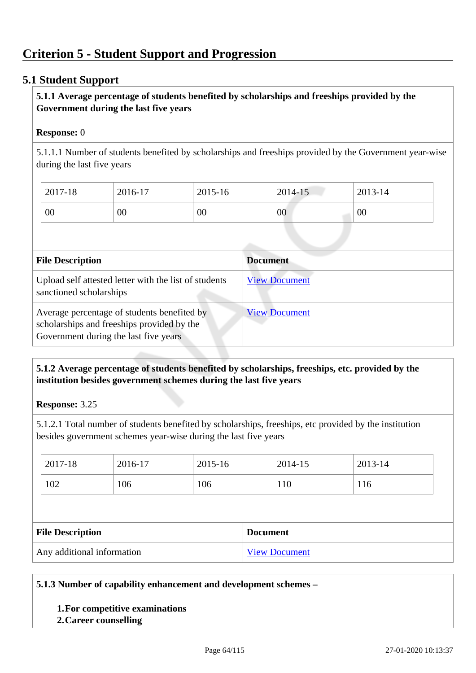## **Criterion 5 - Student Support and Progression**

#### **5.1 Student Support**

#### **5.1.1 Average percentage of students benefited by scholarships and freeships provided by the Government during the last five years**

#### **Response:** 0

5.1.1.1 Number of students benefited by scholarships and freeships provided by the Government year-wise during the last five years

| 2017-18 | 2016-17 | 2015-16 | 2014-15 | 2013-14 |
|---------|---------|---------|---------|---------|
| 00      | 00      | 00      | 00      | 00      |

| <b>File Description</b>                                                                                                            | <b>Document</b>      |
|------------------------------------------------------------------------------------------------------------------------------------|----------------------|
| Upload self attested letter with the list of students<br>sanctioned scholarships                                                   | <b>View Document</b> |
| Average percentage of students benefited by<br>scholarships and freeships provided by the<br>Government during the last five years | <b>View Document</b> |

#### **5.1.2 Average percentage of students benefited by scholarships, freeships, etc. provided by the institution besides government schemes during the last five years**

#### **Response:** 3.25

5.1.2.1 Total number of students benefited by scholarships, freeships, etc provided by the institution besides government schemes year-wise during the last five years

| 2017-18                 | 2016-17 | 2015-16 | 2014-15         | 2013-14 |
|-------------------------|---------|---------|-----------------|---------|
| 102                     | 106     | 106     | 110             | 116     |
|                         |         |         |                 |         |
|                         |         |         |                 |         |
| <b>File Description</b> |         |         | <b>Document</b> |         |

#### **5.1.3 Number of capability enhancement and development schemes –**

#### **1.For competitive examinations**

#### **2.Career counselling**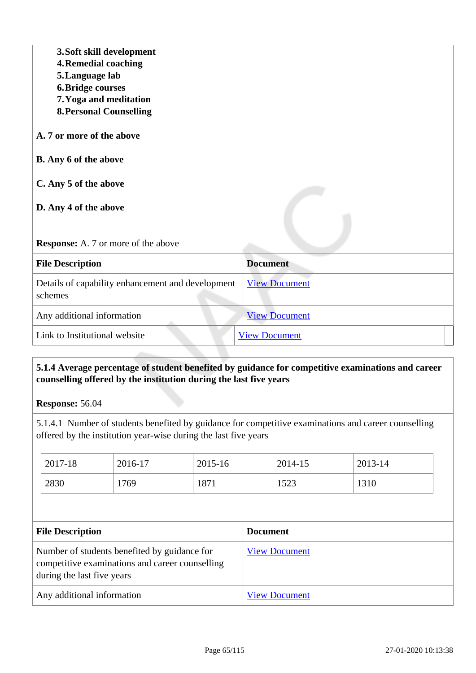| 3. Soft skill development<br><b>4. Remedial coaching</b><br>5. Language lab<br><b>6. Bridge courses</b><br>7. Yoga and meditation<br><b>8. Personal Counselling</b><br>A. 7 or more of the above<br><b>B.</b> Any 6 of the above<br>C. Any 5 of the above<br>D. Any 4 of the above<br><b>Response:</b> A. 7 or more of the above |                      |
|----------------------------------------------------------------------------------------------------------------------------------------------------------------------------------------------------------------------------------------------------------------------------------------------------------------------------------|----------------------|
| <b>File Description</b>                                                                                                                                                                                                                                                                                                          | <b>Document</b>      |
| Details of capability enhancement and development<br>schemes                                                                                                                                                                                                                                                                     | <b>View Document</b> |
| Any additional information                                                                                                                                                                                                                                                                                                       | <b>View Document</b> |
| Link to Institutional website                                                                                                                                                                                                                                                                                                    | <b>View Document</b> |

## **5.1.4 Average percentage of student benefited by guidance for competitive examinations and career counselling offered by the institution during the last five years**

**Response:** 56.04

5.1.4.1 Number of students benefited by guidance for competitive examinations and career counselling offered by the institution year-wise during the last five years

| 2017-18                                                                                                                       | 2016-17 | 2015-16 |                 | 2014-15              | 2013-14 |
|-------------------------------------------------------------------------------------------------------------------------------|---------|---------|-----------------|----------------------|---------|
| 2830                                                                                                                          | 1769    | 1871    |                 | 1523                 | 1310    |
|                                                                                                                               |         |         |                 |                      |         |
| <b>File Description</b>                                                                                                       |         |         | <b>Document</b> |                      |         |
| Number of students benefited by guidance for<br>competitive examinations and career counselling<br>during the last five years |         |         |                 |                      |         |
|                                                                                                                               |         |         |                 | <b>View Document</b> |         |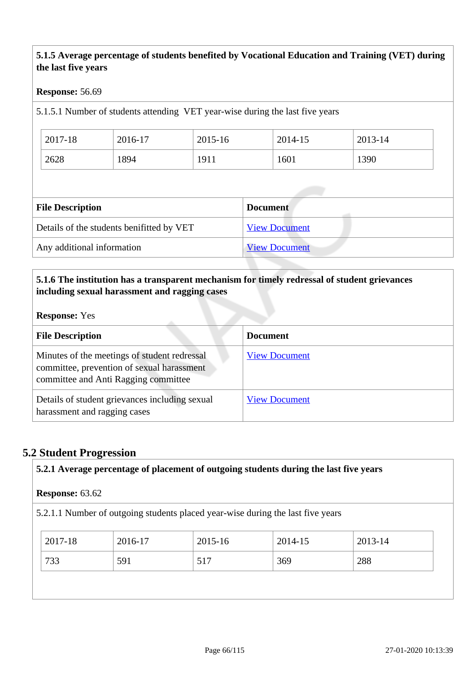## **5.1.5 Average percentage of students benefited by Vocational Education and Training (VET) during the last five years**

#### **Response:** 56.69

5.1.5.1 Number of students attending VET year-wise during the last five years

| 2017-18 | 2016-17 | 2015-16 | 2014-15 | 2013-14 |
|---------|---------|---------|---------|---------|
| 2628    | 1894    | 1911    | 1601    | 1390    |

| <b>Document</b>      |
|----------------------|
| <b>View Document</b> |
| <b>View Document</b> |
|                      |

## **5.1.6 The institution has a transparent mechanism for timely redressal of student grievances including sexual harassment and ragging cases**

#### **Response:** Yes

| <b>File Description</b>                                                                                                            | <b>Document</b>      |
|------------------------------------------------------------------------------------------------------------------------------------|----------------------|
| Minutes of the meetings of student redressal<br>committee, prevention of sexual harassment<br>committee and Anti Ragging committee | <b>View Document</b> |
| Details of student grievances including sexual<br>harassment and ragging cases                                                     | <b>View Document</b> |

## **5.2 Student Progression**

| <b>Response: 63.62</b> |         |             |                                                                                 |         |
|------------------------|---------|-------------|---------------------------------------------------------------------------------|---------|
|                        |         |             | 5.2.1.1 Number of outgoing students placed year-wise during the last five years |         |
| 2017-18                | 2016-17 | $2015 - 16$ | 2014-15                                                                         | 2013-14 |
| 733                    | 591     | 517         | 369                                                                             | 288     |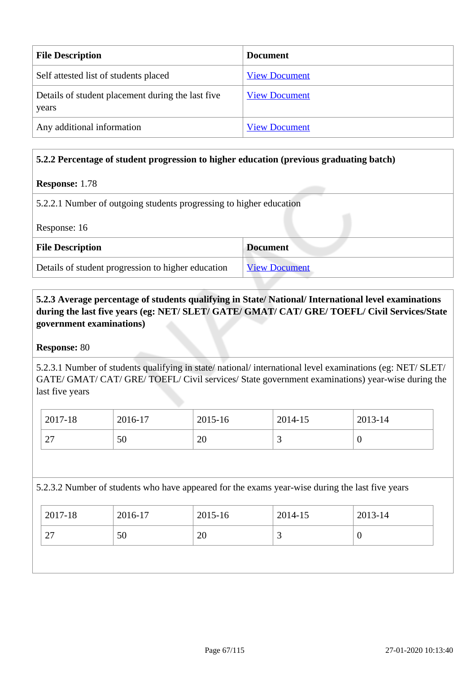| <b>File Description</b>                                    | <b>Document</b>      |
|------------------------------------------------------------|----------------------|
| Self attested list of students placed                      | <b>View Document</b> |
| Details of student placement during the last five<br>years | <b>View Document</b> |
| Any additional information                                 | <b>View Document</b> |

#### **5.2.2 Percentage of student progression to higher education (previous graduating batch)**

#### **Response:** 1.78

5.2.2.1 Number of outgoing students progressing to higher education

Response: 16

| <b>File Description</b>                            | <b>Document</b>      |
|----------------------------------------------------|----------------------|
| Details of student progression to higher education | <b>View Document</b> |

## **5.2.3 Average percentage of students qualifying in State/ National/ International level examinations during the last five years (eg: NET/ SLET/ GATE/ GMAT/ CAT/ GRE/ TOEFL/ Civil Services/State government examinations)**

#### **Response:** 80

5.2.3.1 Number of students qualifying in state/ national/ international level examinations (eg: NET/ SLET/ GATE/ GMAT/ CAT/ GRE/ TOEFL/ Civil services/ State government examinations) year-wise during the last five years

| 2017-18          | 2016-17 | 2015-16        | 2014-15  | 2013-14 |
|------------------|---------|----------------|----------|---------|
| $\bigcap$<br>ا ت | 50      | $\Omega$<br>∠∪ | <u>ب</u> | ◡       |

5.2.3.2 Number of students who have appeared for the exams year-wise during the last five years

| $2017 - 18$               | 2016-17 | 2015-16 | 2014-15                  | 2013-14 |
|---------------------------|---------|---------|--------------------------|---------|
| $\mathcal{L}$<br>$\sim$ 1 | 50      | 20      | $\overline{\phantom{0}}$ |         |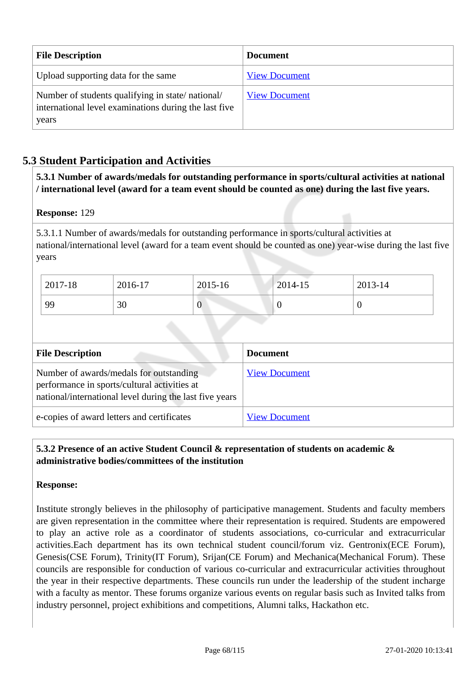| <b>File Description</b>                                                                                            | <b>Document</b>      |
|--------------------------------------------------------------------------------------------------------------------|----------------------|
| Upload supporting data for the same                                                                                | <b>View Document</b> |
| Number of students qualifying in state/national/<br>international level examinations during the last five<br>years | <b>View Document</b> |

## **5.3 Student Participation and Activities**

 **5.3.1 Number of awards/medals for outstanding performance in sports/cultural activities at national / international level (award for a team event should be counted as one) during the last five years.**

#### **Response:** 129

5.3.1.1 Number of awards/medals for outstanding performance in sports/cultural activities at national/international level (award for a team event should be counted as one) year-wise during the last five years

| $2017 - 18$ | 2016-17 | 2015-16          | 2014-15 | 2013-14 |
|-------------|---------|------------------|---------|---------|
| 99          | 30      | $\boldsymbol{0}$ |         | v       |

| <b>File Description</b>                                                                                                                            | <b>Document</b>      |
|----------------------------------------------------------------------------------------------------------------------------------------------------|----------------------|
| Number of awards/medals for outstanding<br>performance in sports/cultural activities at<br>national/international level during the last five years | <b>View Document</b> |
| e-copies of award letters and certificates                                                                                                         | <b>View Document</b> |

## **5.3.2 Presence of an active Student Council & representation of students on academic & administrative bodies/committees of the institution**

#### **Response:**

Institute strongly believes in the philosophy of participative management. Students and faculty members are given representation in the committee where their representation is required. Students are empowered to play an active role as a coordinator of students associations, co-curricular and extracurricular activities.Each department has its own technical student council/forum viz. Gentronix(ECE Forum), Genesis(CSE Forum), Trinity(IT Forum), Srijan(CE Forum) and Mechanica(Mechanical Forum). These councils are responsible for conduction of various co-curricular and extracurricular activities throughout the year in their respective departments. These councils run under the leadership of the student incharge with a faculty as mentor. These forums organize various events on regular basis such as Invited talks from industry personnel, project exhibitions and competitions, Alumni talks, Hackathon etc.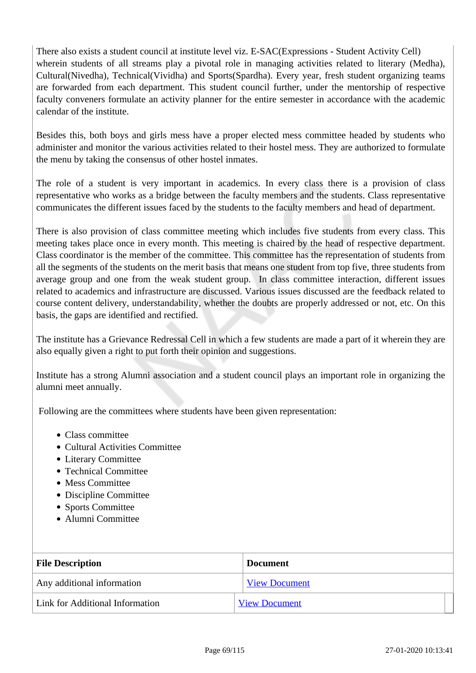There also exists a student council at institute level viz. E-SAC(Expressions - Student Activity Cell) wherein students of all streams play a pivotal role in managing activities related to literary (Medha), Cultural(Nivedha), Technical(Vividha) and Sports(Spardha). Every year, fresh student organizing teams are forwarded from each department. This student council further, under the mentorship of respective faculty conveners formulate an activity planner for the entire semester in accordance with the academic calendar of the institute.

Besides this, both boys and girls mess have a proper elected mess committee headed by students who administer and monitor the various activities related to their hostel mess. They are authorized to formulate the menu by taking the consensus of other hostel inmates.

The role of a student is very important in academics. In every class there is a provision of class representative who works as a bridge between the faculty members and the students. Class representative communicates the different issues faced by the students to the faculty members and head of department.

There is also provision of class committee meeting which includes five students from every class. This meeting takes place once in every month. This meeting is chaired by the head of respective department. Class coordinator is the member of the committee. This committee has the representation of students from all the segments of the students on the merit basis that means one student from top five, three students from average group and one from the weak student group. In class committee interaction, different issues related to academics and infrastructure are discussed. Various issues discussed are the feedback related to course content delivery, understandability, whether the doubts are properly addressed or not, etc. On this basis, the gaps are identified and rectified.

The institute has a Grievance Redressal Cell in which a few students are made a part of it wherein they are also equally given a right to put forth their opinion and suggestions.

Institute has a strong Alumni association and a student council plays an important role in organizing the alumni meet annually.

Following are the committees where students have been given representation:

- Class committee
- Cultural Activities Committee
- Literary Committee
- Technical Committee
- Mess Committee
- Discipline Committee
- Sports Committee
- Alumni Committee

| <b>File Description</b>         | <b>Document</b>      |  |  |
|---------------------------------|----------------------|--|--|
| Any additional information      | <b>View Document</b> |  |  |
| Link for Additional Information | <b>View Document</b> |  |  |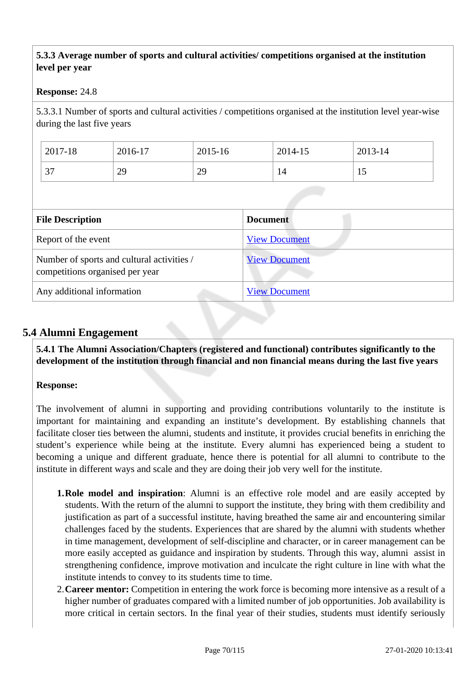#### **5.3.3 Average number of sports and cultural activities/ competitions organised at the institution level per year**

#### **Response:** 24.8

5.3.3.1 Number of sports and cultural activities / competitions organised at the institution level year-wise during the last five years

|                                                                               | 2017-18                    | 2016-17 | 2015-16              |                      | 2014-15              | 2013-14 |
|-------------------------------------------------------------------------------|----------------------------|---------|----------------------|----------------------|----------------------|---------|
|                                                                               | 37                         | 29      | 29                   |                      | 14                   | 15      |
|                                                                               |                            |         |                      |                      |                      |         |
|                                                                               | <b>File Description</b>    |         |                      | <b>Document</b>      |                      |         |
|                                                                               | Report of the event        |         |                      | <b>View Document</b> |                      |         |
| Number of sports and cultural activities /<br>competitions organised per year |                            |         | <b>View Document</b> |                      |                      |         |
|                                                                               | Any additional information |         |                      |                      | <b>View Document</b> |         |

## **5.4 Alumni Engagement**

 **5.4.1 The Alumni Association/Chapters (registered and functional) contributes significantly to the development of the institution through financial and non financial means during the last five years**

#### **Response:**

The involvement of alumni in supporting and providing contributions voluntarily to the institute is important for maintaining and expanding an institute's development. By establishing channels that facilitate closer ties between the alumni, students and institute, it provides crucial benefits in enriching the student's experience while being at the institute. Every alumni has experienced being a student to becoming a unique and different graduate, hence there is potential for all alumni to contribute to the institute in different ways and scale and they are doing their job very well for the institute.

- **1.Role model and inspiration**: Alumni is an effective role model and are easily accepted by students. With the return of the alumni to support the institute, they bring with them credibility and justification as part of a successful institute, having breathed the same air and encountering similar challenges faced by the students. Experiences that are shared by the alumni with students whether in time management, development of self-discipline and character, or in career management can be more easily accepted as guidance and inspiration by students. Through this way, alumni assist in strengthening confidence, improve motivation and inculcate the right culture in line with what the institute intends to convey to its students time to time.
- 2.**Career mentor:** Competition in entering the work force is becoming more intensive as a result of a higher number of graduates compared with a limited number of job opportunities. Job availability is more critical in certain sectors. In the final year of their studies, students must identify seriously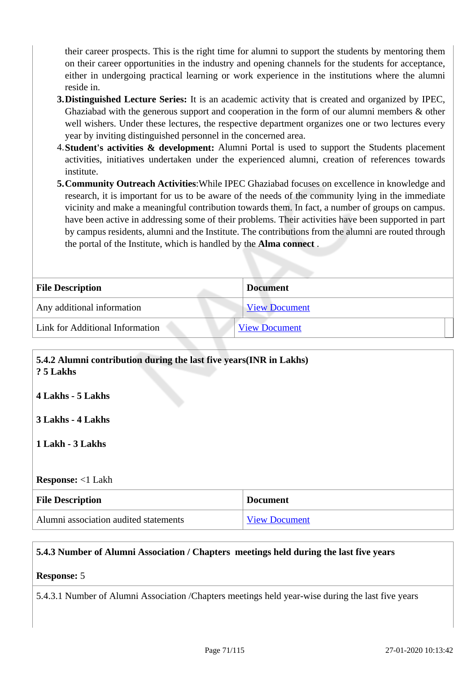their career prospects. This is the right time for alumni to support the students by mentoring them on their career opportunities in the industry and opening channels for the students for acceptance, either in undergoing practical learning or work experience in the institutions where the alumni reside in.

- **3.Distinguished Lecture Series:** It is an academic activity that is created and organized by IPEC, Ghaziabad with the generous support and cooperation in the form of our alumni members & other well wishers. Under these lectures, the respective department organizes one or two lectures every year by inviting distinguished personnel in the concerned area.
- 4.**Student's activities & development:** Alumni Portal is used to support the Students placement activities, initiatives undertaken under the experienced alumni, creation of references towards institute.
- **5.Community Outreach Activities**:While IPEC Ghaziabad focuses on excellence in knowledge and research, it is important for us to be aware of the needs of the community lying in the immediate vicinity and make a meaningful contribution towards them. In fact, a number of groups on campus. have been active in addressing some of their problems. Their activities have been supported in part by campus residents, alumni and the Institute. The contributions from the alumni are routed through the portal of the Institute, which is handled by the **Alma connect** .

| <b>File Description</b>         | <b>Document</b>      |
|---------------------------------|----------------------|
| Any additional information      | <b>View Document</b> |
| Link for Additional Information | <b>View Document</b> |

| 5.4.2 Alumni contribution during the last five years(INR in Lakhs)<br>? 5 Lakhs |  |  |  |  |
|---------------------------------------------------------------------------------|--|--|--|--|
| 4 Lakhs - 5 Lakhs                                                               |  |  |  |  |
| 3 Lakhs - 4 Lakhs                                                               |  |  |  |  |
| 1 Lakh - 3 Lakhs                                                                |  |  |  |  |
| <b>Response:</b> <1 Lakh                                                        |  |  |  |  |
| <b>Document</b><br><b>File Description</b>                                      |  |  |  |  |
| Alumni association audited statements<br><b>View Document</b>                   |  |  |  |  |

#### **5.4.3 Number of Alumni Association / Chapters meetings held during the last five years**

#### **Response:** 5

5.4.3.1 Number of Alumni Association /Chapters meetings held year-wise during the last five years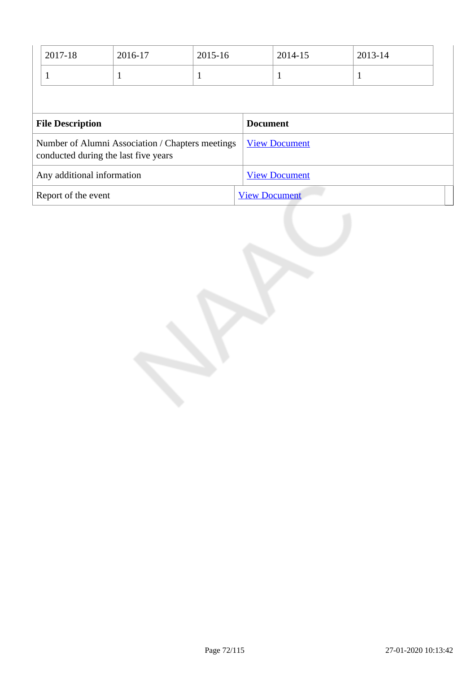|                                                                                          | 2017-18 | 2016-17 | 2015-16              |                      | 2014-15         | 2013-14 |  |
|------------------------------------------------------------------------------------------|---------|---------|----------------------|----------------------|-----------------|---------|--|
|                                                                                          |         |         | л                    |                      |                 | -1      |  |
|                                                                                          |         |         |                      |                      |                 |         |  |
| <b>File Description</b>                                                                  |         |         |                      |                      | <b>Document</b> |         |  |
| Number of Alumni Association / Chapters meetings<br>conducted during the last five years |         |         |                      | <b>View Document</b> |                 |         |  |
| Any additional information                                                               |         |         |                      | <b>View Document</b> |                 |         |  |
| Report of the event                                                                      |         |         | <b>View Document</b> |                      |                 |         |  |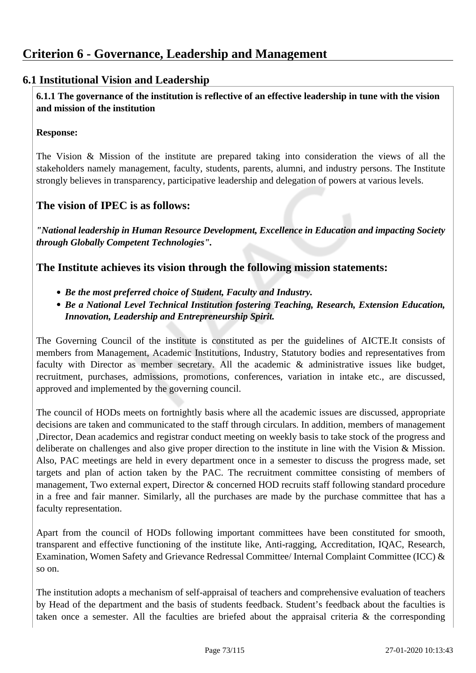# **6.1 Institutional Vision and Leadership**

 **6.1.1 The governance of the institution is reflective of an effective leadership in tune with the vision and mission of the institution**

#### **Response:**

The Vision & Mission of the institute are prepared taking into consideration the views of all the stakeholders namely management, faculty, students, parents, alumni, and industry persons. The Institute strongly believes in transparency, participative leadership and delegation of powers at various levels.

# **The vision of IPEC is as follows:**

*"National leadership in Human Resource Development, Excellence in Education and impacting Society through Globally Competent Technologies".*

# **The Institute achieves its vision through the following mission statements:**

- *Be the most preferred choice of Student, Faculty and Industry.*
- *Be a National Level Technical Institution fostering Teaching, Research, Extension Education, Innovation, Leadership and Entrepreneurship Spirit.*

The Governing Council of the institute is constituted as per the guidelines of AICTE.It consists of members from Management, Academic Institutions, Industry, Statutory bodies and representatives from faculty with Director as member secretary. All the academic & administrative issues like budget, recruitment, purchases, admissions, promotions, conferences, variation in intake etc., are discussed, approved and implemented by the governing council.

The council of HODs meets on fortnightly basis where all the academic issues are discussed, appropriate decisions are taken and communicated to the staff through circulars. In addition, members of management ,Director, Dean academics and registrar conduct meeting on weekly basis to take stock of the progress and deliberate on challenges and also give proper direction to the institute in line with the Vision & Mission. Also, PAC meetings are held in every department once in a semester to discuss the progress made, set targets and plan of action taken by the PAC. The recruitment committee consisting of members of management, Two external expert, Director & concerned HOD recruits staff following standard procedure in a free and fair manner. Similarly, all the purchases are made by the purchase committee that has a faculty representation.

Apart from the council of HODs following important committees have been constituted for smooth, transparent and effective functioning of the institute like, Anti-ragging, Accreditation, IQAC, Research, Examination, Women Safety and Grievance Redressal Committee/ Internal Complaint Committee (ICC) & so on.

The institution adopts a mechanism of self-appraisal of teachers and comprehensive evaluation of teachers by Head of the department and the basis of students feedback. Student's feedback about the faculties is taken once a semester. All the faculties are briefed about the appraisal criteria  $\&$  the corresponding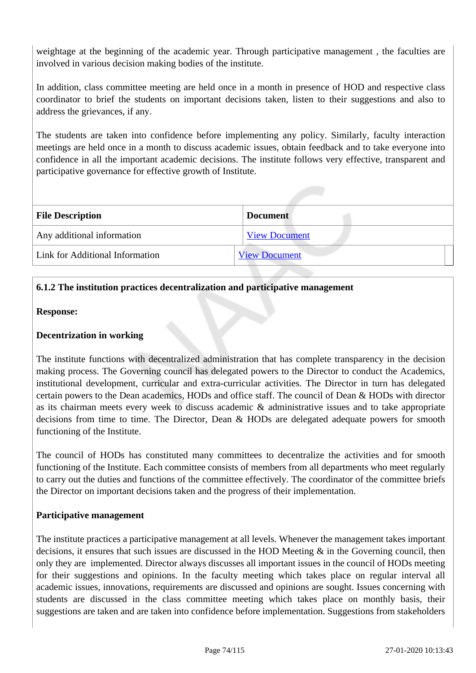weightage at the beginning of the academic year. Through participative management , the faculties are involved in various decision making bodies of the institute.

In addition, class committee meeting are held once in a month in presence of HOD and respective class coordinator to brief the students on important decisions taken, listen to their suggestions and also to address the grievances, if any.

The students are taken into confidence before implementing any policy. Similarly, faculty interaction meetings are held once in a month to discuss academic issues, obtain feedback and to take everyone into confidence in all the important academic decisions. The institute follows very effective, transparent and participative governance for effective growth of Institute.

| <b>File Description</b>         | <b>Document</b>      |
|---------------------------------|----------------------|
| Any additional information      | <b>View Document</b> |
| Link for Additional Information | <b>View Document</b> |

### **6.1.2 The institution practices decentralization and participative management**

#### **Response:**

#### **Decentrization in working**

The institute functions with decentralized administration that has complete transparency in the decision making process. The Governing council has delegated powers to the Director to conduct the Academics, institutional development, curricular and extra-curricular activities. The Director in turn has delegated certain powers to the Dean academics, HODs and office staff. The council of Dean & HODs with director as its chairman meets every week to discuss academic & administrative issues and to take appropriate decisions from time to time. The Director, Dean & HODs are delegated adequate powers for smooth functioning of the Institute.

The council of HODs has constituted many committees to decentralize the activities and for smooth functioning of the Institute. Each committee consists of members from all departments who meet regularly to carry out the duties and functions of the committee effectively. The coordinator of the committee briefs the Director on important decisions taken and the progress of their implementation.

#### **Participative management**

The institute practices a participative management at all levels. Whenever the management takes important decisions, it ensures that such issues are discussed in the HOD Meeting & in the Governing council, then only they are implemented. Director always discusses all important issues in the council of HODs meeting for their suggestions and opinions. In the faculty meeting which takes place on regular interval all academic issues, innovations, requirements are discussed and opinions are sought. Issues concerning with students are discussed in the class committee meeting which takes place on monthly basis, their suggestions are taken and are taken into confidence before implementation. Suggestions from stakeholders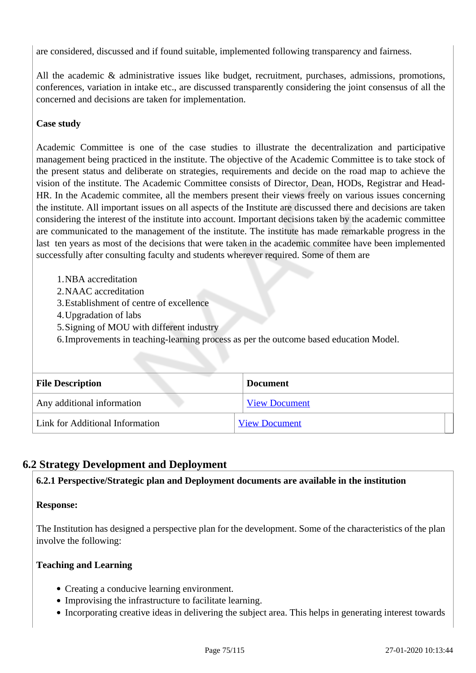are considered, discussed and if found suitable, implemented following transparency and fairness.

All the academic & administrative issues like budget, recruitment, purchases, admissions, promotions, conferences, variation in intake etc., are discussed transparently considering the joint consensus of all the concerned and decisions are taken for implementation.

# **Case study**

Academic Committee is one of the case studies to illustrate the decentralization and participative management being practiced in the institute. The objective of the Academic Committee is to take stock of the present status and deliberate on strategies, requirements and decide on the road map to achieve the vision of the institute. The Academic Committee consists of Director, Dean, HODs, Registrar and Head-HR. In the Academic commitee, all the members present their views freely on various issues concerning the institute. All important issues on all aspects of the Institute are discussed there and decisions are taken considering the interest of the institute into account. Important decisions taken by the academic committee are communicated to the management of the institute. The institute has made remarkable progress in the last ten years as most of the decisions that were taken in the academic commitee have been implemented successfully after consulting faculty and students wherever required. Some of them are

- 1.NBA accreditation
- 2.NAAC accreditation
- 3.Establishment of centre of excellence
- 4.Upgradation of labs
- 5.Signing of MOU with different industry
- 6.Improvements in teaching-learning process as per the outcome based education Model.

| <b>File Description</b>         | <b>Document</b>      |  |
|---------------------------------|----------------------|--|
| Any additional information      | <b>View Document</b> |  |
| Link for Additional Information | <b>View Document</b> |  |

# **6.2 Strategy Development and Deployment**

#### **6.2.1 Perspective/Strategic plan and Deployment documents are available in the institution**

#### **Response:**

The Institution has designed a perspective plan for the development. Some of the characteristics of the plan involve the following:

#### **Teaching and Learning**

- Creating a conducive learning environment.
- Improvising the infrastructure to facilitate learning.
- Incorporating creative ideas in delivering the subject area. This helps in generating interest towards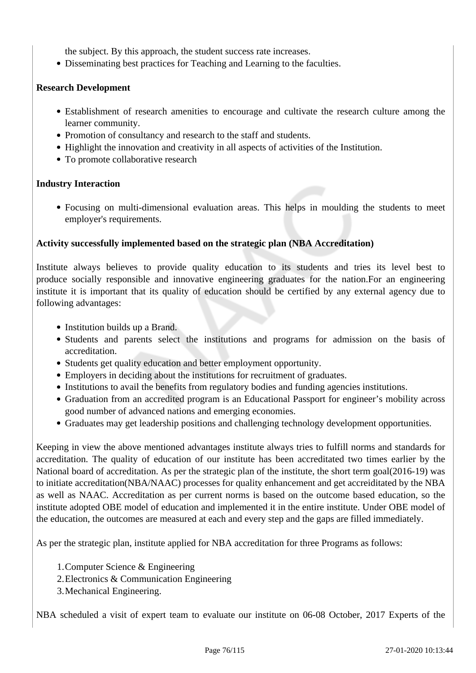the subject. By this approach, the student success rate increases.

Disseminating best practices for Teaching and Learning to the faculties.

#### **Research Development**

- Establishment of research amenities to encourage and cultivate the research culture among the learner community.
- Promotion of consultancy and research to the staff and students.
- Highlight the innovation and creativity in all aspects of activities of the Institution.
- To promote collaborative research

#### **Industry Interaction**

Focusing on multi-dimensional evaluation areas. This helps in moulding the students to meet employer's requirements.

#### **Activity successfully implemented based on the strategic plan (NBA Accreditation)**

Institute always believes to provide quality education to its students and tries its level best to produce socially responsible and innovative engineering graduates for the nation.For an engineering institute it is important that its quality of education should be certified by any external agency due to following advantages:

- Institution builds up a Brand.
- Students and parents select the institutions and programs for admission on the basis of accreditation.
- Students get quality education and better employment opportunity.
- Employers in deciding about the institutions for recruitment of graduates.
- Institutions to avail the benefits from regulatory bodies and funding agencies institutions.
- Graduation from an accredited program is an Educational Passport for engineer's mobility across good number of advanced nations and emerging economies.
- Graduates may get leadership positions and challenging technology development opportunities.

Keeping in view the above mentioned advantages institute always tries to fulfill norms and standards for accreditation. The quality of education of our institute has been accreditated two times earlier by the National board of accreditation. As per the strategic plan of the institute, the short term goal(2016-19) was to initiate accreditation(NBA/NAAC) processes for quality enhancement and get accreiditated by the NBA as well as NAAC. Accreditation as per current norms is based on the outcome based education, so the institute adopted OBE model of education and implemented it in the entire institute. Under OBE model of the education, the outcomes are measured at each and every step and the gaps are filled immediately.

As per the strategic plan, institute applied for NBA accreditation for three Programs as follows:

- 1.Computer Science & Engineering
- 2.Electronics & Communication Engineering
- 3.Mechanical Engineering.

NBA scheduled a visit of expert team to evaluate our institute on 06-08 October, 2017 Experts of the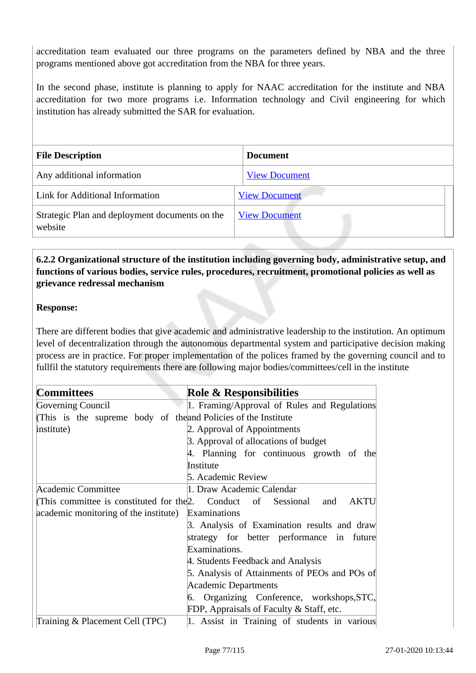accreditation team evaluated our three programs on the parameters defined by NBA and the three programs mentioned above got accreditation from the NBA for three years.

In the second phase, institute is planning to apply for NAAC accreditation for the institute and NBA accreditation for two more programs i.e. Information technology and Civil engineering for which institution has already submitted the SAR for evaluation.

| <b>File Description</b>                                   | <b>Document</b>      |
|-----------------------------------------------------------|----------------------|
| Any additional information                                | <b>View Document</b> |
| Link for Additional Information                           | <b>View Document</b> |
| Strategic Plan and deployment documents on the<br>website | <b>View Document</b> |

# **6.2.2 Organizational structure of the institution including governing body, administrative setup, and functions of various bodies, service rules, procedures, recruitment, promotional policies as well as grievance redressal mechanism**

#### **Response:**

There are different bodies that give academic and administrative leadership to the institution. An optimum level of decentralization through the autonomous departmental system and participative decision making process are in practice. For proper implementation of the polices framed by the governing council and to fullfil the statutory requirements there are following major bodies/committees/cell in the institute

| <b>Committees</b>                                              | <b>Role &amp; Responsibilities</b>            |  |
|----------------------------------------------------------------|-----------------------------------------------|--|
| Governing Council                                              | 1. Framing/Approval of Rules and Regulations  |  |
| (This is the supreme body of the and Policies of the Institute |                                               |  |
| institute)                                                     | 2. Approval of Appointments                   |  |
|                                                                | 3. Approval of allocations of budget          |  |
|                                                                | 4. Planning for continuous growth of the      |  |
|                                                                | Institute                                     |  |
|                                                                | 5. Academic Review                            |  |
| Academic Committee                                             | 1. Draw Academic Calendar                     |  |
| (This committee is constituted for the 2. Conduct of Sessional | <b>AKTU</b><br>and                            |  |
| academic monitoring of the institute)                          | Examinations                                  |  |
|                                                                | 3. Analysis of Examination results and draw   |  |
|                                                                | strategy for better performance in future     |  |
|                                                                | Examinations.                                 |  |
|                                                                | 4. Students Feedback and Analysis             |  |
|                                                                | 5. Analysis of Attainments of PEOs and POs of |  |
|                                                                | Academic Departments                          |  |
|                                                                | 6. Organizing Conference, workshops, STC,     |  |
|                                                                | FDP, Appraisals of Faculty & Staff, etc.      |  |
| Training & Placement Cell (TPC)                                | 1. Assist in Training of students in various  |  |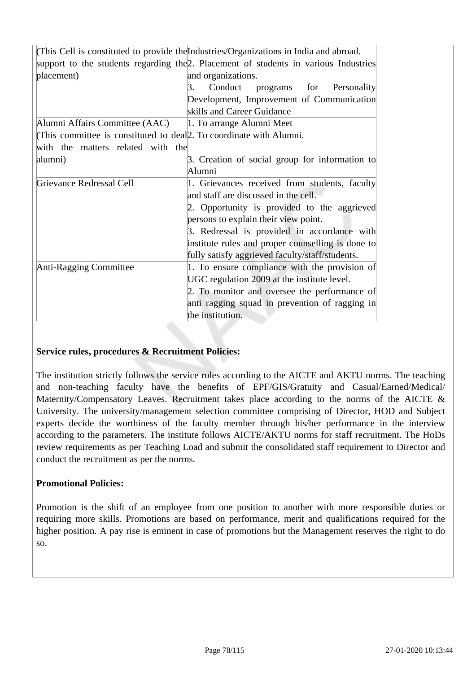|                                                                     | (This Cell is constituted to provide the Industries/Organizations in India and abroad.) |  |  |  |
|---------------------------------------------------------------------|-----------------------------------------------------------------------------------------|--|--|--|
|                                                                     | support to the students regarding the 2. Placement of students in various Industries    |  |  |  |
| placement)                                                          | and organizations.                                                                      |  |  |  |
|                                                                     | Conduct programs for Personality<br>3.                                                  |  |  |  |
|                                                                     | Development, Improvement of Communication                                               |  |  |  |
|                                                                     | skills and Career Guidance                                                              |  |  |  |
| Alumni Affairs Committee (AAC)                                      | 1. To arrange Alumni Meet                                                               |  |  |  |
| (This committee is constituted to deal). To coordinate with Alumni. |                                                                                         |  |  |  |
| with the matters related with the                                   |                                                                                         |  |  |  |
| alumni)                                                             | 3. Creation of social group for information to                                          |  |  |  |
|                                                                     | Alumni                                                                                  |  |  |  |
| Grievance Redressal Cell                                            | 1. Grievances received from students, faculty                                           |  |  |  |
|                                                                     | and staff are discussed in the cell.                                                    |  |  |  |
|                                                                     | 2. Opportunity is provided to the aggrieved                                             |  |  |  |
|                                                                     | persons to explain their view point.                                                    |  |  |  |
|                                                                     | 3. Redressal is provided in accordance with                                             |  |  |  |
|                                                                     | institute rules and proper counselling is done to                                       |  |  |  |
|                                                                     | fully satisfy aggrieved faculty/staff/students.                                         |  |  |  |
| Anti-Ragging Committee                                              | 1. To ensure compliance with the provision of                                           |  |  |  |
|                                                                     | UGC regulation 2009 at the institute level.                                             |  |  |  |
|                                                                     | 2. To monitor and oversee the performance of                                            |  |  |  |
|                                                                     | anti ragging squad in prevention of ragging in                                          |  |  |  |
|                                                                     | the institution.                                                                        |  |  |  |

#### **Service rules, procedures & Recruitment Policies:**

The institution strictly follows the service rules according to the AICTE and AKTU norms. The teaching and non-teaching faculty have the benefits of EPF/GIS/Gratuity and Casual/Earned/Medical/ Maternity/Compensatory Leaves. Recruitment takes place according to the norms of the AICTE & University. The university/management selection committee comprising of Director, HOD and Subject experts decide the worthiness of the faculty member through his/her performance in the interview according to the parameters. The institute follows AICTE/AKTU norms for staff recruitment. The HoDs review requirements as per Teaching Load and submit the consolidated staff requirement to Director and conduct the recruitment as per the norms.

#### **Promotional Policies:**

Promotion is the shift of an employee from one position to another with more responsible duties or requiring more skills. Promotions are based on performance, merit and qualifications required for the higher position. A pay rise is eminent in case of promotions but the Management reserves the right to do so.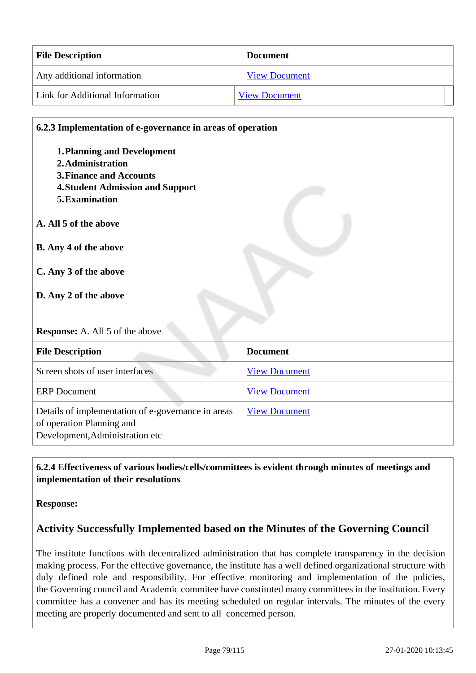| <b>File Description</b>         | <b>Document</b>      |
|---------------------------------|----------------------|
| Any additional information      | <b>View Document</b> |
| Link for Additional Information | <b>View Document</b> |

# **6.2.3 Implementation of e-governance in areas of operation**

- **1.Planning and Development**
- **2.Administration**
- **3.Finance and Accounts**
- **4.Student Admission and Support**
- **5.Examination**
- **A. All 5 of the above**
- **B. Any 4 of the above**
- **C. Any 3 of the above**

# **D. Any 2 of the above**

#### **Response:** A. All 5 of the above

| <b>File Description</b>                                                                                            | <b>Document</b>      |
|--------------------------------------------------------------------------------------------------------------------|----------------------|
| Screen shots of user interfaces                                                                                    | <b>View Document</b> |
| <b>ERP</b> Document                                                                                                | <b>View Document</b> |
| Details of implementation of e-governance in areas<br>of operation Planning and<br>Development, Administration etc | <b>View Document</b> |

# **6.2.4 Effectiveness of various bodies/cells/committees is evident through minutes of meetings and implementation of their resolutions**

**Response:** 

# **Activity Successfully Implemented based on the Minutes of the Governing Council**

The institute functions with decentralized administration that has complete transparency in the decision making process. For the effective governance, the institute has a well defined organizational structure with duly defined role and responsibility. For effective monitoring and implementation of the policies, the Governing council and Academic commitee have constituted many committees in the institution. Every committee has a convener and has its meeting scheduled on regular intervals. The minutes of the every meeting are properly documented and sent to all concerned person.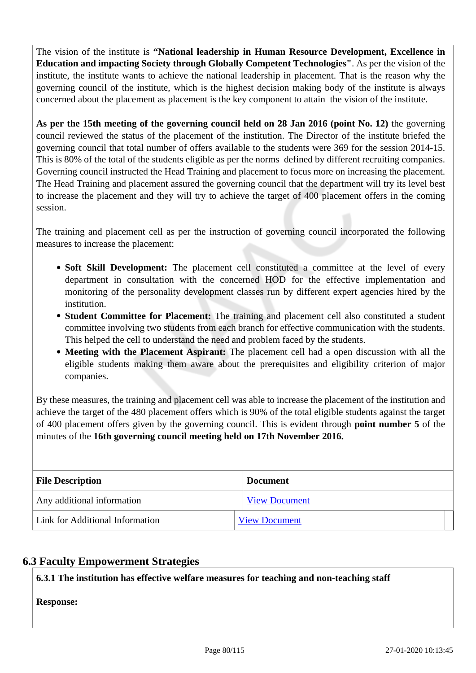The vision of the institute is **"National leadership in Human Resource Development, Excellence in Education and impacting Society through Globally Competent Technologies"**. As per the vision of the institute, the institute wants to achieve the national leadership in placement. That is the reason why the governing council of the institute, which is the highest decision making body of the institute is always concerned about the placement as placement is the key component to attain the vision of the institute.

**As per the 15th meeting of the governing council held on 28 Jan 2016 (point No. 12)** the governing council reviewed the status of the placement of the institution. The Director of the institute briefed the governing council that total number of offers available to the students were 369 for the session 2014-15. This is 80% of the total of the students eligible as per the norms defined by different recruiting companies. Governing council instructed the Head Training and placement to focus more on increasing the placement. The Head Training and placement assured the governing council that the department will try its level best to increase the placement and they will try to achieve the target of 400 placement offers in the coming session.

The training and placement cell as per the instruction of governing council incorporated the following measures to increase the placement:

- Soft Skill Development: The placement cell constituted a committee at the level of every department in consultation with the concerned HOD for the effective implementation and monitoring of the personality development classes run by different expert agencies hired by the institution.
- **Student Committee for Placement:** The training and placement cell also constituted a student committee involving two students from each branch for effective communication with the students. This helped the cell to understand the need and problem faced by the students.
- **Meeting with the Placement Aspirant:** The placement cell had a open discussion with all the eligible students making them aware about the prerequisites and eligibility criterion of major companies.

By these measures, the training and placement cell was able to increase the placement of the institution and achieve the target of the 480 placement offers which is 90% of the total eligible students against the target of 400 placement offers given by the governing council. This is evident through **point number 5** of the minutes of the **16th governing council meeting held on 17th November 2016.**

| <b>File Description</b>         | <b>Document</b>      |  |
|---------------------------------|----------------------|--|
| Any additional information      | <b>View Document</b> |  |
| Link for Additional Information | <b>View Document</b> |  |

# **6.3 Faculty Empowerment Strategies**

**6.3.1 The institution has effective welfare measures for teaching and non-teaching staff**

#### **Response:**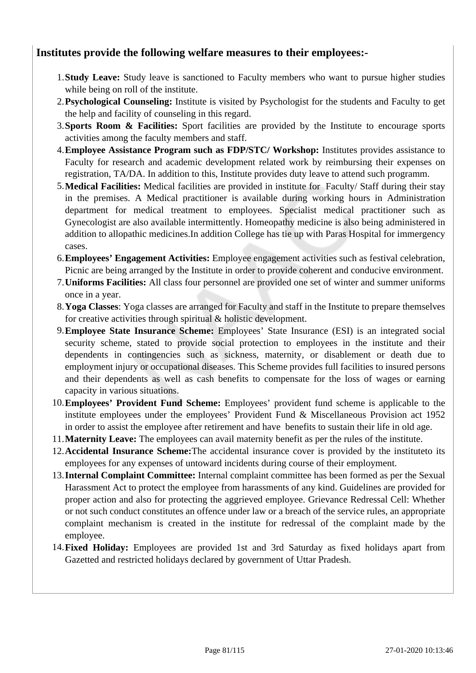# **Institutes provide the following welfare measures to their employees:-**

- 1.**Study Leave:** Study leave is sanctioned to Faculty members who want to pursue higher studies while being on roll of the institute.
- 2.**Psychological Counseling:** Institute is visited by Psychologist for the students and Faculty to get the help and facility of counseling in this regard.
- 3.**Sports Room & Facilities:** Sport facilities are provided by the Institute to encourage sports activities among the faculty members and staff.
- 4.**Employee Assistance Program such as FDP/STC/ Workshop:** Institutes provides assistance to Faculty for research and academic development related work by reimbursing their expenses on registration, TA/DA. In addition to this, Institute provides duty leave to attend such programm.
- 5.**Medical Facilities:** Medical facilities are provided in institute for Faculty/ Staff during their stay in the premises. A Medical practitioner is available during working hours in Administration department for medical treatment to employees. Specialist medical practitioner such as Gynecologist are also available intermittently. Homeopathy medicine is also being administered in addition to allopathic medicines.In addition College has tie up with Paras Hospital for immergency cases.
- 6.**Employees' Engagement Activities:** Employee engagement activities such as festival celebration, Picnic are being arranged by the Institute in order to provide coherent and conducive environment.
- 7.**Uniforms Facilities:** All class four personnel are provided one set of winter and summer uniforms once in a year.
- 8.**Yoga Classes**: Yoga classes are arranged for Faculty and staff in the Institute to prepare themselves for creative activities through spiritual & holistic development.
- 9.**Employee State Insurance Scheme:** Employees' State Insurance (ESI) is an integrated social security scheme, stated to provide social protection to employees in the institute and their dependents in contingencies such as sickness, maternity, or disablement or death due to employment injury or occupational diseases. This Scheme provides full facilities to insured persons and their dependents as well as cash benefits to compensate for the loss of wages or earning capacity in various situations.
- 10.**Employees' Provident Fund Scheme:** Employees' provident fund scheme is applicable to the institute employees under the employees' Provident Fund & Miscellaneous Provision act 1952 in order to assist the employee after retirement and have benefits to sustain their life in old age.
- 11.**Maternity Leave:** The employees can avail maternity benefit as per the rules of the institute.
- 12.**Accidental Insurance Scheme:**The accidental insurance cover is provided by the instituteto its employees for any expenses of untoward incidents during course of their employment.
- 13.**Internal Complaint Committee:** Internal complaint committee has been formed as per the Sexual Harassment Act to protect the employee from harassments of any kind. Guidelines are provided for proper action and also for protecting the aggrieved employee. Grievance Redressal Cell: Whether or not such conduct constitutes an offence under law or a breach of the service rules, an appropriate complaint mechanism is created in the institute for redressal of the complaint made by the employee.
- 14.**Fixed Holiday:** Employees are provided 1st and 3rd Saturday as fixed holidays apart from Gazetted and restricted holidays declared by government of Uttar Pradesh.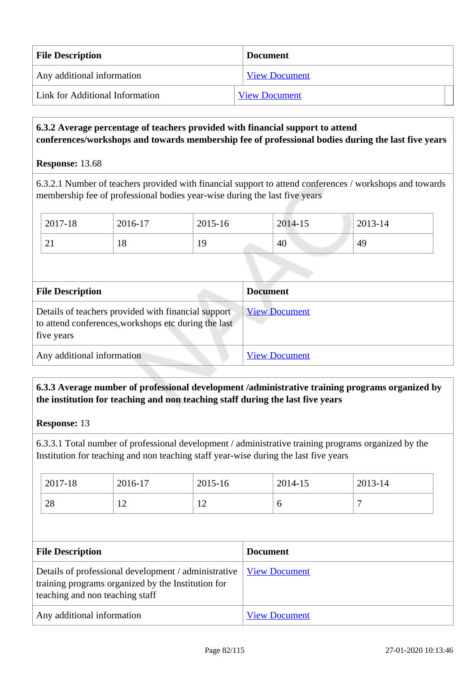| <b>File Description</b>         | <b>Document</b>      |  |
|---------------------------------|----------------------|--|
| Any additional information      | <b>View Document</b> |  |
| Link for Additional Information | <b>View Document</b> |  |

#### **6.3.2 Average percentage of teachers provided with financial support to attend conferences/workshops and towards membership fee of professional bodies during the last five years**

#### **Response:** 13.68

6.3.2.1 Number of teachers provided with financial support to attend conferences / workshops and towards membership fee of professional bodies year-wise during the last five years

| 2017-18  | 2016-17 | 2015-16    | 2014-15 | 2013-14 |
|----------|---------|------------|---------|---------|
| $\sim$ 1 | 18      | 1 Q<br>-12 | 40      | 49      |

| <b>File Description</b>                                                                                                   | <b>Document</b>      |  |
|---------------------------------------------------------------------------------------------------------------------------|----------------------|--|
| Details of teachers provided with financial support<br>to attend conferences, workshops etc during the last<br>five years | <b>View Document</b> |  |
| Any additional information                                                                                                | <b>View Document</b> |  |

# **6.3.3 Average number of professional development /administrative training programs organized by the institution for teaching and non teaching staff during the last five years**

#### **Response:** 13

6.3.3.1 Total number of professional development / administrative training programs organized by the Institution for teaching and non teaching staff year-wise during the last five years

| 2017-18 | 2016-17        | 2015-16      | 2014-15 | 2013-14 |
|---------|----------------|--------------|---------|---------|
| 28      | $\overline{1}$ | $\sim$<br>-- | ◡       | -       |

| <b>File Description</b>                                                                                                                       | <b>Document</b>      |
|-----------------------------------------------------------------------------------------------------------------------------------------------|----------------------|
| Details of professional development / administrative<br>training programs organized by the Institution for<br>teaching and non teaching staff | <b>View Document</b> |
| Any additional information                                                                                                                    | <b>View Document</b> |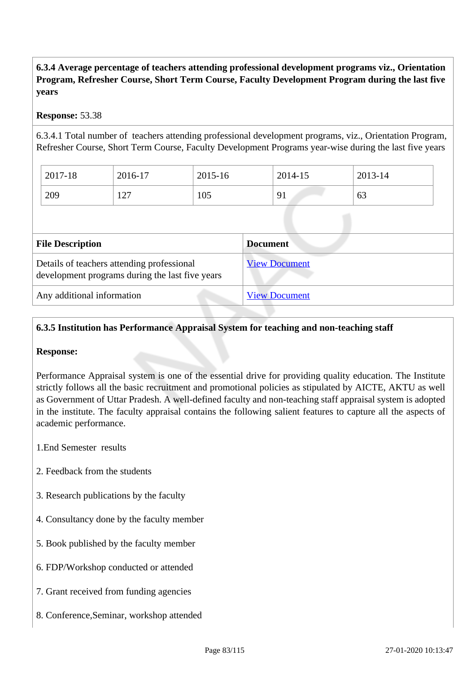# **6.3.4 Average percentage of teachers attending professional development programs viz., Orientation Program, Refresher Course, Short Term Course, Faculty Development Program during the last five years**

#### **Response:** 53.38

6.3.4.1 Total number of teachers attending professional development programs, viz., Orientation Program, Refresher Course, Short Term Course, Faculty Development Programs year-wise during the last five years

| 2017-18 | 2016-17 | 2015-16 | 2014-15 | 2013-14 |
|---------|---------|---------|---------|---------|
| 209     | 127     | 105     | 91      | 63      |

| <b>File Description</b>                                                                       | <b>Document</b>      |
|-----------------------------------------------------------------------------------------------|----------------------|
| Details of teachers attending professional<br>development programs during the last five years | <b>View Document</b> |
| Any additional information                                                                    | <b>View Document</b> |

# **6.3.5 Institution has Performance Appraisal System for teaching and non-teaching staff**

#### **Response:**

Performance Appraisal system is one of the essential drive for providing quality education. The Institute strictly follows all the basic recruitment and promotional policies as stipulated by AICTE, AKTU as well as Government of Uttar Pradesh. A well-defined faculty and non-teaching staff appraisal system is adopted in the institute. The faculty appraisal contains the following salient features to capture all the aspects of academic performance.

- 1.End Semester results
- 2. Feedback from the students
- 3. Research publications by the faculty
- 4. Consultancy done by the faculty member
- 5. Book published by the faculty member
- 6. FDP/Workshop conducted or attended
- 7. Grant received from funding agencies
- 8. Conference,Seminar, workshop attended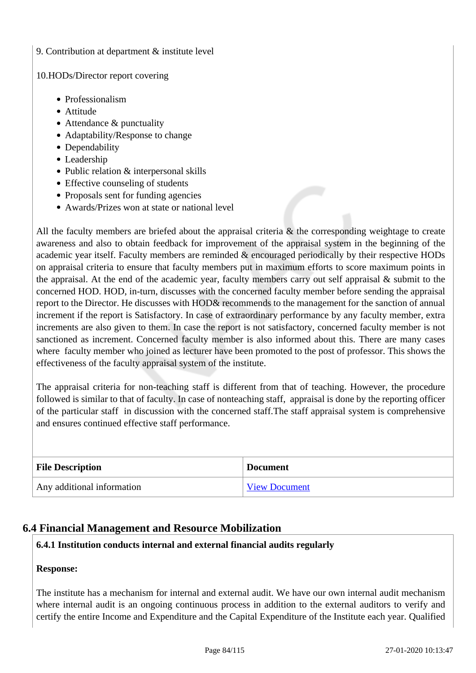#### 9. Contribution at department & institute level

#### 10.HODs/Director report covering

- Professionalism
- Attitude
- Attendance & punctuality
- Adaptability/Response to change
- Dependability
- Leadership
- Public relation & interpersonal skills
- Effective counseling of students
- Proposals sent for funding agencies
- Awards/Prizes won at state or national level

All the faculty members are briefed about the appraisal criteria  $\&$  the corresponding weightage to create awareness and also to obtain feedback for improvement of the appraisal system in the beginning of the academic year itself. Faculty members are reminded & encouraged periodically by their respective HODs on appraisal criteria to ensure that faculty members put in maximum efforts to score maximum points in the appraisal. At the end of the academic year, faculty members carry out self appraisal & submit to the concerned HOD. HOD, in-turn, discusses with the concerned faculty member before sending the appraisal report to the Director. He discusses with HOD& recommends to the management for the sanction of annual increment if the report is Satisfactory. In case of extraordinary performance by any faculty member, extra increments are also given to them. In case the report is not satisfactory, concerned faculty member is not sanctioned as increment. Concerned faculty member is also informed about this. There are many cases where faculty member who joined as lecturer have been promoted to the post of professor. This shows the effectiveness of the faculty appraisal system of the institute.

The appraisal criteria for non-teaching staff is different from that of teaching. However, the procedure followed is similar to that of faculty. In case of nonteaching staff, appraisal is done by the reporting officer of the particular staff in discussion with the concerned staff.The staff appraisal system is comprehensive and ensures continued effective staff performance.

| <b>File Description</b>    | <b>Document</b>      |
|----------------------------|----------------------|
| Any additional information | <b>View Document</b> |

# **6.4 Financial Management and Resource Mobilization**

#### **6.4.1 Institution conducts internal and external financial audits regularly**

#### **Response:**

The institute has a mechanism for internal and external audit. We have our own internal audit mechanism where internal audit is an ongoing continuous process in addition to the external auditors to verify and certify the entire Income and Expenditure and the Capital Expenditure of the Institute each year. Qualified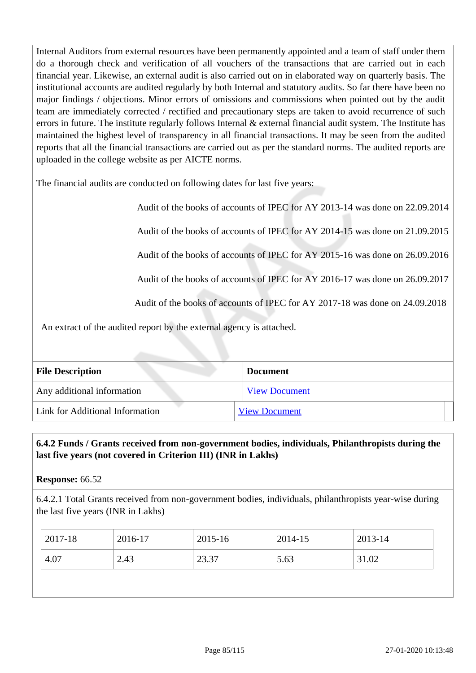Internal Auditors from external resources have been permanently appointed and a team of staff under them do a thorough check and verification of all vouchers of the transactions that are carried out in each financial year. Likewise, an external audit is also carried out on in elaborated way on quarterly basis. The institutional accounts are audited regularly by both Internal and statutory audits. So far there have been no major findings / objections. Minor errors of omissions and commissions when pointed out by the audit team are immediately corrected / rectified and precautionary steps are taken to avoid recurrence of such errors in future. The institute regularly follows Internal & external financial audit system. The Institute has maintained the highest level of transparency in all financial transactions. It may be seen from the audited reports that all the financial transactions are carried out as per the standard norms. The audited reports are uploaded in the college website as per AICTE norms.

The financial audits are conducted on following dates for last five years:

Audit of the books of accounts of IPEC for AY 2013-14 was done on 22.09.2014

Audit of the books of accounts of IPEC for AY 2014-15 was done on 21.09.2015

Audit of the books of accounts of IPEC for AY 2015-16 was done on 26.09.2016

Audit of the books of accounts of IPEC for AY 2016-17 was done on 26.09.2017

Audit of the books of accounts of IPEC for AY 2017-18 was done on 24.09.2018

An extract of the audited report by the external agency is attached.

| <b>File Description</b>         | <b>Document</b>      |
|---------------------------------|----------------------|
| Any additional information      | <b>View Document</b> |
| Link for Additional Information | <b>View Document</b> |

# **6.4.2 Funds / Grants received from non-government bodies, individuals, Philanthropists during the last five years (not covered in Criterion III) (INR in Lakhs)**

**Response:** 66.52

6.4.2.1 Total Grants received from non-government bodies, individuals, philanthropists year-wise during the last five years (INR in Lakhs)

| 2017-18 | 2016-17 | 2015-16         | 2014-15 | 2013-14 |
|---------|---------|-----------------|---------|---------|
| 4.07    | 2.43    | 23.37<br>ا د.ر. | 5.63    | 31.02   |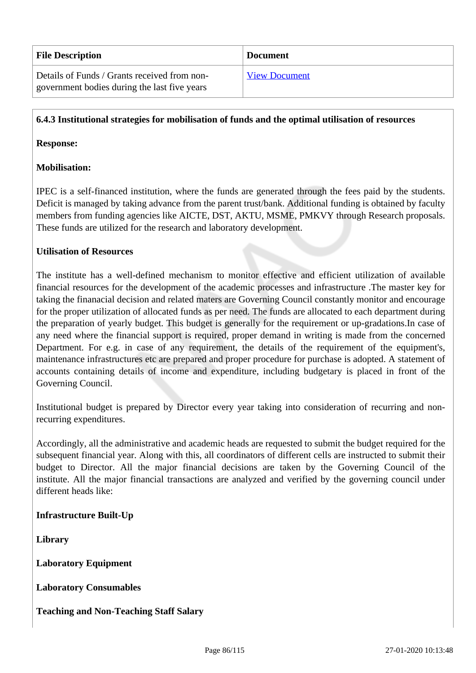| <b>File Description</b>                                                                      | <b>Document</b>      |
|----------------------------------------------------------------------------------------------|----------------------|
| Details of Funds / Grants received from non-<br>government bodies during the last five years | <b>View Document</b> |

#### **6.4.3 Institutional strategies for mobilisation of funds and the optimal utilisation of resources**

#### **Response:**

#### **Mobilisation:**

IPEC is a self-financed institution, where the funds are generated through the fees paid by the students. Deficit is managed by taking advance from the parent trust/bank. Additional funding is obtained by faculty members from funding agencies like AICTE, DST, AKTU, MSME, PMKVY through Research proposals. These funds are utilized for the research and laboratory development.

#### **Utilisation of Resources**

The institute has a well-defined mechanism to monitor effective and efficient utilization of available financial resources for the development of the academic processes and infrastructure .The master key for taking the finanacial decision and related maters are Governing Council constantly monitor and encourage for the proper utilization of allocated funds as per need. The funds are allocated to each department during the preparation of yearly budget. This budget is generally for the requirement or up-gradations.In case of any need where the financial support is required, proper demand in writing is made from the concerned Department. For e.g. in case of any requirement, the details of the requirement of the equipment's, maintenance infrastructures etc are prepared and proper procedure for purchase is adopted. A statement of accounts containing details of income and expenditure, including budgetary is placed in front of the Governing Council.

Institutional budget is prepared by Director every year taking into consideration of recurring and nonrecurring expenditures.

Accordingly, all the administrative and academic heads are requested to submit the budget required for the subsequent financial year. Along with this, all coordinators of different cells are instructed to submit their budget to Director. All the major financial decisions are taken by the Governing Council of the institute. All the major financial transactions are analyzed and verified by the governing council under different heads like:

#### **Infrastructure Built-Up**

**Library**

**Laboratory Equipment**

**Laboratory Consumables**

#### **Teaching and Non-Teaching Staff Salary**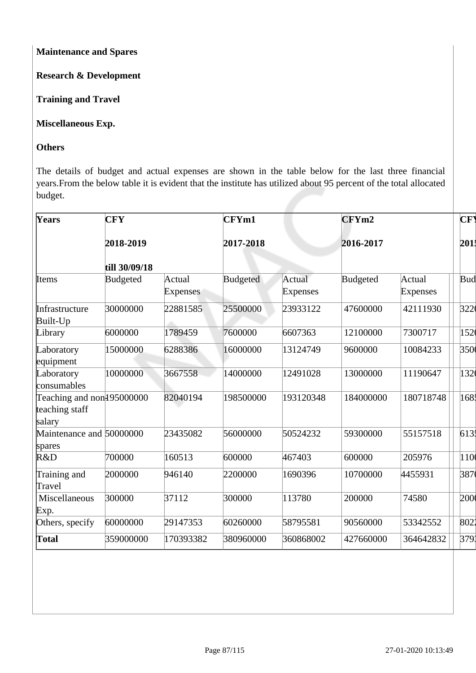**Maintenance and Spares**

**Research & Development**

**Training and Travel**

# **Miscellaneous Exp.**

# **Others**

The details of budget and actual expenses are shown in the table below for the last three financial years.From the below table it is evident that the institute has utilized about 95 percent of the total allocated budget.

| Years                                                             | <b>CFY</b>      |                           | CFYm1           |                           | CFYm2     |                           | <b>CF</b> |
|-------------------------------------------------------------------|-----------------|---------------------------|-----------------|---------------------------|-----------|---------------------------|-----------|
|                                                                   | 2018-2019       |                           | 2017-2018       |                           | 2016-2017 |                           | 201       |
|                                                                   | till 30/09/18   |                           |                 |                           |           |                           |           |
| <b>I</b> tems                                                     | <b>Budgeted</b> | Actual<br><b>Expenses</b> | <b>Budgeted</b> | Actual<br><b>Expenses</b> | Budgeted  | Actual<br><b>Expenses</b> | Bud       |
| Infrastructure<br>Built-Up                                        | 30000000        | 22881585                  | 25500000        | 23933122                  | 47600000  | 42111930                  | 322       |
| Library                                                           | 6000000         | 1789459                   | 7600000         | 6607363                   | 12100000  | 7300717                   | 152       |
| Laboratory<br>equipment                                           | 15000000        | 6288386                   | 16000000        | 13124749                  | 9600000   | 10084233                  | 350       |
| Laboratory<br>consumables                                         | 10000000        | 3667558                   | 14000000        | 12491028                  | 13000000  | 11190647                  | 132       |
| Teaching and non <sup>195000000</sup><br>teaching staff<br>salary |                 | 82040194                  | 198500000       | 193120348                 | 184000000 | 180718748                 | 168       |
| Maintenance and 50000000<br>spares                                |                 | 23435082                  | 56000000        | 50524232                  | 59300000  | 55157518                  | 613       |
| R&D                                                               | 700000          | 160513                    | 600000          | 467403                    | 600000    | 205976                    | 110(      |
| Training and<br>Travel                                            | 2000000         | 946140                    | 2200000         | 1690396                   | 10700000  | 4455931                   | 387       |
| Miscellaneous<br>Exp.                                             | 300000          | 37112                     | 300000          | 113780                    | 200000    | 74580                     | 200       |
| Others, specify                                                   | 60000000        | 29147353                  | 60260000        | 58795581                  | 90560000  | 53342552                  | 8021      |
| Total                                                             | 359000000       | 170393382                 | 380960000       | 360868002                 | 427660000 | 364642832                 | 3791      |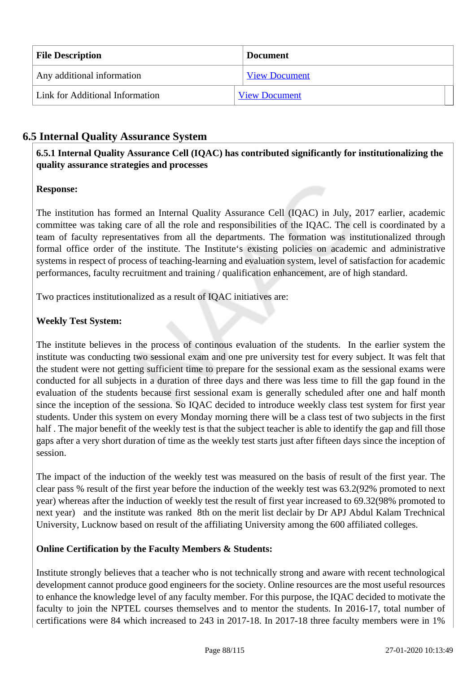| <b>File Description</b>         | <b>Document</b>      |
|---------------------------------|----------------------|
| Any additional information      | <b>View Document</b> |
| Link for Additional Information | <b>View Document</b> |

# **6.5 Internal Quality Assurance System**

 **6.5.1 Internal Quality Assurance Cell (IQAC) has contributed significantly for institutionalizing the quality assurance strategies and processes**

### **Response:**

The institution has formed an Internal Quality Assurance Cell (IQAC) in July, 2017 earlier, academic committee was taking care of all the role and responsibilities of the IQAC. The cell is coordinated by a team of faculty representatives from all the departments. The formation was institutionalized through formal office order of the institute. The Institute's existing policies on academic and administrative systems in respect of process of teaching-learning and evaluation system, level of satisfaction for academic performances, faculty recruitment and training / qualification enhancement, are of high standard.

Two practices institutionalized as a result of IQAC initiatives are:

# **Weekly Test System:**

The institute believes in the process of continous evaluation of the students. In the earlier system the institute was conducting two sessional exam and one pre university test for every subject. It was felt that the student were not getting sufficient time to prepare for the sessional exam as the sessional exams were conducted for all subjects in a duration of three days and there was less time to fill the gap found in the evaluation of the students because first sessional exam is generally scheduled after one and half month since the inception of the sessiona. So IQAC decided to introduce weekly class test system for first year students. Under this system on every Monday morning there will be a class test of two subjects in the first half . The major benefit of the weekly test is that the subject teacher is able to identify the gap and fill those gaps after a very short duration of time as the weekly test starts just after fifteen days since the inception of session.

The impact of the induction of the weekly test was measured on the basis of result of the first year. The clear pass % result of the first year before the induction of the weekly test was 63.2(92% promoted to next year) whereas after the induction of weekly test the result of first year increased to 69.32(98% promoted to next year) and the institute was ranked 8th on the merit list declair by Dr APJ Abdul Kalam Trechnical University, Lucknow based on result of the affiliating University among the 600 affiliated colleges.

#### **Online Certification by the Faculty Members & Students:**

Institute strongly believes that a teacher who is not technically strong and aware with recent technological development cannot produce good engineers for the society. Online resources are the most useful resources to enhance the knowledge level of any faculty member. For this purpose, the IQAC decided to motivate the faculty to join the NPTEL courses themselves and to mentor the students. In 2016-17, total number of certifications were 84 which increased to 243 in 2017-18. In 2017-18 three faculty members were in 1%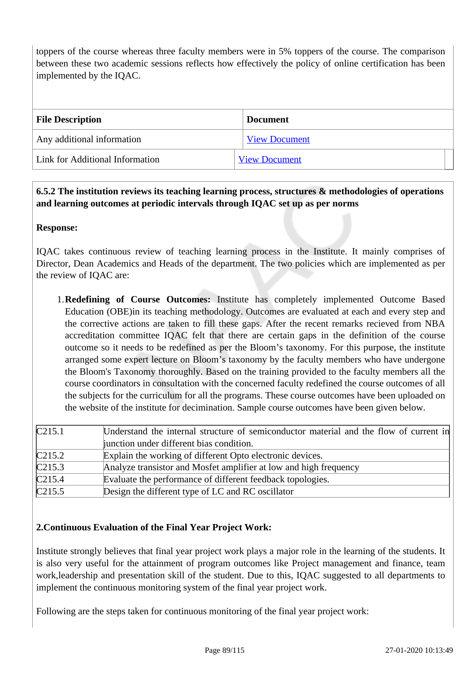toppers of the course whereas three faculty members were in 5% toppers of the course. The comparison between these two academic sessions reflects how effectively the policy of online certification has been implemented by the IQAC.

| <b>File Description</b>         | <b>Document</b>      |
|---------------------------------|----------------------|
| Any additional information      | <b>View Document</b> |
| Link for Additional Information | <b>View Document</b> |

# **6.5.2 The institution reviews its teaching learning process, structures & methodologies of operations and learning outcomes at periodic intervals through IQAC set up as per norms**

### **Response:**

IQAC takes continuous review of teaching learning process in the Institute. It mainly comprises of Director, Dean Academics and Heads of the department. The two policies which are implemented as per the review of IQAC are:

1.**Redefining of Course Outcomes:** Institute has completely implemented Outcome Based Education (OBE)in its teaching methodology. Outcomes are evaluated at each and every step and the corrective actions are taken to fill these gaps. After the recent remarks recieved from NBA accreditation committee IQAC felt that there are certain gaps in the definition of the course outcome so it needs to be redefined as per the Bloom's taxonomy. For this purpose, the institute arranged some expert lecture on Bloom's taxonomy by the faculty members who have undergone the Bloom's Taxonomy thoroughly. Based on the training provided to the faculty members all the course coordinators in consultation with the concerned faculty redefined the course outcomes of all the subjects for the curriculum for all the programs. These course outcomes have been uploaded on the website of the institute for decimination. Sample course outcomes have been given below.

| C215.1                     | Understand the internal structure of semiconductor material and the flow of current in |
|----------------------------|----------------------------------------------------------------------------------------|
|                            | junction under different bias condition.                                               |
| C215.2                     | Explain the working of different Opto electronic devices.                              |
| C215.3                     | Analyze transistor and Mosfet amplifier at low and high frequency                      |
| C215.4                     | Evaluate the performance of different feedback topologies.                             |
| $\overline{\text{C}215.5}$ | Design the different type of LC and RC oscillator                                      |

# **2.Continuous Evaluation of the Final Year Project Work:**

Institute strongly believes that final year project work plays a major role in the learning of the students. It is also very useful for the attainment of program outcomes like Project management and finance, team work,leadership and presentation skill of the student. Due to this, IQAC suggested to all departments to implement the continuous monitoring system of the final year project work.

Following are the steps taken for continuous monitoring of the final year project work: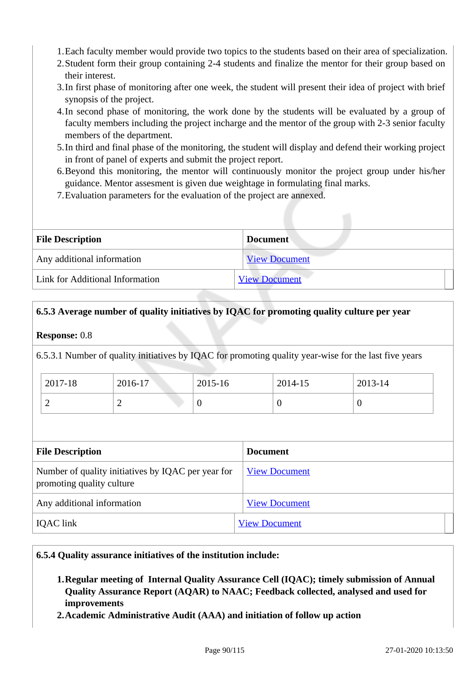- 1.Each faculty member would provide two topics to the students based on their area of specialization.
- 2.Student form their group containing 2-4 students and finalize the mentor for their group based on their interest.
- 3.In first phase of monitoring after one week, the student will present their idea of project with brief synopsis of the project.
- 4.In second phase of monitoring, the work done by the students will be evaluated by a group of faculty members including the project incharge and the mentor of the group with 2-3 senior faculty members of the department.
- 5.In third and final phase of the monitoring, the student will display and defend their working project in front of panel of experts and submit the project report.
- 6.Beyond this monitoring, the mentor will continuously monitor the project group under his/her guidance. Mentor assesment is given due weightage in formulating final marks.
- 7.Evaluation parameters for the evaluation of the project are annexed.

| <b>File Description</b>         | <b>Document</b>      |
|---------------------------------|----------------------|
| Any additional information      | <b>View Document</b> |
| Link for Additional Information | <b>View Document</b> |

#### **6.5.3 Average number of quality initiatives by IQAC for promoting quality culture per year**

#### **Response:** 0.8

6.5.3.1 Number of quality initiatives by IQAC for promoting quality year-wise for the last five years

| 2017-18 | 2016-17 | 2015-16 | 2014-15 | 2013-14 |
|---------|---------|---------|---------|---------|
| ∽       | -       | v       |         |         |

| <b>File Description</b>                                                         | <b>Document</b>      |
|---------------------------------------------------------------------------------|----------------------|
| Number of quality initiatives by IQAC per year for<br>promoting quality culture | <b>View Document</b> |
| Any additional information                                                      | <b>View Document</b> |
| <b>IQAC</b> link                                                                | <b>View Document</b> |

#### **6.5.4 Quality assurance initiatives of the institution include:**

- **1.Regular meeting of Internal Quality Assurance Cell (IQAC); timely submission of Annual Quality Assurance Report (AQAR) to NAAC; Feedback collected, analysed and used for improvements**
- **2.Academic Administrative Audit (AAA) and initiation of follow up action**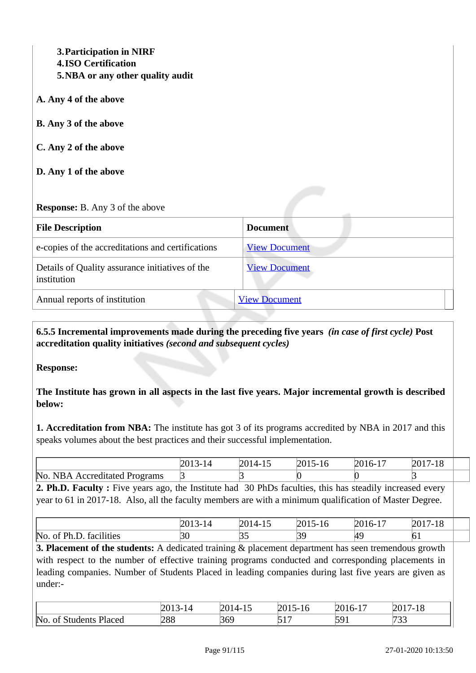**3.Participation in NIRF 4.ISO Certification 5.NBA or any other quality audit**

- **A. Any 4 of the above**
- **B. Any 3 of the above**
- **C. Any 2 of the above**
- **D. Any 1 of the above**

#### **Response:** B. Any 3 of the above

| <b>File Description</b>                                        | <b>Document</b>      |
|----------------------------------------------------------------|----------------------|
| e-copies of the accreditations and certifications              | <b>View Document</b> |
| Details of Quality assurance initiatives of the<br>institution | <b>View Document</b> |
| Annual reports of institution                                  | <b>View Document</b> |

 **6.5.5 Incremental improvements made during the preceding five years** *(in case of first cycle)* **Post accreditation quality initiatives** *(second and subsequent cycles)*

**Response:** 

**The Institute has grown in all aspects in the last five years. Major incremental growth is described below:**

**1. Accreditation from NBA:** The institute has got 3 of its programs accredited by NBA in 2017 and this speaks volumes about the best practices and their successful implementation.

|                                      | $\mu$<br> | 1 U | $\overline{\phantom{a}}$<br>n- | 17.10<br>10 |  |
|--------------------------------------|-----------|-----|--------------------------------|-------------|--|
| No.<br>Accreditated Programs<br>IR A |           |     |                                |             |  |

**2. Ph.D. Faculty :** Five years ago, the Institute had 30 PhDs faculties, this has steadily increased every year to 61 in 2017-18. Also, all the faculty members are with a minimum qualification of Master Degree.

|                                                             | --        | . . | . –<br>. U | .<br><b>.</b> | 1 O<br>1 Q |  |
|-------------------------------------------------------------|-----------|-----|------------|---------------|------------|--|
| .<br>$N_{\Omega}$<br>Dh<br>ties<br>$T^{\alpha}$<br>~-<br>ш. | , י<br>DU | ັັ  | 77<br>. U  | . .           | ОI         |  |

**3. Placement of the students:** A dedicated training & placement department has seen tremendous growth with respect to the number of effective training programs conducted and corresponding placements in leading companies. Number of Students Placed in leading companies during last five years are given as under:-

|                                             | 2O.<br>. . | $\sim$<br>.<br>-<br>$\overline{\phantom{a}}$ | $\sim$ $\sim$ $\sim$<br>- ۱      | $\sim$<br>201<br>. | 0017<br>$1 \Omega$<br>.<br>ΙU |
|---------------------------------------------|------------|----------------------------------------------|----------------------------------|--------------------|-------------------------------|
| $\mathbb{N}^{\text{o}}$<br>Placed<br>$\sim$ | 288        | 369                                          | $\epsilon$ 1 $\tau$<br>$\sim$ 1. | 501<br>. .<br>ັ້   | ro o<br>ັບ ປ                  |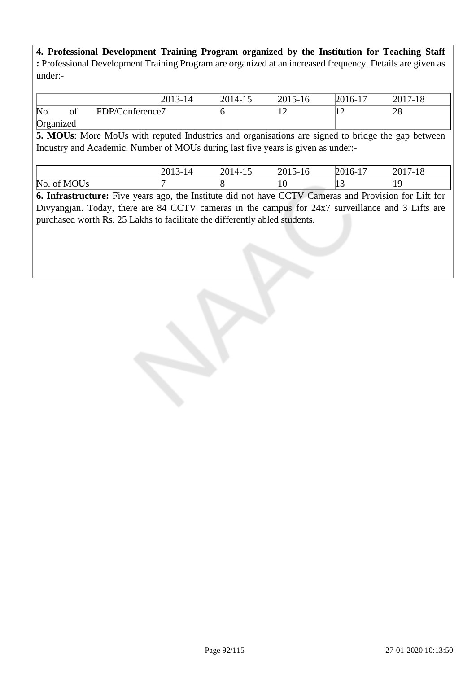**4. Professional Development Training Program organized by the Institution for Teaching Staff :** Professional Development Training Program are organized at an increased frequency. Details are given as under:-

|             |                                                                                                              | 2013-14 | 2014-15 | $2015 - 16$ | 2016-17 | $2017 - 18$ |
|-------------|--------------------------------------------------------------------------------------------------------------|---------|---------|-------------|---------|-------------|
| of<br>No.   | FDP/Conference <sub>7</sub>                                                                                  |         |         | 12          | 12      | 28          |
| Organized   |                                                                                                              |         |         |             |         |             |
|             | <b>5. MOUs:</b> More MoUs with reputed Industries and organisations are signed to bridge the gap between     |         |         |             |         |             |
|             | Industry and Academic. Number of MOUs during last five years is given as under:-                             |         |         |             |         |             |
|             |                                                                                                              |         |         |             |         |             |
|             |                                                                                                              | 2013-14 | 2014-15 | $2015 - 16$ | 2016-17 | $2017 - 18$ |
| No. of MOUs |                                                                                                              |         |         | 10          | 13      | 19          |
|             | <b>6. Infrastructure:</b> Five years ago, the Institute did not have CCTV Cameras and Provision for Lift for |         |         |             |         |             |
|             | Divyangjan. Today, there are 84 CCTV cameras in the campus for 24x7 surveillance and 3 Lifts are             |         |         |             |         |             |
|             | purchased worth Rs. 25 Lakhs to facilitate the differently abled students.                                   |         |         |             |         |             |
|             |                                                                                                              |         |         |             |         |             |
|             |                                                                                                              |         |         |             |         |             |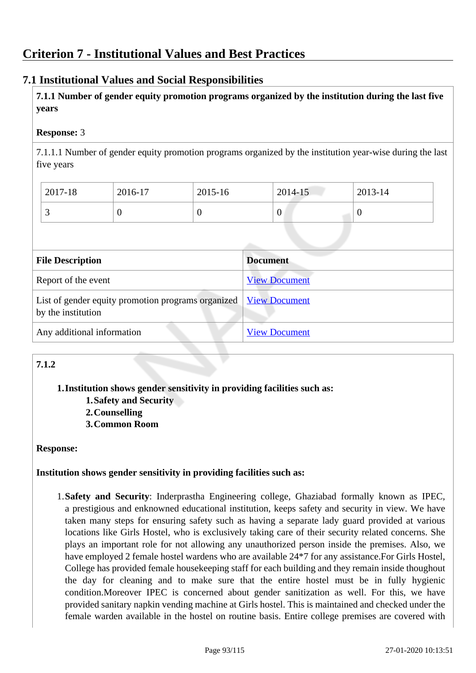# **7.1 Institutional Values and Social Responsibilities**

 **7.1.1 Number of gender equity promotion programs organized by the institution during the last five years** 

### **Response:** 3

7.1.1.1 Number of gender equity promotion programs organized by the institution year-wise during the last five years

| 2017-18 | 2016-17 | 2015-16 | 2014-15 | 2013-14 |
|---------|---------|---------|---------|---------|
| ັ       |         |         | v       |         |

| <b>File Description</b>                                                  | <b>Document</b>      |
|--------------------------------------------------------------------------|----------------------|
| Report of the event                                                      | <b>View Document</b> |
| List of gender equity promotion programs organized<br>by the institution | <b>View Document</b> |
| Any additional information                                               | <b>View Document</b> |

# **7.1.2**

#### **1.Institution shows gender sensitivity in providing facilities such as:**

- **1.Safety and Security**
- **2.Counselling**
- **3.Common Room**

#### **Response:**

#### **Institution shows gender sensitivity in providing facilities such as:**

1.**Safety and Security**: Inderprastha Engineering college, Ghaziabad formally known as IPEC, a prestigious and enknowned educational institution, keeps safety and security in view. We have taken many steps for ensuring safety such as having a separate lady guard provided at various locations like Girls Hostel, who is exclusively taking care of their security related concerns. She plays an important role for not allowing any unauthorized person inside the premises. Also, we have employed 2 female hostel wardens who are available 24\*7 for any assistance.For Girls Hostel, College has provided female housekeeping staff for each building and they remain inside thoughout the day for cleaning and to make sure that the entire hostel must be in fully hygienic condition.Moreover IPEC is concerned about gender sanitization as well. For this, we have provided sanitary napkin vending machine at Girls hostel. This is maintained and checked under the female warden available in the hostel on routine basis. Entire college premises are covered with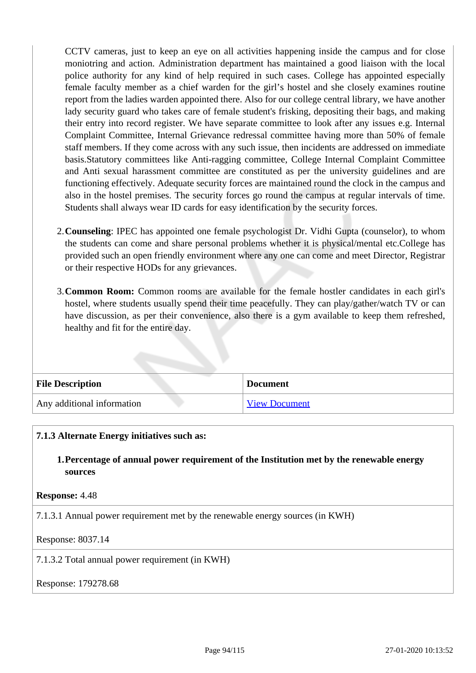CCTV cameras, just to keep an eye on all activities happening inside the campus and for close moniotring and action. Administration department has maintained a good liaison with the local police authority for any kind of help required in such cases. College has appointed especially female faculty member as a chief warden for the girl's hostel and she closely examines routine report from the ladies warden appointed there. Also for our college central library, we have another lady security guard who takes care of female student's frisking, depositing their bags, and making their entry into record register. We have separate committee to look after any issues e.g. Internal Complaint Committee, Internal Grievance redressal committee having more than 50% of female staff members. If they come across with any such issue, then incidents are addressed on immediate basis.Statutory committees like Anti-ragging committee, College Internal Complaint Committee and Anti sexual harassment committee are constituted as per the university guidelines and are functioning effectively. Adequate security forces are maintained round the clock in the campus and also in the hostel premises. The security forces go round the campus at regular intervals of time. Students shall always wear ID cards for easy identification by the security forces.

- 2.**Counseling**: IPEC has appointed one female psychologist Dr. Vidhi Gupta (counselor), to whom the students can come and share personal problems whether it is physical/mental etc.College has provided such an open friendly environment where any one can come and meet Director, Registrar or their respective HODs for any grievances.
- 3.**Common Room:** Common rooms are available for the female hostler candidates in each girl's hostel, where students usually spend their time peacefully. They can play/gather/watch TV or can have discussion, as per their convenience, also there is a gym available to keep them refreshed, healthy and fit for the entire day.

| <b>File Description</b>    | <b>Document</b> |
|----------------------------|-----------------|
| Any additional information | View Document   |

#### **7.1.3 Alternate Energy initiatives such as:**

**1.Percentage of annual power requirement of the Institution met by the renewable energy sources**

#### **Response:** 4.48

7.1.3.1 Annual power requirement met by the renewable energy sources (in KWH)

#### Response: 8037.14

7.1.3.2 Total annual power requirement (in KWH)

#### Response: 179278.68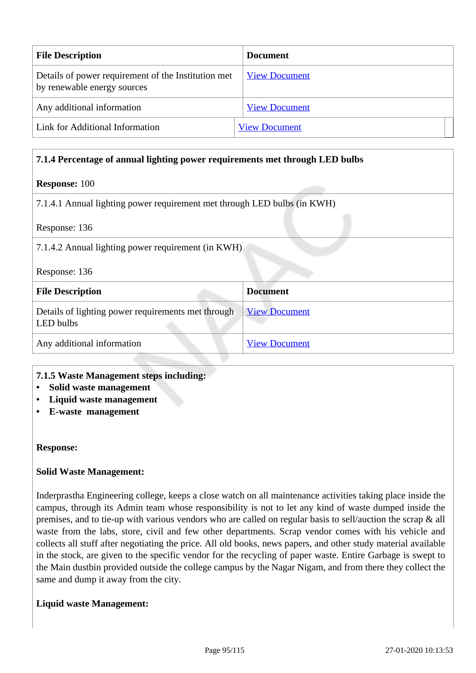| <b>File Description</b>                                                            | <b>Document</b>      |
|------------------------------------------------------------------------------------|----------------------|
| Details of power requirement of the Institution met<br>by renewable energy sources | <b>View Document</b> |
| Any additional information                                                         | <b>View Document</b> |
| Link for Additional Information                                                    | <b>View Document</b> |

# **7.1.4 Percentage of annual lighting power requirements met through LED bulbs Response:** 100 7.1.4.1 Annual lighting power requirement met through LED bulbs (in KWH) Response: 136 7.1.4.2 Annual lighting power requirement (in KWH) Response: 136 **File Description Document** Details of lighting power requirements met through LED bulbs [View Document](https://assessmentonline.naac.gov.in/storage/app/hei/SSR/101567/7.1.4_1547187168_1667.xlsx)

Any additional information [View Document](https://assessmentonline.naac.gov.in/storage/app/hei/SSR/101567/7.1.4_1547199119_1667.pdf)

#### **7.1.5 Waste Management steps including:**

- **Solid waste management**
- **Liquid waste management**
- **E-waste management**

#### **Response:**

#### **Solid Waste Management:**

Inderprastha Engineering college, keeps a close watch on all maintenance activities taking place inside the campus, through its Admin team whose responsibility is not to let any kind of waste dumped inside the premises, and to tie-up with various vendors who are called on regular basis to sell/auction the scrap & all waste from the labs, store, civil and few other departments. Scrap vendor comes with his vehicle and collects all stuff after negotiating the price. All old books, news papers, and other study material available in the stock, are given to the specific vendor for the recycling of paper waste. Entire Garbage is swept to the Main dustbin provided outside the college campus by the Nagar Nigam, and from there they collect the same and dump it away from the city.

#### **Liquid waste Management:**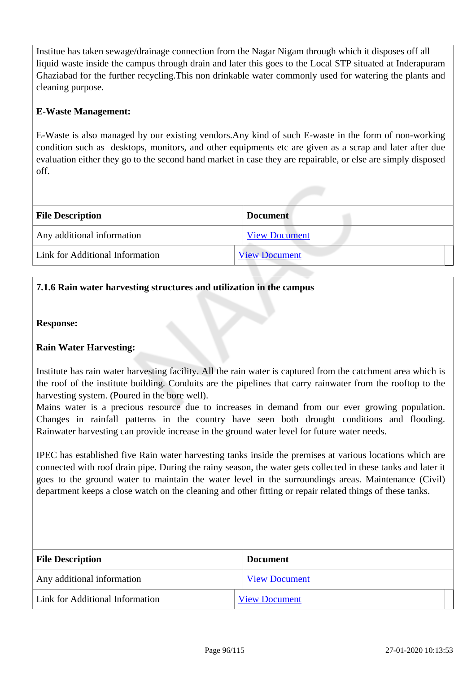Institue has taken sewage/drainage connection from the Nagar Nigam through which it disposes off all liquid waste inside the campus through drain and later this goes to the Local STP situated at Inderapuram Ghaziabad for the further recycling.This non drinkable water commonly used for watering the plants and cleaning purpose.

### **E-Waste Management:**

E-Waste is also managed by our existing vendors.Any kind of such E-waste in the form of non-working condition such as desktops, monitors, and other equipments etc are given as a scrap and later after due evaluation either they go to the second hand market in case they are repairable, or else are simply disposed off.

| <b>File Description</b>         | <b>Document</b>      |
|---------------------------------|----------------------|
| Any additional information      | <b>View Document</b> |
| Link for Additional Information | <b>View Document</b> |

### **7.1.6 Rain water harvesting structures and utilization in the campus**

**Response:** 

#### **Rain Water Harvesting:**

Institute has rain water harvesting facility. All the rain water is captured from the catchment area which is the roof of the institute building. Conduits are the pipelines that carry rainwater from the rooftop to the harvesting system. (Poured in the bore well).

Mains water is a precious resource due to increases in demand from our ever growing population. Changes in rainfall patterns in the country have seen both drought conditions and flooding. Rainwater harvesting can provide increase in the ground water level for future water needs.

IPEC has established five Rain water harvesting tanks inside the premises at various locations which are connected with roof drain pipe. During the rainy season, the water gets collected in these tanks and later it goes to the ground water to maintain the water level in the surroundings areas. Maintenance (Civil) department keeps a close watch on the cleaning and other fitting or repair related things of these tanks.

| <b>File Description</b>         | <b>Document</b>      |
|---------------------------------|----------------------|
| Any additional information      | <b>View Document</b> |
| Link for Additional Information | <b>View Document</b> |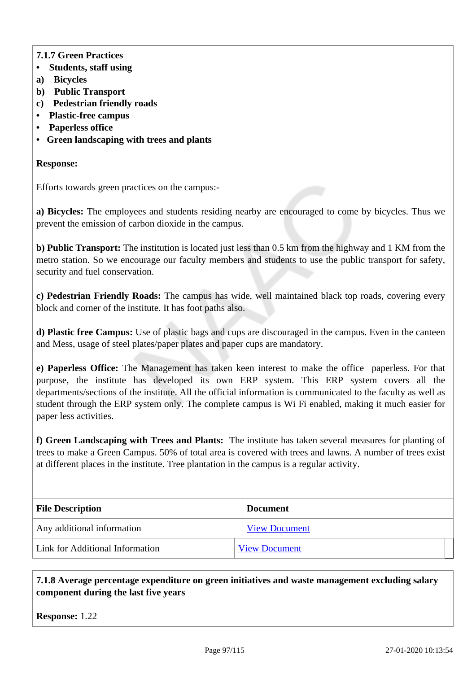# **7.1.7 Green Practices**

- **Students, staff using**
- **a) Bicycles**
- **b) Public Transport**
- **c) Pedestrian friendly roads**
- **Plastic-free campus**
- **Paperless office**
- **Green landscaping with trees and plants**

#### **Response:**

Efforts towards green practices on the campus:-

**a) Bicycles:** The employees and students residing nearby are encouraged to come by bicycles. Thus we prevent the emission of carbon dioxide in the campus.

**b) Public Transport:** The institution is located just less than 0.5 km from the highway and 1 KM from the metro station. So we encourage our faculty members and students to use the public transport for safety, security and fuel conservation.

**c) Pedestrian Friendly Roads:** The campus has wide, well maintained black top roads, covering every block and corner of the institute. It has foot paths also.

**d) Plastic free Campus:** Use of plastic bags and cups are discouraged in the campus. Even in the canteen and Mess, usage of steel plates/paper plates and paper cups are mandatory.

**e) Paperless Office:** The Management has taken keen interest to make the office paperless. For that purpose, the institute has developed its own ERP system. This ERP system covers all the departments/sections of the institute. All the official information is communicated to the faculty as well as student through the ERP system only. The complete campus is Wi Fi enabled, making it much easier for paper less activities.

**f) Green Landscaping with Trees and Plants:** The institute has taken several measures for planting of trees to make a Green Campus. 50% of total area is covered with trees and lawns. A number of trees exist at different places in the institute. Tree plantation in the campus is a regular activity.

| <b>File Description</b>         | <b>Document</b>      |
|---------------------------------|----------------------|
| Any additional information      | <b>View Document</b> |
| Link for Additional Information | <b>View Document</b> |

### **7.1.8 Average percentage expenditure on green initiatives and waste management excluding salary component during the last five years**

**Response:** 1.22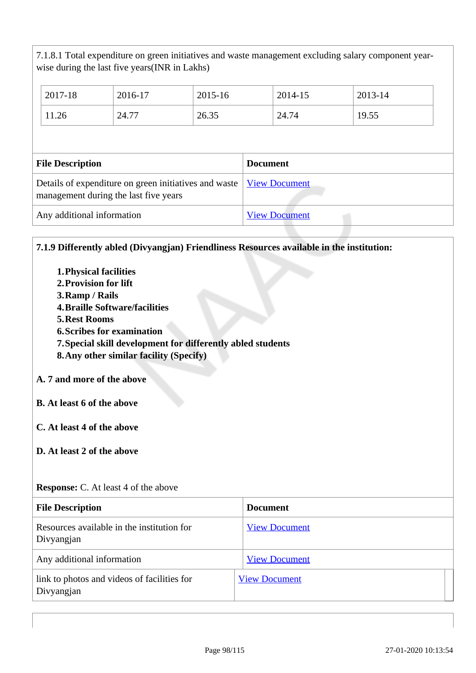7.1.8.1 Total expenditure on green initiatives and waste management excluding salary component yearwise during the last five years(INR in Lakhs)

| 2017-18                 | 2016-17                                                                                        | $2015 - 16$ | 2014-15              | 2013-14 |
|-------------------------|------------------------------------------------------------------------------------------------|-------------|----------------------|---------|
| 11.26                   | 24.77                                                                                          | 26.35       | 24.74                | 19.55   |
|                         |                                                                                                |             |                      |         |
|                         |                                                                                                |             |                      |         |
| <b>File Description</b> |                                                                                                |             | <b>Document</b>      |         |
|                         | Details of expenditure on green initiatives and waste<br>management during the last five years |             | <b>View Document</b> |         |

# **7.1.9 Differently abled (Divyangjan) Friendliness Resources available in the institution:**

**1.Physical facilities 2.Provision for lift 3.Ramp / Rails 4.Braille Software/facilities 5.Rest Rooms 6.Scribes for examination 7.Special skill development for differently abled students 8.Any other similar facility (Specify) A. 7 and more of the above B. At least 6 of the above C. At least 4 of the above D. At least 2 of the above Response:** C. At least 4 of the above

| <b>File Description</b>                                   | <b>Document</b>      |
|-----------------------------------------------------------|----------------------|
| Resources available in the institution for<br>Divyangjan  | <b>View Document</b> |
| Any additional information                                | <b>View Document</b> |
| link to photos and videos of facilities for<br>Divyangjan | <b>View Document</b> |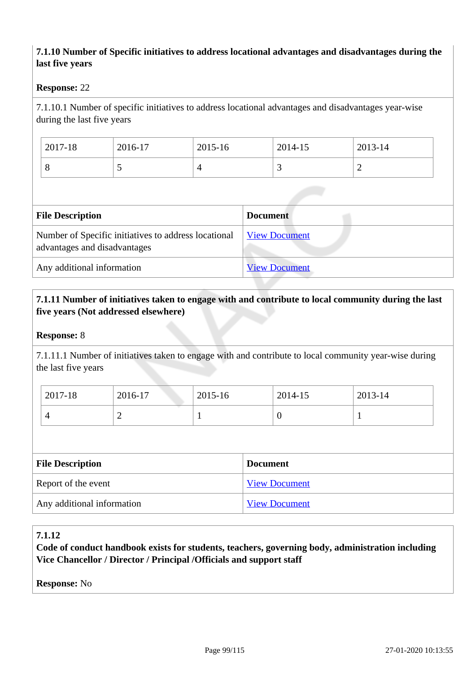# **7.1.10 Number of Specific initiatives to address locational advantages and disadvantages during the last five years**

#### **Response:** 22

7.1.10.1 Number of specific initiatives to address locational advantages and disadvantages year-wise during the last five years

| 2017-18 | 2016-17 | 2015-16 | 2014-15                  | 2013-14 |
|---------|---------|---------|--------------------------|---------|
| v       | ັ       |         | $\overline{\phantom{0}}$ | -       |

| <b>File Description</b>                                                              | <b>Document</b>      |
|--------------------------------------------------------------------------------------|----------------------|
| Number of Specific initiatives to address locational<br>advantages and disadvantages | <b>View Document</b> |
| Any additional information                                                           | <b>View Document</b> |

#### **7.1.11 Number of initiatives taken to engage with and contribute to local community during the last five years (Not addressed elsewhere)**

#### **Response:** 8

7.1.11.1 Number of initiatives taken to engage with and contribute to local community year-wise during the last five years

| 2017-18 | 2016-17 | 2015-16 | 2014-15 | 2013-14 |
|---------|---------|---------|---------|---------|
|         | -       |         | ν       |         |

| <b>File Description</b>    | <b>Document</b>      |
|----------------------------|----------------------|
| Report of the event        | <b>View Document</b> |
| Any additional information | <b>View Document</b> |

#### **7.1.12**

**Code of conduct handbook exists for students, teachers, governing body, administration including Vice Chancellor / Director / Principal /Officials and support staff**

**Response:** No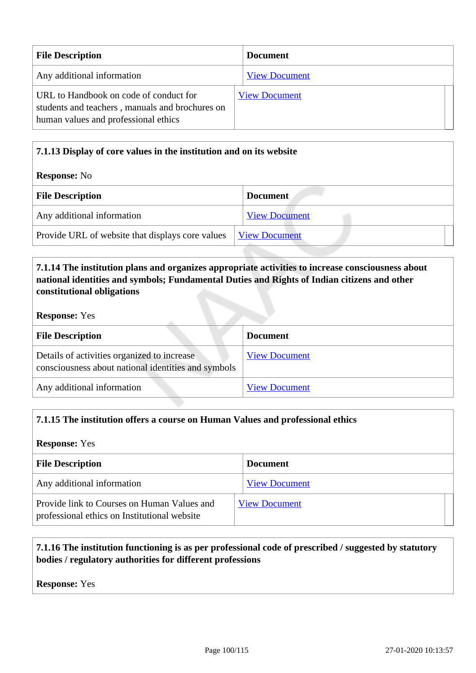| <b>File Description</b>                                                                                                           | <b>Document</b>      |
|-----------------------------------------------------------------------------------------------------------------------------------|----------------------|
| Any additional information                                                                                                        | <b>View Document</b> |
| URL to Handbook on code of conduct for<br>students and teachers, manuals and brochures on<br>human values and professional ethics | <b>View Document</b> |

# **7.1.13 Display of core values in the institution and on its website Response:** No **File Description Document** Any additional information [View Document](https://assessmentonline.naac.gov.in/storage/app/hei/SSR/101567/7.1.13_1547200901_1667.pdf) Provide URL of website that displays core values  $\sqrt{\frac{View Document}{View}}$  $\sqrt{\frac{View Document}{View}}$  $\sqrt{\frac{View Document}{View}}$

# **7.1.14 The institution plans and organizes appropriate activities to increase consciousness about national identities and symbols; Fundamental Duties and Rights of Indian citizens and other constitutional obligations**

#### **Response:** Yes

| <b>File Description</b>                                                                            | <b>Document</b>      |
|----------------------------------------------------------------------------------------------------|----------------------|
| Details of activities organized to increase<br>consciousness about national identities and symbols | <b>View Document</b> |
| Any additional information                                                                         | <b>View Document</b> |

# **7.1.15 The institution offers a course on Human Values and professional ethics**

#### **Response:** Yes

| <b>File Description</b>                                                                     | <b>Document</b>      |
|---------------------------------------------------------------------------------------------|----------------------|
| Any additional information                                                                  | <b>View Document</b> |
| Provide link to Courses on Human Values and<br>professional ethics on Institutional website | <b>View Document</b> |

# **7.1.16 The institution functioning is as per professional code of prescribed / suggested by statutory bodies / regulatory authorities for different professions**

**Response:** Yes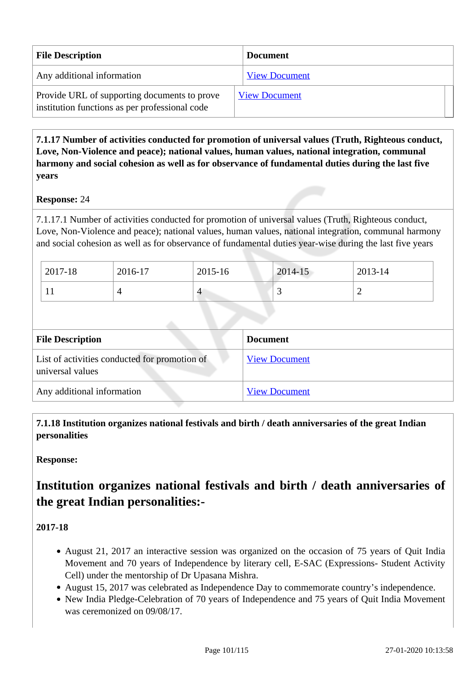| <b>File Description</b>                                                                        | <b>Document</b>      |
|------------------------------------------------------------------------------------------------|----------------------|
| Any additional information                                                                     | <b>View Document</b> |
| Provide URL of supporting documents to prove<br>institution functions as per professional code | <b>View Document</b> |

 **7.1.17 Number of activities conducted for promotion of universal values (Truth, Righteous conduct, Love, Non-Violence and peace); national values, human values, national integration, communal harmony and social cohesion as well as for observance of fundamental duties during the last five years**

#### **Response:** 24

7.1.17.1 Number of activities conducted for promotion of universal values (Truth, Righteous conduct, Love, Non-Violence and peace); national values, human values, national integration, communal harmony and social cohesion as well as for observance of fundamental duties year-wise during the last five years

| $12017 - 18$ | 2016-17 | $2015 - 16$ | $2014 - 15$ | 2013-14 |
|--------------|---------|-------------|-------------|---------|
| $\bf{1}$     |         | 4           | ~           | ∼       |

| <b>File Description</b>                                           | <b>Document</b>      |
|-------------------------------------------------------------------|----------------------|
| List of activities conducted for promotion of<br>universal values | <b>View Document</b> |
| Any additional information                                        | <b>View Document</b> |

 **7.1.18 Institution organizes national festivals and birth / death anniversaries of the great Indian personalities**

**Response:** 

# **Institution organizes national festivals and birth / death anniversaries of the great Indian personalities:-**

**2017-18**

- August 21, 2017 an interactive session was organized on the occasion of 75 years of Quit India Movement and 70 years of Independence by literary cell, E-SAC (Expressions- Student Activity Cell) under the mentorship of Dr Upasana Mishra.
- August 15, 2017 was celebrated as Independence Day to commemorate country's independence.
- New India Pledge-Celebration of 70 years of Independence and 75 years of Quit India Movement was ceremonized on 09/08/17.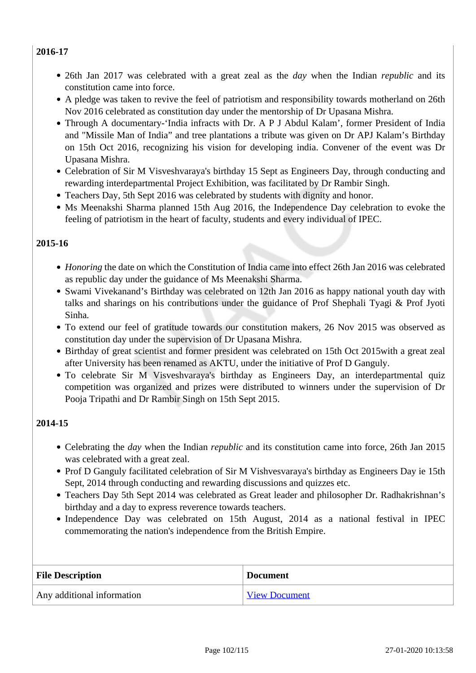#### **2016-17**

- 26th Jan 2017 was celebrated with a great zeal as the *day* when the Indian *republic* and its constitution came into force.
- A pledge was taken to revive the feel of patriotism and responsibility towards motherland on 26th Nov 2016 celebrated as constitution day under the mentorship of Dr Upasana Mishra.
- Through A documentary-'India infracts with Dr. A P J Abdul Kalam', former President of India and "Missile Man of India" and tree plantations a tribute was given on Dr APJ Kalam's Birthday on 15th Oct 2016, recognizing his vision for developing india. Convener of the event was Dr Upasana Mishra.
- Celebration of Sir M Visveshvaraya's birthday 15 Sept as Engineers Day, through conducting and rewarding interdepartmental Project Exhibition, was facilitated by Dr Rambir Singh.
- Teachers Day, 5th Sept 2016 was celebrated by students with dignity and honor.
- Ms Meenakshi Sharma planned 15th Aug 2016, the Independence Day celebration to evoke the feeling of patriotism in the heart of faculty, students and every individual of IPEC.

# **2015-16**

- *Honoring* the date on which the Constitution of India came into effect 26th Jan 2016 was celebrated as republic day under the guidance of Ms Meenakshi Sharma.
- Swami Vivekanand's Birthday was celebrated on 12th Jan 2016 as happy national youth day with talks and sharings on his contributions under the guidance of Prof Shephali Tyagi & Prof Jyoti Sinha*.*
- To extend our feel of gratitude towards our constitution makers, 26 Nov 2015 was observed as constitution day under the supervision of Dr Upasana Mishra.
- Birthday of great scientist and former president was celebrated on 15th Oct 2015 with a great zeal after University has been renamed as AKTU, under the initiative of Prof D Ganguly.
- To celebrate Sir M Visveshvaraya's birthday as Engineers Day, an interdepartmental quiz competition was organized and prizes were distributed to winners under the supervision of Dr Pooja Tripathi and Dr Rambir Singh on 15th Sept 2015.

#### **2014-15**

- Celebrating the *day* when the Indian *republic* and its constitution came into force, 26th Jan 2015 was celebrated with a great zeal.
- Prof D Ganguly facilitated celebration of Sir M Vishvesvaraya's birthday as Engineers Day ie 15th Sept, 2014 through conducting and rewarding discussions and quizzes etc.
- Teachers Day 5th Sept 2014 was celebrated as Great leader and philosopher Dr. Radhakrishnan's birthday and a day to express reverence towards teachers.
- Independence Day was celebrated on 15th August, 2014 as a national festival in IPEC commemorating the nation's independence from the British Empire.

| <b>File Description</b>    | <b>Document</b>      |
|----------------------------|----------------------|
| Any additional information | <b>View Document</b> |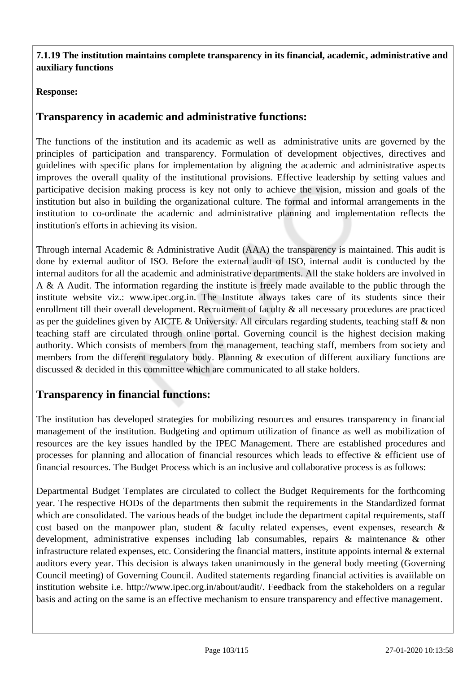**7.1.19 The institution maintains complete transparency in its financial, academic, administrative and auxiliary functions**

# **Response:**

# **Transparency in academic and administrative functions:**

The functions of the institution and its academic as well as administrative units are governed by the principles of participation and transparency. Formulation of development objectives, directives and guidelines with specific plans for implementation by aligning the academic and administrative aspects improves the overall quality of the institutional provisions. Effective leadership by setting values and participative decision making process is key not only to achieve the vision, mission and goals of the institution but also in building the organizational culture. The formal and informal arrangements in the institution to co-ordinate the academic and administrative planning and implementation reflects the institution's efforts in achieving its vision.

Through internal Academic & Administrative Audit (AAA) the transparency is maintained. This audit is done by external auditor of ISO. Before the external audit of ISO, internal audit is conducted by the internal auditors for all the academic and administrative departments. All the stake holders are involved in A & A Audit. The information regarding the institute is freely made available to the public through the institute website viz.: www.ipec.org.in. The Institute always takes care of its students since their enrollment till their overall development. Recruitment of faculty & all necessary procedures are practiced as per the guidelines given by AICTE & University. All circulars regarding students, teaching staff & non teaching staff are circulated through online portal. Governing council is the highest decision making authority. Which consists of members from the management, teaching staff, members from society and members from the different regulatory body. Planning & execution of different auxiliary functions are discussed & decided in this committee which are communicated to all stake holders.

# **Transparency in financial functions:**

The institution has developed strategies for mobilizing resources and ensures transparency in financial management of the institution. Budgeting and optimum utilization of finance as well as mobilization of resources are the key issues handled by the IPEC Management. There are established procedures and processes for planning and allocation of financial resources which leads to effective & efficient use of financial resources. The Budget Process which is an inclusive and collaborative process is as follows:

Departmental Budget Templates are circulated to collect the Budget Requirements for the forthcoming year. The respective HODs of the departments then submit the requirements in the Standardized format which are consolidated. The various heads of the budget include the department capital requirements, staff cost based on the manpower plan, student & faculty related expenses, event expenses, research & development, administrative expenses including lab consumables, repairs & maintenance & other infrastructure related expenses, etc. Considering the financial matters, institute appoints internal & external auditors every year. This decision is always taken unanimously in the general body meeting (Governing Council meeting) of Governing Council. Audited statements regarding financial activities is avaiilable on institution website i.e. http://www.ipec.org.in/about/audit/. Feedback from the stakeholders on a regular basis and acting on the same is an effective mechanism to ensure transparency and effective management.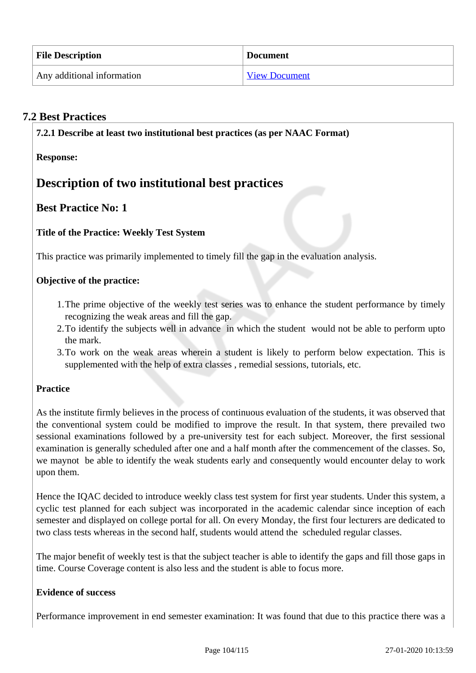| <b>File Description</b>    | <b>Document</b>      |
|----------------------------|----------------------|
| Any additional information | <b>View Document</b> |

# **7.2 Best Practices**

**7.2.1 Describe at least two institutional best practices (as per NAAC Format)**

**Response:** 

# **Description of two institutional best practices**

# **Best Practice No: 1**

### **Title of the Practice: Weekly Test System**

This practice was primarily implemented to timely fill the gap in the evaluation analysis.

#### **Objective of the practice:**

- 1.The prime objective of the weekly test series was to enhance the student performance by timely recognizing the weak areas and fill the gap.
- 2.To identify the subjects well in advance in which the student would not be able to perform upto the mark.
- 3.To work on the weak areas wherein a student is likely to perform below expectation. This is supplemented with the help of extra classes , remedial sessions, tutorials, etc.

#### **Practice**

As the institute firmly believes in the process of continuous evaluation of the students, it was observed that the conventional system could be modified to improve the result. In that system, there prevailed two sessional examinations followed by a pre-university test for each subject. Moreover, the first sessional examination is generally scheduled after one and a half month after the commencement of the classes. So, we maynot be able to identify the weak students early and consequently would encounter delay to work upon them.

Hence the IQAC decided to introduce weekly class test system for first year students. Under this system, a cyclic test planned for each subject was incorporated in the academic calendar since inception of each semester and displayed on college portal for all. On every Monday, the first four lecturers are dedicated to two class tests whereas in the second half, students would attend the scheduled regular classes.

The major benefit of weekly test is that the subject teacher is able to identify the gaps and fill those gaps in time. Course Coverage content is also less and the student is able to focus more.

#### **Evidence of success**

Performance improvement in end semester examination: It was found that due to this practice there was a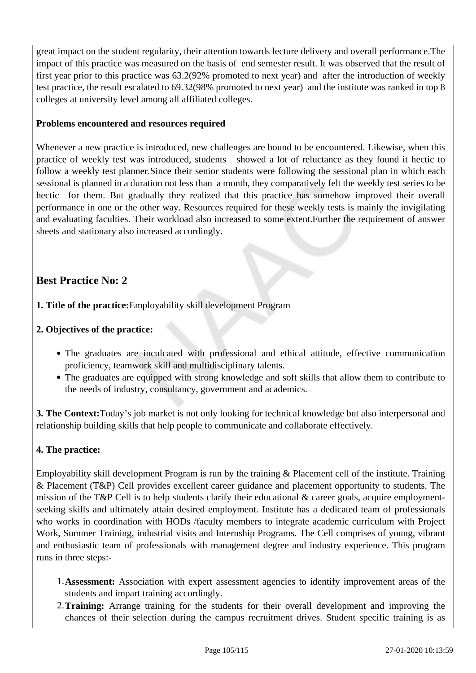great impact on the student regularity, their attention towards lecture delivery and overall performance.The impact of this practice was measured on the basis of end semester result. It was observed that the result of first year prior to this practice was 63.2(92% promoted to next year) and after the introduction of weekly test practice, the result escalated to 69.32(98% promoted to next year) and the institute was ranked in top 8 colleges at university level among all affiliated colleges.

#### **Problems encountered and resources required**

Whenever a new practice is introduced, new challenges are bound to be encountered. Likewise, when this practice of weekly test was introduced, students showed a lot of reluctance as they found it hectic to follow a weekly test planner.Since their senior students were following the sessional plan in which each sessional is planned in a duration not less than a month, they comparatively felt the weekly test series to be hectic for them. But gradually they realized that this practice has somehow improved their overall performance in one or the other way. Resources required for these weekly tests is mainly the invigilating and evaluating faculties. Their workload also increased to some extent.Further the requirement of answer sheets and stationary also increased accordingly.

# **Best Practice No: 2**

### **1. Title of the practice:**Employability skill development Program

### **2. Objectives of the practice:**

- The graduates are inculcated with professional and ethical attitude, effective communication proficiency, teamwork skill and multidisciplinary talents.
- The graduates are equipped with strong knowledge and soft skills that allow them to contribute to the needs of industry, consultancy, government and academics.

**3. The Context:**Today's job market is not only looking for technical knowledge but also interpersonal and relationship building skills that help people to communicate and collaborate effectively.

#### **4. The practice:**

Employability skill development Program is run by the training & Placement cell of the institute. Training & Placement (T&P) Cell provides excellent career guidance and placement opportunity to students. The mission of the T&P Cell is to help students clarify their educational & career goals, acquire employmentseeking skills and ultimately attain desired employment. Institute has a dedicated team of professionals who works in coordination with HODs /faculty members to integrate academic curriculum with Project Work, Summer Training, industrial visits and Internship Programs. The Cell comprises of young, vibrant and enthusiastic team of professionals with management degree and industry experience. This program runs in three steps:-

- 1.**Assessment:** Association with expert assessment agencies to identify improvement areas of the students and impart training accordingly.
- 2.**Training:** Arrange training for the students for their overall development and improving the chances of their selection during the campus recruitment drives. Student specific training is as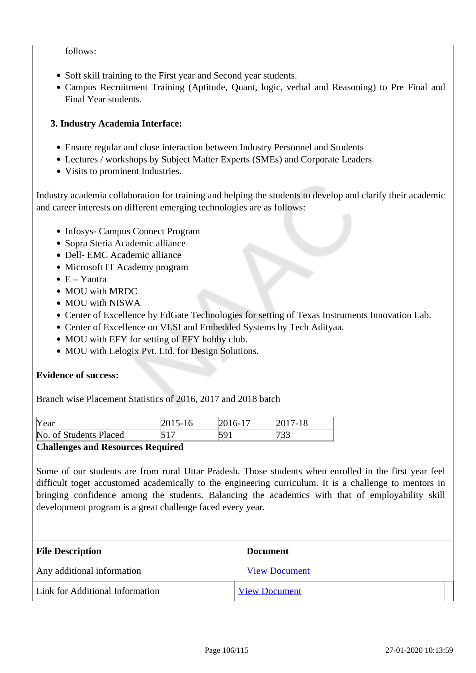#### follows:

- Soft skill training to the First year and Second year students.
- Campus Recruitment Training (Aptitude, Quant, logic, verbal and Reasoning) to Pre Final and Final Year students.

#### **3. Industry Academia Interface:**

- Ensure regular and close interaction between Industry Personnel and Students
- Lectures / workshops by Subject Matter Experts (SMEs) and Corporate Leaders
- Visits to prominent Industries.

Industry academia collaboration for training and helping the students to develop and clarify their academic and career interests on different emerging technologies are as follows:

- Infosys- Campus Connect Program
- Sopra Steria Academic alliance
- Dell- EMC Academic alliance
- Microsoft IT Academy program
- $\bullet$  E Yantra
- MOU with MRDC
- MOU with NISWA
- Center of Excellence by EdGate Technologies for setting of Texas Instruments Innovation Lab.
- Center of Excellence on VLSI and Embedded Systems by Tech Adityaa.
- MOU with EFY for setting of EFY hobby club.
- MOU with Lelogix Pvt. Ltd. for Design Solutions.

#### **Evidence of success:**

Branch wise Placement Statistics of 2016, 2017 and 2018 batch

| Year                      | $015-16$ | 2016-17 | $\cdot 18$<br>7. |  |
|---------------------------|----------|---------|------------------|--|
| No.<br>of Students Placed | 517      |         | ر ر ر            |  |

#### **Challenges and Resources Required**

Some of our students are from rural Uttar Pradesh. Those students when enrolled in the first year feel difficult toget accustomed academically to the engineering curriculum. It is a challenge to mentors in bringing confidence among the students. Balancing the academics with that of employability skill development program is a great challenge faced every year.

| <b>File Description</b>         | <b>Document</b>      |
|---------------------------------|----------------------|
| Any additional information      | <b>View Document</b> |
| Link for Additional Information | <b>View Document</b> |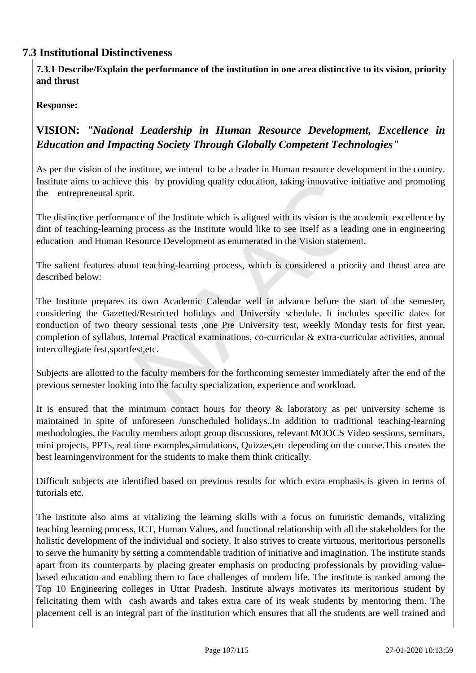# **7.3 Institutional Distinctiveness**

 **7.3.1 Describe/Explain the performance of the institution in one area distinctive to its vision, priority and thrust**

#### **Response:**

# **VISION:** *"National Leadership in Human Resource Development, Excellence in Education and Impacting Society Through Globally Competent Technologies"*

As per the vision of the institute, we intend to be a leader in Human resource development in the country. Institute aims to achieve this by providing quality education, taking innovative initiative and promoting the entrepreneural sprit.

The distinctive performance of the Institute which is aligned with its vision is the academic excellence by dint of teaching-learning process as the Institute would like to see itself as a leading one in engineering education and Human Resource Development as enumerated in the Vision statement.

The salient features about teaching-learning process, which is considered a priority and thrust area are described below:

The Institute prepares its own Academic Calendar well in advance before the start of the semester, considering the Gazetted/Restricted holidays and University schedule. It includes specific dates for conduction of two theory sessional tests ,one Pre University test, weekly Monday tests for first year, completion of syllabus, Internal Practical examinations, co-curricular & extra-curricular activities, annual intercollegiate fest,sportfest,etc.

Subjects are allotted to the faculty members for the forthcoming semester immediately after the end of the previous semester looking into the faculty specialization, experience and workload.

It is ensured that the minimum contact hours for theory  $\&$  laboratory as per university scheme is maintained in spite of unforeseen /unscheduled holidays..In addition to traditional teaching-learning methodologies, the Faculty members adopt group discussions, relevant MOOCS Video sessions, seminars, mini projects, PPTs, real time examples,simulations, Quizzes,etc depending on the course.This creates the best learningenvironment for the students to make them think critically.

Difficult subjects are identified based on previous results for which extra emphasis is given in terms of tutorials etc.

The institute also aims at vitalizing the learning skills with a focus on futuristic demands, vitalizing teaching learning process, ICT, Human Values, and functional relationship with all the stakeholders for the holistic development of the individual and society. It also strives to create virtuous, meritorious personells to serve the humanity by setting a commendable tradition of initiative and imagination. The institute stands apart from its counterparts by placing greater emphasis on producing professionals by providing valuebased education and enabling them to face challenges of modern life. The institute is ranked among the Top 10 Engineering colleges in Uttar Pradesh. Institute always motivates its meritorious student by felicitating them with cash awards and takes extra care of its weak students by mentoring them. The placement cell is an integral part of the institution which ensures that all the students are well trained and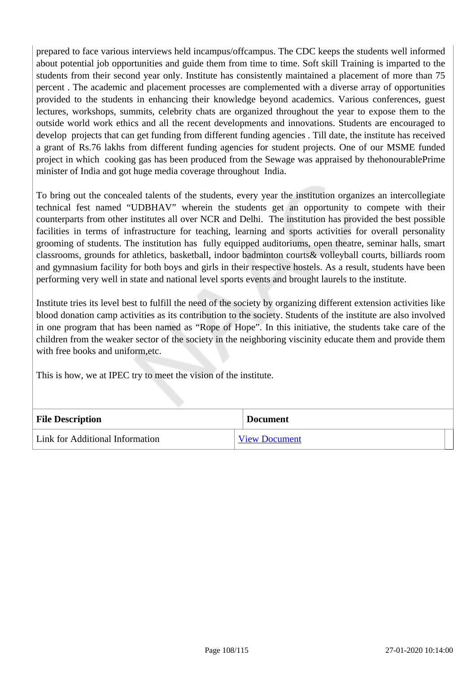prepared to face various interviews held incampus/offcampus. The CDC keeps the students well informed about potential job opportunities and guide them from time to time. Soft skill Training is imparted to the students from their second year only. Institute has consistently maintained a placement of more than 75 percent . The academic and placement processes are complemented with a diverse array of opportunities provided to the students in enhancing their knowledge beyond academics. Various conferences, guest lectures, workshops, summits, celebrity chats are organized throughout the year to expose them to the outside world work ethics and all the recent developments and innovations. Students are encouraged to develop projects that can get funding from different funding agencies . Till date, the institute has received a grant of Rs.76 lakhs from different funding agencies for student projects. One of our MSME funded project in which cooking gas has been produced from the Sewage was appraised by thehonourablePrime minister of India and got huge media coverage throughout India.

To bring out the concealed talents of the students, every year the institution organizes an intercollegiate technical fest named "UDBHAV" wherein the students get an opportunity to compete with their counterparts from other institutes all over NCR and Delhi. The institution has provided the best possible facilities in terms of infrastructure for teaching, learning and sports activities for overall personality grooming of students. The institution has fully equipped auditoriums, open theatre, seminar halls, smart classrooms, grounds for athletics, basketball, indoor badminton courts& volleyball courts, billiards room and gymnasium facility for both boys and girls in their respective hostels. As a result, students have been performing very well in state and national level sports events and brought laurels to the institute.

Institute tries its level best to fulfill the need of the society by organizing different extension activities like blood donation camp activities as its contribution to the society. Students of the institute are also involved in one program that has been named as "Rope of Hope". In this initiative, the students take care of the children from the weaker sector of the society in the neighboring viscinity educate them and provide them with free books and uniform,etc.

This is how, we at IPEC try to meet the vision of the institute.

| <b>File Description</b>         | <b>Document</b>      |
|---------------------------------|----------------------|
| Link for Additional Information | <b>View Document</b> |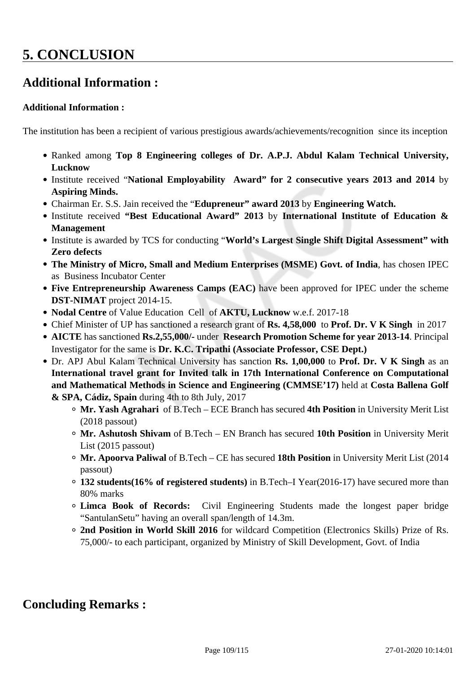# **5. CONCLUSION**

# **Additional Information :**

### **Additional Information :**

The institution has been a recipient of various prestigious awards/achievements/recognition since its inception

- Ranked among **Top 8 Engineering colleges of Dr. A.P.J. Abdul Kalam Technical University, Lucknow**
- Institute received "**National Employability Award" for 2 consecutive years 2013 and 2014** by **Aspiring Minds.**
- Chairman Er. S.S. Jain received the "**Edupreneur" award 2013** by **Engineering Watch.**
- Institute received **"Best Educational Award" 2013** by **International Institute of Education & Management**
- Institute is awarded by TCS for conducting "**World's Largest Single Shift Digital Assessment" with Zero defects**
- **The Ministry of Micro, Small and Medium Enterprises (MSME) Govt. of India**, has chosen IPEC as Business Incubator Center
- **Five Entrepreneurship Awareness Camps (EAC)** have been approved for IPEC under the scheme **DST-NIMAT** project 2014-15.
- **Nodal Centre** of Value Education Cell of **AKTU, Lucknow** w.e.f. 2017-18
- Chief Minister of UP has sanctioned a research grant of **Rs. 4,58,000** to **Prof. Dr. V K Singh** in 2017
- **AICTE** has sanctioned **Rs.2,55,000/-** under **Research Promotion Scheme for year 2013-14**. Principal Investigator for the same is **Dr. K.C. Tripathi (Associate Professor, CSE Dept.)**
- Dr. APJ Abul Kalam Technical University has sanction **Rs. 1,00,000** to **Prof. Dr. V K Singh** as an **International travel grant for Invited talk in 17th International Conference on Computational and Mathematical Methods in Science and Engineering (CMMSE'17)** held at **Costa Ballena Golf & SPA, Cádiz, Spain** during 4th to 8th July, 2017
	- **Mr. Yash Agrahari** of B.Tech ECE Branch has secured **4th Position** in University Merit List (2018 passout)
	- **Mr. Ashutosh Shivam** of B.Tech EN Branch has secured **10th Position** in University Merit List (2015 passout)
	- **Mr. Apoorva Paliwal** of B.Tech CE has secured **18th Position** in University Merit List (2014 passout)
	- **132 students(16% of registered students)** in B.Tech–I Year(2016-17) have secured more than 80% marks
	- **Limca Book of Records:** Civil Engineering Students made the longest paper bridge "SantulanSetu" having an overall span/length of 14.3m.
	- **2nd Position in World Skill 2016** for wildcard Competition (Electronics Skills) Prize of Rs. 75,000/- to each participant, organized by Ministry of Skill Development, Govt. of India

## **Concluding Remarks :**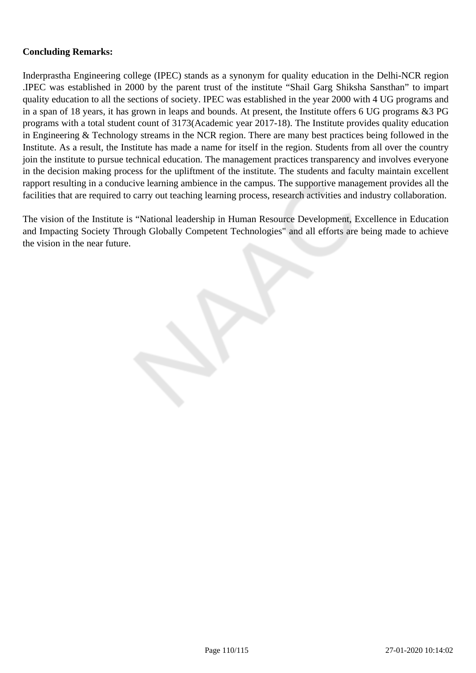### **Concluding Remarks:**

Inderprastha Engineering college (IPEC) stands as a synonym for quality education in the Delhi-NCR region .IPEC was established in 2000 by the parent trust of the institute "Shail Garg Shiksha Sansthan" to impart quality education to all the sections of society. IPEC was established in the year 2000 with 4 UG programs and in a span of 18 years, it has grown in leaps and bounds. At present, the Institute offers 6 UG programs &3 PG programs with a total student count of 3173(Academic year 2017-18). The Institute provides quality education in Engineering & Technology streams in the NCR region. There are many best practices being followed in the Institute. As a result, the Institute has made a name for itself in the region. Students from all over the country join the institute to pursue technical education. The management practices transparency and involves everyone in the decision making process for the upliftment of the institute. The students and faculty maintain excellent rapport resulting in a conducive learning ambience in the campus. The supportive management provides all the facilities that are required to carry out teaching learning process, research activities and industry collaboration.

The vision of the Institute is "National leadership in Human Resource Development, Excellence in Education and Impacting Society Through Globally Competent Technologies" and all efforts are being made to achieve the vision in the near future.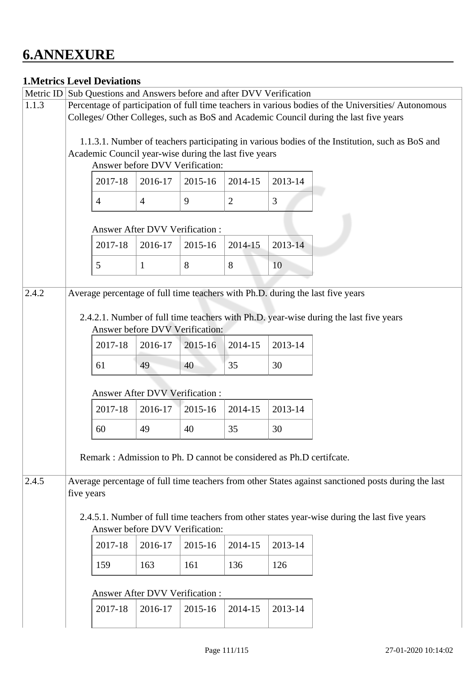# **6.ANNEXURE**

## **1.Metrics Level Deviations**

| Metric ID                                                                                                    | Sub Questions and Answers before and after DVV Verification                                                                     |                                                                                          |                |         |                |         |                                                                                                 |  |  |  |  |
|--------------------------------------------------------------------------------------------------------------|---------------------------------------------------------------------------------------------------------------------------------|------------------------------------------------------------------------------------------|----------------|---------|----------------|---------|-------------------------------------------------------------------------------------------------|--|--|--|--|
| 1.1.3                                                                                                        | Percentage of participation of full time teachers in various bodies of the Universities/ Autonomous                             |                                                                                          |                |         |                |         |                                                                                                 |  |  |  |  |
|                                                                                                              | Colleges/ Other Colleges, such as BoS and Academic Council during the last five years                                           |                                                                                          |                |         |                |         |                                                                                                 |  |  |  |  |
|                                                                                                              |                                                                                                                                 |                                                                                          |                |         |                |         | 1.1.3.1. Number of teachers participating in various bodies of the Institution, such as BoS and |  |  |  |  |
|                                                                                                              |                                                                                                                                 | Academic Council year-wise during the last five years<br>Answer before DVV Verification: |                |         |                |         |                                                                                                 |  |  |  |  |
|                                                                                                              |                                                                                                                                 |                                                                                          |                |         |                |         |                                                                                                 |  |  |  |  |
|                                                                                                              |                                                                                                                                 | 2017-18                                                                                  | 2016-17        | 2015-16 | 2014-15        | 2013-14 |                                                                                                 |  |  |  |  |
|                                                                                                              |                                                                                                                                 | $\overline{4}$                                                                           | $\overline{4}$ | 9       | $\overline{2}$ | 3       |                                                                                                 |  |  |  |  |
|                                                                                                              | <b>Answer After DVV Verification:</b>                                                                                           |                                                                                          |                |         |                |         |                                                                                                 |  |  |  |  |
|                                                                                                              |                                                                                                                                 | 2017-18                                                                                  | 2016-17        | 2015-16 | 2014-15        | 2013-14 |                                                                                                 |  |  |  |  |
|                                                                                                              |                                                                                                                                 | 5                                                                                        | $\mathbf{1}$   | 8       | 8              | 10      |                                                                                                 |  |  |  |  |
|                                                                                                              |                                                                                                                                 |                                                                                          |                |         |                |         |                                                                                                 |  |  |  |  |
| 2.4.2                                                                                                        |                                                                                                                                 | Average percentage of full time teachers with Ph.D. during the last five years           |                |         |                |         |                                                                                                 |  |  |  |  |
|                                                                                                              |                                                                                                                                 |                                                                                          |                |         |                |         |                                                                                                 |  |  |  |  |
|                                                                                                              | 2.4.2.1. Number of full time teachers with Ph.D. year-wise during the last five years<br>Answer before DVV Verification:        |                                                                                          |                |         |                |         |                                                                                                 |  |  |  |  |
|                                                                                                              |                                                                                                                                 |                                                                                          |                |         |                |         |                                                                                                 |  |  |  |  |
|                                                                                                              |                                                                                                                                 | 2017-18                                                                                  | 2016-17        | 2015-16 | 2014-15        | 2013-14 |                                                                                                 |  |  |  |  |
|                                                                                                              |                                                                                                                                 | 61                                                                                       | 49             | 40      | 35             | 30      |                                                                                                 |  |  |  |  |
|                                                                                                              | Answer After DVV Verification :                                                                                                 |                                                                                          |                |         |                |         |                                                                                                 |  |  |  |  |
|                                                                                                              |                                                                                                                                 | 2017-18                                                                                  | 2016-17        | 2015-16 | 2014-15        | 2013-14 |                                                                                                 |  |  |  |  |
|                                                                                                              |                                                                                                                                 | 60                                                                                       | 49             | 40      | 35             | 30      |                                                                                                 |  |  |  |  |
|                                                                                                              |                                                                                                                                 |                                                                                          |                |         |                |         |                                                                                                 |  |  |  |  |
|                                                                                                              | Remark: Admission to Ph. D cannot be considered as Ph.D certificate.                                                            |                                                                                          |                |         |                |         |                                                                                                 |  |  |  |  |
| Average percentage of full time teachers from other States against sanctioned posts during the last<br>2.4.5 |                                                                                                                                 |                                                                                          |                |         |                |         |                                                                                                 |  |  |  |  |
|                                                                                                              | five years                                                                                                                      |                                                                                          |                |         |                |         |                                                                                                 |  |  |  |  |
|                                                                                                              | 2.4.5.1. Number of full time teachers from other states year-wise during the last five years<br>Answer before DVV Verification: |                                                                                          |                |         |                |         |                                                                                                 |  |  |  |  |
|                                                                                                              |                                                                                                                                 |                                                                                          |                |         |                |         |                                                                                                 |  |  |  |  |
|                                                                                                              |                                                                                                                                 | 2017-18                                                                                  | 2016-17        | 2015-16 | 2014-15        | 2013-14 |                                                                                                 |  |  |  |  |
|                                                                                                              |                                                                                                                                 | 159                                                                                      | 163            | 161     | 136            | 126     |                                                                                                 |  |  |  |  |
|                                                                                                              |                                                                                                                                 | Answer After DVV Verification:                                                           |                |         |                |         |                                                                                                 |  |  |  |  |
|                                                                                                              |                                                                                                                                 | 2017-18                                                                                  | 2016-17        | 2015-16 | 2014-15        | 2013-14 |                                                                                                 |  |  |  |  |
|                                                                                                              |                                                                                                                                 |                                                                                          |                |         |                |         |                                                                                                 |  |  |  |  |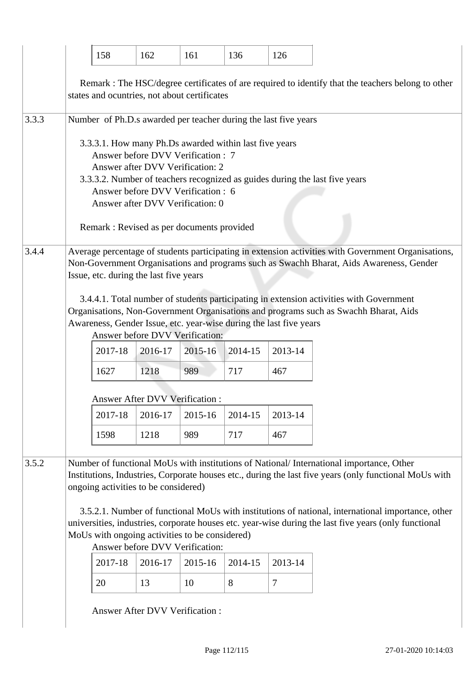|       |                                                                                                                                                                                                                                                                                                                                                                                                                                                                                                                                              | 158                                                                                                                                                                                                                                                                                      | 162     | 161     | 136     | 126            |  |  |  |  |  |
|-------|----------------------------------------------------------------------------------------------------------------------------------------------------------------------------------------------------------------------------------------------------------------------------------------------------------------------------------------------------------------------------------------------------------------------------------------------------------------------------------------------------------------------------------------------|------------------------------------------------------------------------------------------------------------------------------------------------------------------------------------------------------------------------------------------------------------------------------------------|---------|---------|---------|----------------|--|--|--|--|--|
|       | Remark : The HSC/degree certificates of are required to identify that the teachers belong to other<br>states and ocuntries, not about certificates                                                                                                                                                                                                                                                                                                                                                                                           |                                                                                                                                                                                                                                                                                          |         |         |         |                |  |  |  |  |  |
| 3.3.3 | Number of Ph.D.s awarded per teacher during the last five years                                                                                                                                                                                                                                                                                                                                                                                                                                                                              |                                                                                                                                                                                                                                                                                          |         |         |         |                |  |  |  |  |  |
|       | 3.3.3.1. How many Ph.Ds awarded within last five years<br>Answer before DVV Verification : 7<br>Answer after DVV Verification: 2<br>3.3.3.2. Number of teachers recognized as guides during the last five years<br>Answer before DVV Verification: 6<br>Answer after DVV Verification: 0<br>Remark : Revised as per documents provided                                                                                                                                                                                                       |                                                                                                                                                                                                                                                                                          |         |         |         |                |  |  |  |  |  |
| 3.4.4 | Average percentage of students participating in extension activities with Government Organisations,<br>Non-Government Organisations and programs such as Swachh Bharat, Aids Awareness, Gender<br>Issue, etc. during the last five years                                                                                                                                                                                                                                                                                                     |                                                                                                                                                                                                                                                                                          |         |         |         |                |  |  |  |  |  |
|       |                                                                                                                                                                                                                                                                                                                                                                                                                                                                                                                                              | 3.4.4.1. Total number of students participating in extension activities with Government<br>Organisations, Non-Government Organisations and programs such as Swachh Bharat, Aids<br>Awareness, Gender Issue, etc. year-wise during the last five years<br>Answer before DVV Verification: |         |         |         |                |  |  |  |  |  |
|       |                                                                                                                                                                                                                                                                                                                                                                                                                                                                                                                                              | 2017-18                                                                                                                                                                                                                                                                                  | 2016-17 | 2015-16 | 2014-15 | 2013-14        |  |  |  |  |  |
|       |                                                                                                                                                                                                                                                                                                                                                                                                                                                                                                                                              | 1627                                                                                                                                                                                                                                                                                     | 1218    | 989     | 717     | 467            |  |  |  |  |  |
|       | Answer After DVV Verification :                                                                                                                                                                                                                                                                                                                                                                                                                                                                                                              |                                                                                                                                                                                                                                                                                          |         |         |         |                |  |  |  |  |  |
|       |                                                                                                                                                                                                                                                                                                                                                                                                                                                                                                                                              | 2017-18                                                                                                                                                                                                                                                                                  | 2016-17 | 2015-16 | 2014-15 | 2013-14        |  |  |  |  |  |
|       |                                                                                                                                                                                                                                                                                                                                                                                                                                                                                                                                              | 1598                                                                                                                                                                                                                                                                                     | 1218    | 989     | 717     | 467            |  |  |  |  |  |
| 3.5.2 | Number of functional MoUs with institutions of National/International importance, Other<br>Institutions, Industries, Corporate houses etc., during the last five years (only functional MoUs with<br>ongoing activities to be considered)<br>3.5.2.1. Number of functional MoUs with institutions of national, international importance, other<br>universities, industries, corporate houses etc. year-wise during the last five years (only functional<br>MoUs with ongoing activities to be considered)<br>Answer before DVV Verification: |                                                                                                                                                                                                                                                                                          |         |         |         |                |  |  |  |  |  |
|       |                                                                                                                                                                                                                                                                                                                                                                                                                                                                                                                                              | 2017-18                                                                                                                                                                                                                                                                                  | 2016-17 | 2015-16 | 2014-15 | 2013-14        |  |  |  |  |  |
|       |                                                                                                                                                                                                                                                                                                                                                                                                                                                                                                                                              | 20                                                                                                                                                                                                                                                                                       | 13      | 10      | 8       | $\overline{7}$ |  |  |  |  |  |
|       |                                                                                                                                                                                                                                                                                                                                                                                                                                                                                                                                              | <b>Answer After DVV Verification:</b>                                                                                                                                                                                                                                                    |         |         |         |                |  |  |  |  |  |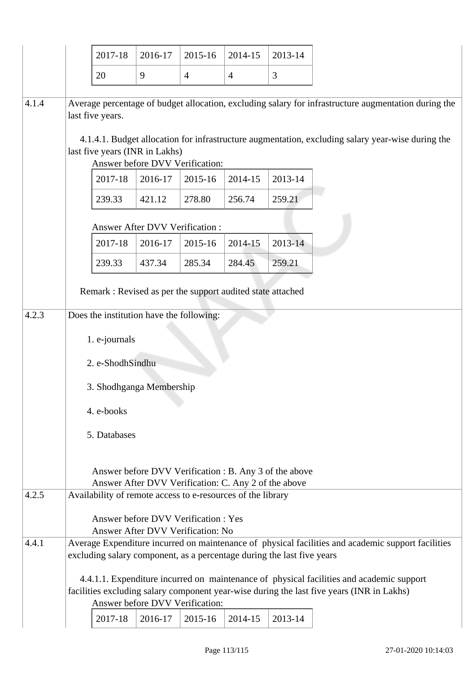|       |                                                                                                                                                                                                                       | 2017-18 | 2016-17                                                           | 2015-16        | 2014-15        | 2013-14                                                                                                                                                                                                   |  |  |
|-------|-----------------------------------------------------------------------------------------------------------------------------------------------------------------------------------------------------------------------|---------|-------------------------------------------------------------------|----------------|----------------|-----------------------------------------------------------------------------------------------------------------------------------------------------------------------------------------------------------|--|--|
|       | 20                                                                                                                                                                                                                    |         | 9                                                                 | $\overline{4}$ | $\overline{4}$ | 3                                                                                                                                                                                                         |  |  |
| 4.1.4 | last five years.                                                                                                                                                                                                      |         | last five years (INR in Lakhs)<br>Answer before DVV Verification: |                |                | Average percentage of budget allocation, excluding salary for infrastructure augmentation during the<br>4.1.4.1. Budget allocation for infrastructure augmentation, excluding salary year-wise during the |  |  |
|       |                                                                                                                                                                                                                       | 2017-18 | 2016-17                                                           | 2015-16        | 2014-15        | 2013-14                                                                                                                                                                                                   |  |  |
|       | 239.33                                                                                                                                                                                                                |         | 421.12                                                            | 278.80         | 256.74         | 259.21                                                                                                                                                                                                    |  |  |
|       |                                                                                                                                                                                                                       | 2017-18 | <b>Answer After DVV Verification:</b><br>2016-17                  | 2015-16        | 2014-15        | 2013-14                                                                                                                                                                                                   |  |  |
|       | 239.33                                                                                                                                                                                                                |         | 437.34                                                            | 285.34         | 284.45         | 259.21                                                                                                                                                                                                    |  |  |
|       | 1. e-journals<br>2. e-ShodhSindhu<br>3. Shodhganga Membership<br>4. e-books<br>5. Databases                                                                                                                           |         |                                                                   |                |                |                                                                                                                                                                                                           |  |  |
| 4.2.5 | Answer before DVV Verification : B. Any 3 of the above<br>Answer After DVV Verification: C. Any 2 of the above<br>Availability of remote access to e-resources of the library<br>Answer before DVV Verification : Yes |         |                                                                   |                |                |                                                                                                                                                                                                           |  |  |
|       |                                                                                                                                                                                                                       |         | Answer After DVV Verification: No                                 |                |                |                                                                                                                                                                                                           |  |  |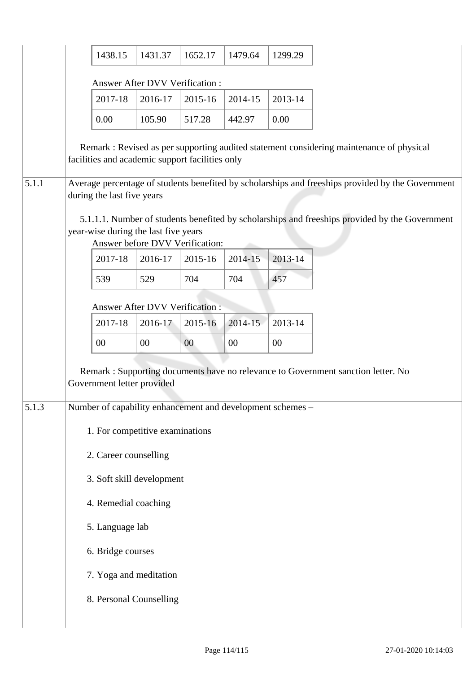|       | 1438.15                                                                                                                                                                   | 1431.37 | 1652.17 | 1479.64 | 1299.29 |                                                                                          |  |  |  |  |  |
|-------|---------------------------------------------------------------------------------------------------------------------------------------------------------------------------|---------|---------|---------|---------|------------------------------------------------------------------------------------------|--|--|--|--|--|
|       | Answer After DVV Verification:                                                                                                                                            |         |         |         |         |                                                                                          |  |  |  |  |  |
|       | 2017-18                                                                                                                                                                   | 2016-17 | 2015-16 | 2014-15 | 2013-14 |                                                                                          |  |  |  |  |  |
|       | 0.00                                                                                                                                                                      | 105.90  | 517.28  | 442.97  | 0.00    |                                                                                          |  |  |  |  |  |
|       | facilities and academic support facilities only                                                                                                                           |         |         |         |         | Remark : Revised as per supporting audited statement considering maintenance of physical |  |  |  |  |  |
| 5.1.1 | Average percentage of students benefited by scholarships and freeships provided by the Government<br>during the last five years                                           |         |         |         |         |                                                                                          |  |  |  |  |  |
|       | 5.1.1.1. Number of students benefited by scholarships and freeships provided by the Government<br>year-wise during the last five years<br>Answer before DVV Verification: |         |         |         |         |                                                                                          |  |  |  |  |  |
|       | 2017-18                                                                                                                                                                   | 2016-17 | 2015-16 | 2014-15 | 2013-14 |                                                                                          |  |  |  |  |  |
|       | 539                                                                                                                                                                       | 529     | 704     | 704     | 457     |                                                                                          |  |  |  |  |  |
|       | Answer After DVV Verification :                                                                                                                                           |         |         |         |         |                                                                                          |  |  |  |  |  |
|       | 2017-18                                                                                                                                                                   | 2016-17 | 2015-16 | 2014-15 | 2013-14 |                                                                                          |  |  |  |  |  |
|       | 00                                                                                                                                                                        | 00      | $00\,$  | $00\,$  | 00      |                                                                                          |  |  |  |  |  |
|       | Remark: Supporting documents have no relevance to Government sanction letter. No<br>Government letter provided                                                            |         |         |         |         |                                                                                          |  |  |  |  |  |
| 5.1.3 | Number of capability enhancement and development schemes -                                                                                                                |         |         |         |         |                                                                                          |  |  |  |  |  |
|       | 1. For competitive examinations                                                                                                                                           |         |         |         |         |                                                                                          |  |  |  |  |  |
|       | 2. Career counselling                                                                                                                                                     |         |         |         |         |                                                                                          |  |  |  |  |  |
|       | 3. Soft skill development                                                                                                                                                 |         |         |         |         |                                                                                          |  |  |  |  |  |
|       | 4. Remedial coaching                                                                                                                                                      |         |         |         |         |                                                                                          |  |  |  |  |  |
|       | 5. Language lab                                                                                                                                                           |         |         |         |         |                                                                                          |  |  |  |  |  |
|       |                                                                                                                                                                           |         |         |         |         |                                                                                          |  |  |  |  |  |
|       | 6. Bridge courses                                                                                                                                                         |         |         |         |         |                                                                                          |  |  |  |  |  |
|       | 7. Yoga and meditation                                                                                                                                                    |         |         |         |         |                                                                                          |  |  |  |  |  |
|       | 8. Personal Counselling                                                                                                                                                   |         |         |         |         |                                                                                          |  |  |  |  |  |
|       |                                                                                                                                                                           |         |         |         |         |                                                                                          |  |  |  |  |  |